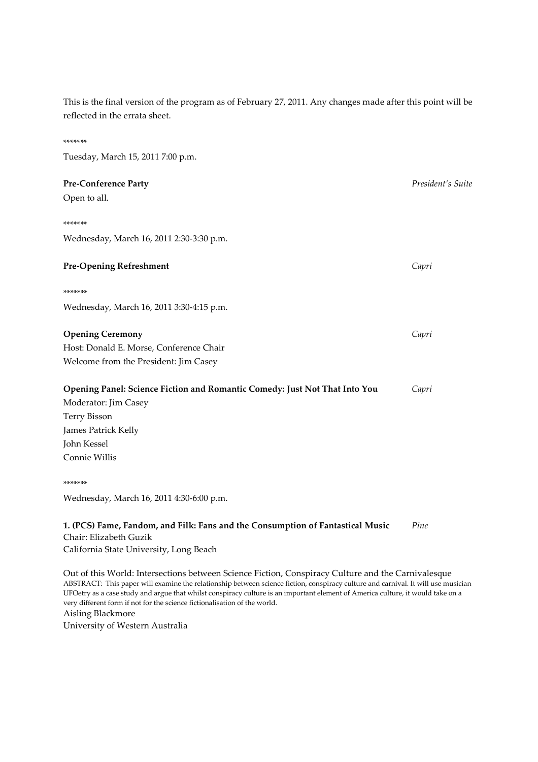This is the final version of the program as of February 27, 2011. Any changes made after this point will be reflected in the errata sheet.

\*\*\*\*\*\*\*

# Tuesday, March 15, 2011 7:00 p.m. Pre-Conference Party President's Suite Open to all. \*\*\*\*\*\*\* Wednesday, March 16, 2011 2:30-3:30 p.m. **Pre-Opening Refreshment** Capri \*\*\*\*\*\*\* Wednesday, March 16, 2011 3:30-4:15 p.m. **Opening Ceremony** Capri Host: Donald E. Morse, Conference Chair Welcome from the President: Jim Casey Opening Panel: Science Fiction and Romantic Comedy: Just Not That Into You Capri Moderator: Jim Casey Terry Bisson James Patrick Kelly John Kessel Connie Willis \*\*\*\*\*\*\* Wednesday, March 16, 2011 4:30-6:00 p.m. 1. (PCS) Fame, Fandom, and Filk: Fans and the Consumption of Fantastical Music Pine Chair: Elizabeth Guzik California State University, Long Beach Out of this World: Intersections between Science Fiction, Conspiracy Culture and the Carnivalesque

ABSTRACT: This paper will examine the relationship between science fiction, conspiracy culture and carnival. It will use musician UFOetry as a case study and argue that whilst conspiracy culture is an important element of America culture, it would take on a very different form if not for the science fictionalisation of the world. Aisling Blackmore University of Western Australia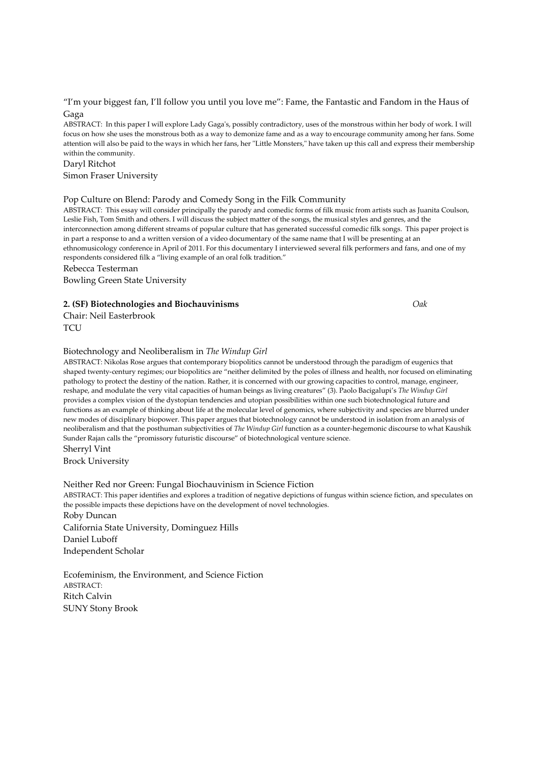#### "I'm your biggest fan, I'll follow you until you love me": Fame, the Fantastic and Fandom in the Haus of Gaga

ABSTRACT: In this paper I will explore Lady Gaga's, possibly contradictory, uses of the monstrous within her body of work. I will focus on how she uses the monstrous both as a way to demonize fame and as a way to encourage community among her fans. Some attention will also be paid to the ways in which her fans, her "Little Monsters," have taken up this call and express their membership within the community.

#### Daryl Ritchot

Simon Fraser University

#### Pop Culture on Blend: Parody and Comedy Song in the Filk Community

ABSTRACT: This essay will consider principally the parody and comedic forms of filk music from artists such as Juanita Coulson, Leslie Fish, Tom Smith and others. I will discuss the subject matter of the songs, the musical styles and genres, and the interconnection among different streams of popular culture that has generated successful comedic filk songs. This paper project is in part a response to and a written version of a video documentary of the same name that I will be presenting at an ethnomusicology conference in April of 2011. For this documentary I interviewed several filk performers and fans, and one of my respondents considered filk a "living example of an oral folk tradition."

Rebecca Testerman

Bowling Green State University

#### 2. (SF) Biotechnologies and Biochauvinisms Oak

Chair: Neil Easterbrook **TCU** 

#### Biotechnology and Neoliberalism in The Windup Girl

ABSTRACT: Nikolas Rose argues that contemporary biopolitics cannot be understood through the paradigm of eugenics that shaped twenty-century regimes; our biopolitics are "neither delimited by the poles of illness and health, nor focused on eliminating pathology to protect the destiny of the nation. Rather, it is concerned with our growing capacities to control, manage, engineer, reshape, and modulate the very vital capacities of human beings as living creatures" (3). Paolo Bacigalupi's The Windup Girl provides a complex vision of the dystopian tendencies and utopian possibilities within one such biotechnological future and functions as an example of thinking about life at the molecular level of genomics, where subjectivity and species are blurred under new modes of disciplinary biopower. This paper argues that biotechnology cannot be understood in isolation from an analysis of neoliberalism and that the posthuman subjectivities of The Windup Girl function as a counter-hegemonic discourse to what Kaushik Sunder Rajan calls the "promissory futuristic discourse" of biotechnological venture science. Sherryl Vint

Brock University

#### Neither Red nor Green: Fungal Biochauvinism in Science Fiction

ABSTRACT: This paper identifies and explores a tradition of negative depictions of fungus within science fiction, and speculates on the possible impacts these depictions have on the development of novel technologies.

Roby Duncan California State University, Dominguez Hills Daniel Luboff Independent Scholar

Ecofeminism, the Environment, and Science Fiction ABSTRACT: Ritch Calvin SUNY Stony Brook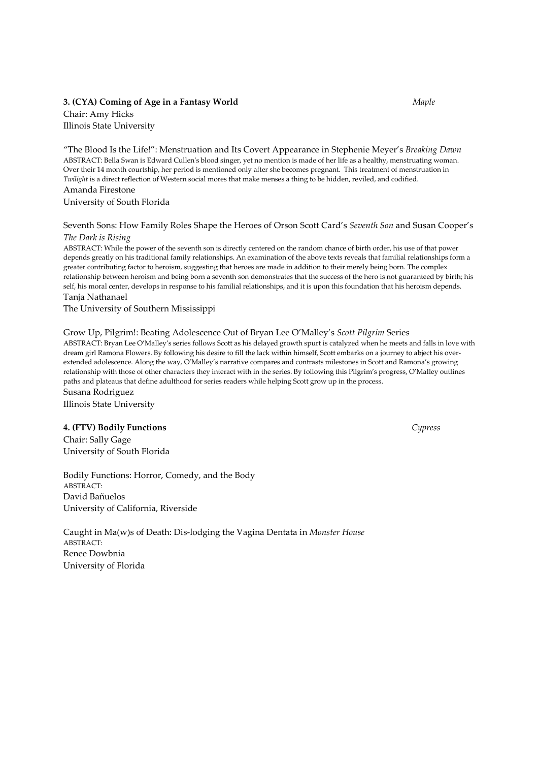# 3. (CYA) Coming of Age in a Fantasy World Maple

Chair: Amy Hicks Illinois State University

"The Blood Is the Life!": Menstruation and Its Covert Appearance in Stephenie Meyer's Breaking Dawn ABSTRACT: Bella Swan is Edward Cullen's blood singer, yet no mention is made of her life as a healthy, menstruating woman. Over their 14 month courtship, her period is mentioned only after she becomes pregnant. This treatment of menstruation in Twilight is a direct reflection of Western social mores that make menses a thing to be hidden, reviled, and codified. Amanda Firestone

University of South Florida

Seventh Sons: How Family Roles Shape the Heroes of Orson Scott Card's Seventh Son and Susan Cooper's The Dark is Rising

ABSTRACT: While the power of the seventh son is directly centered on the random chance of birth order, his use of that power depends greatly on his traditional family relationships. An examination of the above texts reveals that familial relationships form a greater contributing factor to heroism, suggesting that heroes are made in addition to their merely being born. The complex relationship between heroism and being born a seventh son demonstrates that the success of the hero is not guaranteed by birth; his self, his moral center, develops in response to his familial relationships, and it is upon this foundation that his heroism depends. Tanja Nathanael

The University of Southern Mississippi

Grow Up, Pilgrim!: Beating Adolescence Out of Bryan Lee O'Malley's Scott Pilgrim Series ABSTRACT: Bryan Lee O'Malley's series follows Scott as his delayed growth spurt is catalyzed when he meets and falls in love with dream girl Ramona Flowers. By following his desire to fill the lack within himself, Scott embarks on a journey to abject his overextended adolescence. Along the way, O'Malley's narrative compares and contrasts milestones in Scott and Ramona's growing relationship with those of other characters they interact with in the series. By following this Pilgrim's progress, O'Malley outlines paths and plateaus that define adulthood for series readers while helping Scott grow up in the process. Susana Rodriguez

Illinois State University

# 4. (FTV) Bodily Functions Cypress

Chair: Sally Gage University of South Florida

Bodily Functions: Horror, Comedy, and the Body ABSTRACT: David Bañuelos University of California, Riverside

Caught in Ma(w)s of Death: Dis-lodging the Vagina Dentata in Monster House ABSTRACT: Renee Dowbnia University of Florida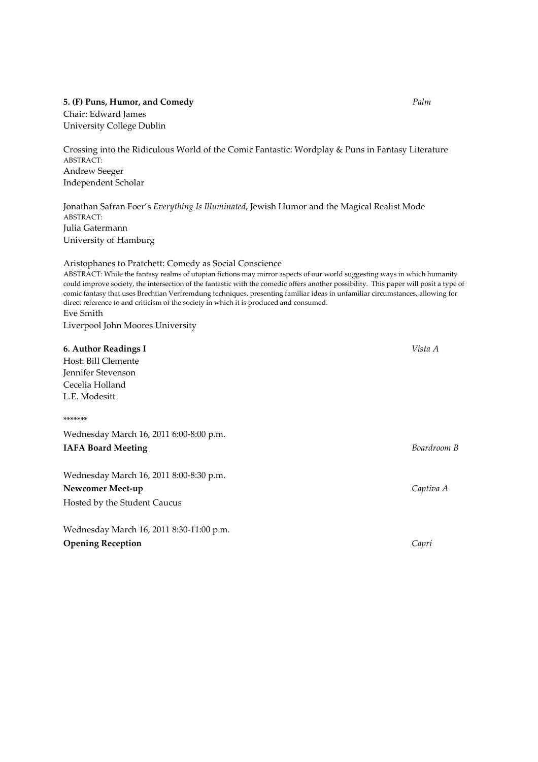#### 5. (F) Puns, Humor, and Comedy Palm

Chair: Edward James University College Dublin

Crossing into the Ridiculous World of the Comic Fantastic: Wordplay & Puns in Fantasy Literature ABSTRACT: Andrew Seeger Independent Scholar

Jonathan Safran Foer's Everything Is Illuminated, Jewish Humor and the Magical Realist Mode ABSTRACT: Julia Gatermann University of Hamburg

Aristophanes to Pratchett: Comedy as Social Conscience ABSTRACT: While the fantasy realms of utopian fictions may mirror aspects of our world suggesting ways in which humanity could improve society, the intersection of the fantastic with the comedic offers another possibility. This paper will posit a type of comic fantasy that uses Brechtian Verfremdung techniques, presenting familiar ideas in unfamiliar circumstances, allowing for direct reference to and criticism of the society in which it is produced and consumed. Eve Smith Liverpool John Moores University

# 6. Author Readings I Vista A

Host: Bill Clemente Jennifer Stevenson Cecelia Holland L.E. Modesitt

#### \*\*\*\*\*\*\*

Wednesday March 16, 2011 6:00-8:00 p.m. IAFA Board Meeting Boardroom B

Wednesday March 16, 2011 8:00-8:30 p.m. Newcomer Meet-up Captiva A Hosted by the Student Caucus

Wednesday March 16, 2011 8:30-11:00 p.m. **Opening Reception** Capri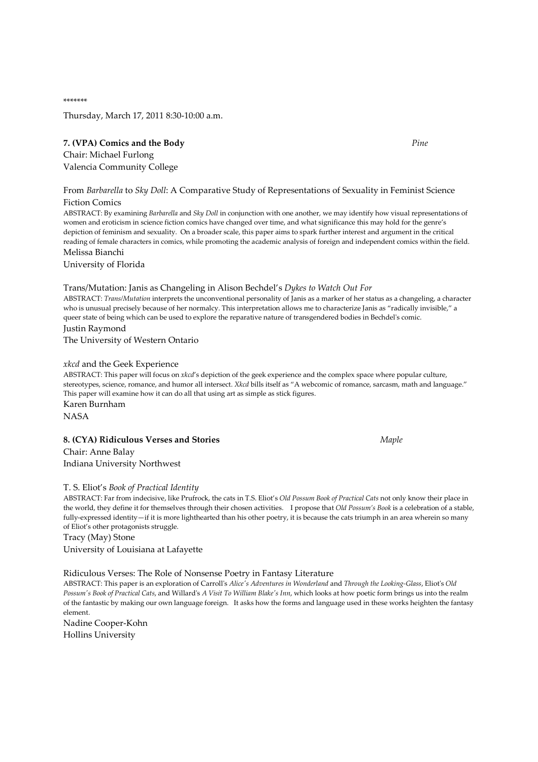\*\*\*\*\*\*\*

Thursday, March 17, 2011 8:30-10:00 a.m.

#### 7. (VPA) Comics and the Body Pine

Chair: Michael Furlong Valencia Community College

From Barbarella to Sky Doll: A Comparative Study of Representations of Sexuality in Feminist Science Fiction Comics

ABSTRACT: By examining Barbarella and Sky Doll in conjunction with one another, we may identify how visual representations of women and eroticism in science fiction comics have changed over time, and what significance this may hold for the genre's depiction of feminism and sexuality. On a broader scale, this paper aims to spark further interest and argument in the critical reading of female characters in comics, while promoting the academic analysis of foreign and independent comics within the field. Melissa Bianchi

University of Florida

#### Trans/Mutation: Janis as Changeling in Alison Bechdel's Dykes to Watch Out For

ABSTRACT: Trans/Mutation interprets the unconventional personality of Janis as a marker of her status as a changeling, a character who is unusual precisely because of her normalcy. This interpretation allows me to characterize Janis as "radically invisible," a queer state of being which can be used to explore the reparative nature of transgendered bodies in Bechdel's comic. Justin Raymond

The University of Western Ontario

#### xkcd and the Geek Experience

ABSTRACT: This paper will focus on xkcd's depiction of the geek experience and the complex space where popular culture, stereotypes, science, romance, and humor all intersect. Xkcd bills itself as "A webcomic of romance, sarcasm, math and language." This paper will examine how it can do all that using art as simple as stick figures. Karen Burnham **NASA** 

# 8. (CYA) Ridiculous Verses and Stories Maple

Chair: Anne Balay Indiana University Northwest

#### T. S. Eliot's Book of Practical Identity

ABSTRACT: Far from indecisive, like Prufrock, the cats in T.S. Eliot's Old Possum Book of Practical Cats not only know their place in the world, they define it for themselves through their chosen activities. I propose that Old Possum's Book is a celebration of a stable, fully-expressed identity—if it is more lighthearted than his other poetry, it is because the cats triumph in an area wherein so many of Eliot's other protagonists struggle.

Tracy (May) Stone University of Louisiana at Lafayette

Ridiculous Verses: The Role of Nonsense Poetry in Fantasy Literature

ABSTRACT: This paper is an exploration of Carroll's Alice's Adventures in Wonderland and Through the Looking-Glass, Eliot's Old Possum's Book of Practical Cats, and Willard's A Visit To William Blake's Inn, which looks at how poetic form brings us into the realm of the fantastic by making our own language foreign. It asks how the forms and language used in these works heighten the fantasy element.

Nadine Cooper-Kohn Hollins University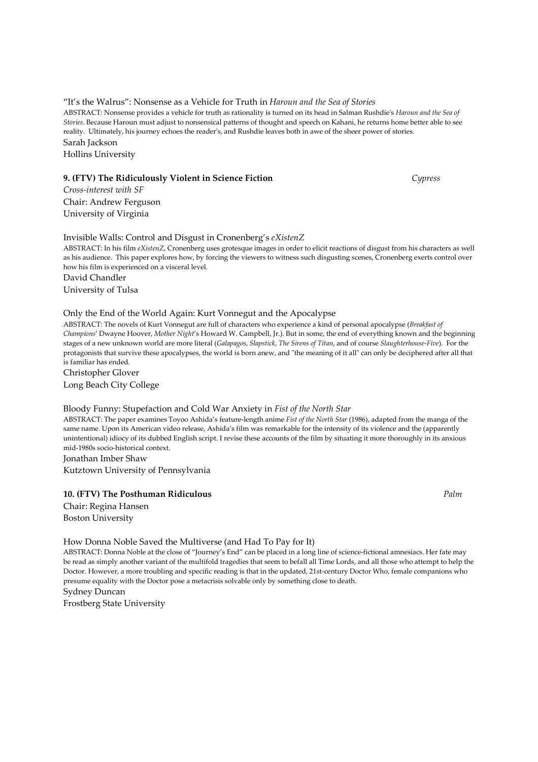"It's the Walrus": Nonsense as a Vehicle for Truth in Haroun and the Sea of Stories ABSTRACT: Nonsense provides a vehicle for truth as rationality is turned on its head in Salman Rushdie's Haroun and the Sea of Stories. Because Haroun must adjust to nonsensical patterns of thought and speech on Kahani, he returns home better able to see reality. Ultimately, his journey echoes the reader's, and Rushdie leaves both in awe of the sheer power of stories. Sarah Jackson

Hollins University

## 9. (FTV) The Ridiculously Violent in Science Fiction **Subset 2008** Cypress

Cross-interest with SF Chair: Andrew Ferguson University of Virginia

#### Invisible Walls: Control and Disgust in Cronenberg's eXistenZ

ABSTRACT: In his film eXistenZ, Cronenberg uses grotesque images in order to elicit reactions of disgust from his characters as well as his audience. This paper explores how, by forcing the viewers to witness such disgusting scenes, Cronenberg exerts control over how his film is experienced on a visceral level.

David Chandler

University of Tulsa

#### Only the End of the World Again: Kurt Vonnegut and the Apocalypse

ABSTRACT: The novels of Kurt Vonnegut are full of characters who experience a kind of personal apocalypse (Breakfast of Champions' Dwayne Hoover, Mother Night's Howard W. Campbell, Jr.). But in some, the end of everything known and the beginning stages of a new unknown world are more literal (Galapagos, Slapstick, The Sirens of Titan, and of course Slaughterhouse-Five). For the protagonists that survive these apocalypses, the world is born anew, and "the meaning of it all" can only be deciphered after all that is familiar has ended.

Christopher Glover Long Beach City College

## Bloody Funny: Stupefaction and Cold War Anxiety in Fist of the North Star

ABSTRACT: The paper examines Toyoo Ashida's feature-length anime Fist of the North Star (1986), adapted from the manga of the same name. Upon its American video release, Ashida's film was remarkable for the intensity of its violence and the (apparently unintentional) idiocy of its dubbed English script. I revise these accounts of the film by situating it more thoroughly in its anxious mid-1980s socio-historical context.

Jonathan Imber Shaw

Kutztown University of Pennsylvania

# 10. (FTV) The Posthuman Ridiculous **Palm** Palm **Palm** Palm **Palm** Palm **Palm**

Chair: Regina Hansen Boston University

How Donna Noble Saved the Multiverse (and Had To Pay for It)

ABSTRACT: Donna Noble at the close of "Journey's End" can be placed in a long line of science-fictional amnesiacs. Her fate may be read as simply another variant of the multifold tragedies that seem to befall all Time Lords, and all those who attempt to help the Doctor. However, a more troubling and specific reading is that in the updated, 21st-century Doctor Who, female companions who presume equality with the Doctor pose a metacrisis solvable only by something close to death.

Sydney Duncan Frostberg State University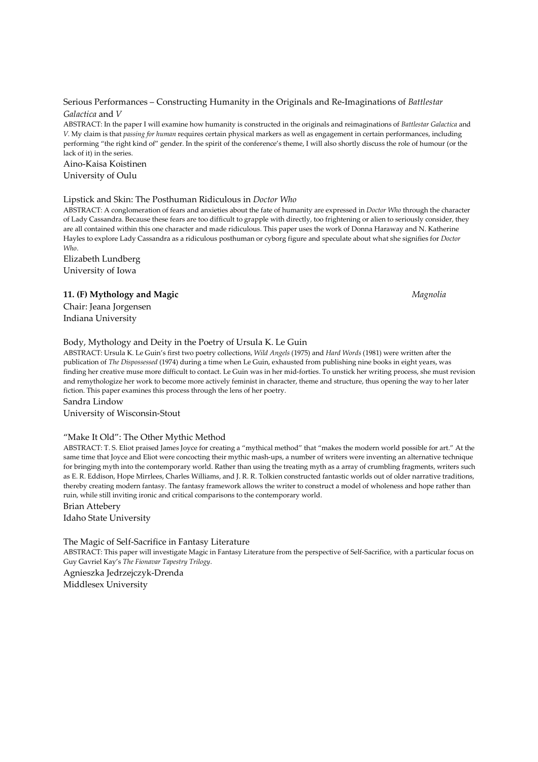#### Serious Performances – Constructing Humanity in the Originals and Re-Imaginations of Battlestar Galactica and V

ABSTRACT: In the paper I will examine how humanity is constructed in the originals and reimaginations of Battlestar Galactica and V. My claim is that passing for human requires certain physical markers as well as engagement in certain performances, including performing "the right kind of" gender. In the spirit of the conference's theme, I will also shortly discuss the role of humour (or the lack of it) in the series.

# Aino-Kaisa Koistinen

University of Oulu

#### Lipstick and Skin: The Posthuman Ridiculous in Doctor Who

ABSTRACT: A conglomeration of fears and anxieties about the fate of humanity are expressed in *Doctor Who* through the character of Lady Cassandra. Because these fears are too difficult to grapple with directly, too frightening or alien to seriously consider, they are all contained within this one character and made ridiculous. This paper uses the work of Donna Haraway and N. Katherine Hayles to explore Lady Cassandra as a ridiculous posthuman or cyborg figure and speculate about what she signifies for Doctor Who.

Elizabeth Lundberg University of Iowa

# 11. (F) Mythology and Magic Magnolia

Chair: Jeana Jorgensen Indiana University

# Body, Mythology and Deity in the Poetry of Ursula K. Le Guin

ABSTRACT: Ursula K. Le Guin's first two poetry collections, Wild Angels (1975) and Hard Words (1981) were written after the publication of The Dispossessed (1974) during a time when Le Guin, exhausted from publishing nine books in eight years, was finding her creative muse more difficult to contact. Le Guin was in her mid-forties. To unstick her writing process, she must revision and remythologize her work to become more actively feminist in character, theme and structure, thus opening the way to her later fiction. This paper examines this process through the lens of her poetry.

Sandra Lindow

University of Wisconsin-Stout

#### "Make It Old": The Other Mythic Method

ABSTRACT: T. S. Eliot praised James Joyce for creating a "mythical method" that "makes the modern world possible for art." At the same time that Joyce and Eliot were concocting their mythic mash-ups, a number of writers were inventing an alternative technique for bringing myth into the contemporary world. Rather than using the treating myth as a array of crumbling fragments, writers such as E. R. Eddison, Hope Mirrlees, Charles Williams, and J. R. R. Tolkien constructed fantastic worlds out of older narrative traditions, thereby creating modern fantasy. The fantasy framework allows the writer to construct a model of wholeness and hope rather than ruin, while still inviting ironic and critical comparisons to the contemporary world.

Brian Attebery

Idaho State University

The Magic of Self-Sacrifice in Fantasy Literature

ABSTRACT: This paper will investigate Magic in Fantasy Literature from the perspective of Self-Sacrifice, with a particular focus on Guy Gavriel Kay's The Fionavar Tapestry Trilogy.

Agnieszka Jedrzejczyk-Drenda Middlesex University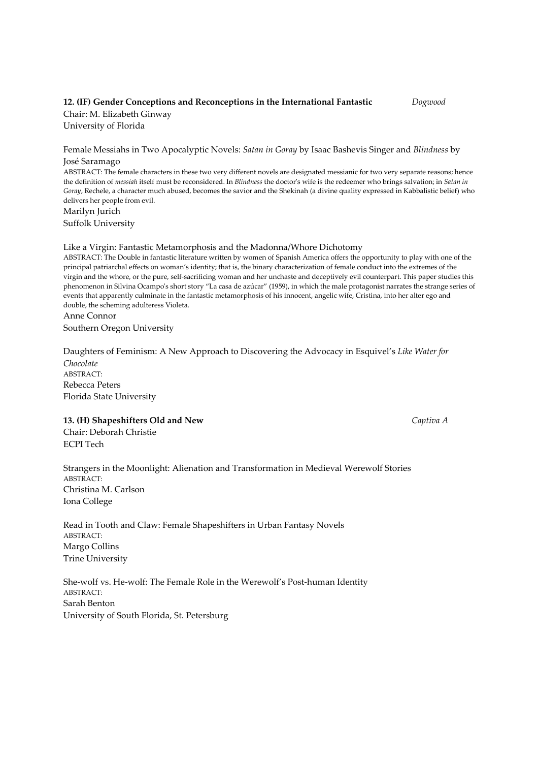#### 12. (IF) Gender Conceptions and Reconceptions in the International Fantastic Dogwood Chair: M. Elizabeth Ginway

University of Florida

Female Messiahs in Two Apocalyptic Novels: Satan in Goray by Isaac Bashevis Singer and Blindness by José Saramago

ABSTRACT: The female characters in these two very different novels are designated messianic for two very separate reasons; hence the definition of messiah itself must be reconsidered. In Blindness the doctor's wife is the redeemer who brings salvation; in Satan in Goray, Rechele, a character much abused, becomes the savior and the Shekinah (a divine quality expressed in Kabbalistic belief) who delivers her people from evil.

Marilyn Jurich Suffolk University

#### Like a Virgin: Fantastic Metamorphosis and the Madonna/Whore Dichotomy

ABSTRACT: The Double in fantastic literature written by women of Spanish America offers the opportunity to play with one of the principal patriarchal effects on woman's identity; that is, the binary characterization of female conduct into the extremes of the virgin and the whore, or the pure, self-sacrificing woman and her unchaste and deceptively evil counterpart. This paper studies this phenomenon in Silvina Ocampo's short story "La casa de azúcar" (1959), in which the male protagonist narrates the strange series of events that apparently culminate in the fantastic metamorphosis of his innocent, angelic wife, Cristina, into her alter ego and double, the scheming adulteress Violeta.

Anne Connor Southern Oregon University

Daughters of Feminism: A New Approach to Discovering the Advocacy in Esquivel's Like Water for Chocolate ABSTRACT: Rebecca Peters Florida State University

# 13. (H) Shapeshifters Old and New Captiva A

Chair: Deborah Christie ECPI Tech

Strangers in the Moonlight: Alienation and Transformation in Medieval Werewolf Stories ABSTRACT: Christina M. Carlson Iona College

Read in Tooth and Claw: Female Shapeshifters in Urban Fantasy Novels ABSTRACT: Margo Collins Trine University

She-wolf vs. He-wolf: The Female Role in the Werewolf's Post-human Identity ABSTRACT: Sarah Benton University of South Florida, St. Petersburg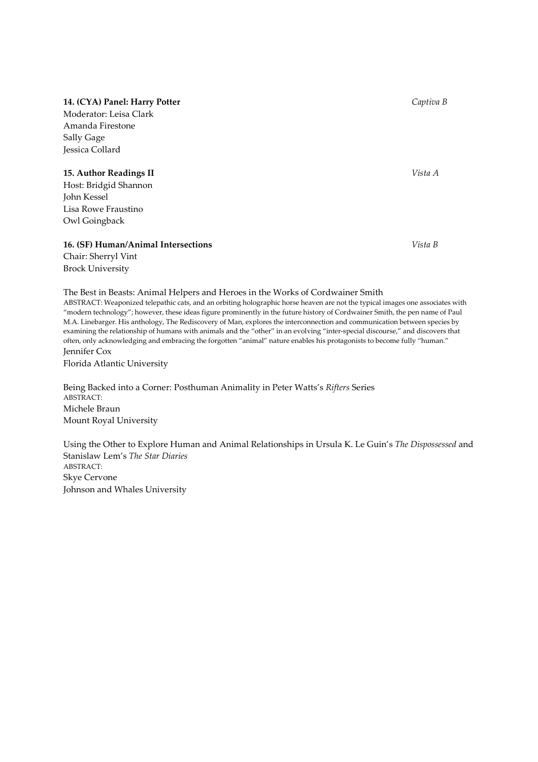# 14. (CYA) Panel: Harry Potter Captiva B

Moderator: Leisa Clark Amanda Firestone Sally Gage Jessica Collard

# 15. Author Readings II Vista A

Host: Bridgid Shannon John Kessel Lisa Rowe Fraustino Owl Goingback

### 16. (SF) Human/Animal Intersections Vista B

Chair: Sherryl Vint Brock University

# The Best in Beasts: Animal Helpers and Heroes in the Works of Cordwainer Smith

ABSTRACT: Weaponized telepathic cats, and an orbiting holographic horse heaven are not the typical images one associates with "modern technology"; however, these ideas figure prominently in the future history of Cordwainer Smith, the pen name of Paul M.A. Linebarger. His anthology, The Rediscovery of Man, explores the interconnection and communication between species by examining the relationship of humans with animals and the "other" in an evolving "inter-special discourse," and discovers that often, only acknowledging and embracing the forgotten "animal" nature enables his protagonists to become fully "human." Jennifer Cox

Florida Atlantic University

Being Backed into a Corner: Posthuman Animality in Peter Watts's Rifters Series ABSTRACT: Michele Braun Mount Royal University

Using the Other to Explore Human and Animal Relationships in Ursula K. Le Guin's The Dispossessed and Stanislaw Lem's The Star Diaries ABSTRACT: Skye Cervone Johnson and Whales University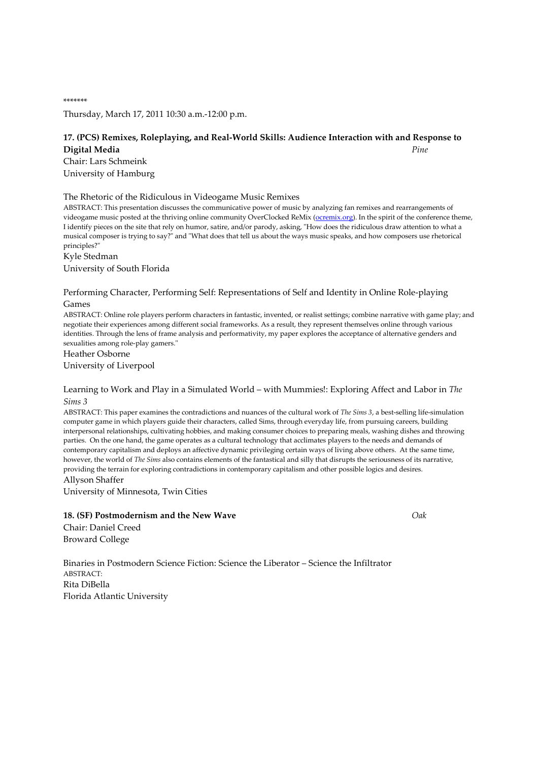Thursday, March 17, 2011 10:30 a.m.-12:00 p.m.

# 17. (PCS) Remixes, Roleplaying, and Real-World Skills: Audience Interaction with and Response to Digital Media Pine

Chair: Lars Schmeink University of Hamburg

\*\*\*\*\*\*\*

The Rhetoric of the Ridiculous in Videogame Music Remixes

ABSTRACT: This presentation discusses the communicative power of music by analyzing fan remixes and rearrangements of videogame music posted at the thriving online community OverClocked ReMix (ocremix.org). In the spirit of the conference theme, I identify pieces on the site that rely on humor, satire, and/or parody, asking, "How does the ridiculous draw attention to what a musical composer is trying to say?" and "What does that tell us about the ways music speaks, and how composers use rhetorical principles?"

Kyle Stedman University of South Florida

Performing Character, Performing Self: Representations of Self and Identity in Online Role-playing Games

ABSTRACT: Online role players perform characters in fantastic, invented, or realist settings; combine narrative with game play; and negotiate their experiences among different social frameworks. As a result, they represent themselves online through various identities. Through the lens of frame analysis and performativity, my paper explores the acceptance of alternative genders and sexualities among role-play gamers."

Heather Osborne University of Liverpool

## Learning to Work and Play in a Simulated World – with Mummies!: Exploring Affect and Labor in The Sims 3

ABSTRACT: This paper examines the contradictions and nuances of the cultural work of The Sims 3, a best-selling life-simulation computer game in which players guide their characters, called Sims, through everyday life, from pursuing careers, building interpersonal relationships, cultivating hobbies, and making consumer choices to preparing meals, washing dishes and throwing parties. On the one hand, the game operates as a cultural technology that acclimates players to the needs and demands of contemporary capitalism and deploys an affective dynamic privileging certain ways of living above others. At the same time, however, the world of The Sims also contains elements of the fantastical and silly that disrupts the seriousness of its narrative, providing the terrain for exploring contradictions in contemporary capitalism and other possible logics and desires.

Allyson Shaffer

University of Minnesota, Twin Cities

# 18. (SF) Postmodernism and the New Wave Oak

Chair: Daniel Creed Broward College

Binaries in Postmodern Science Fiction: Science the Liberator – Science the Infiltrator ABSTRACT: Rita DiBella Florida Atlantic University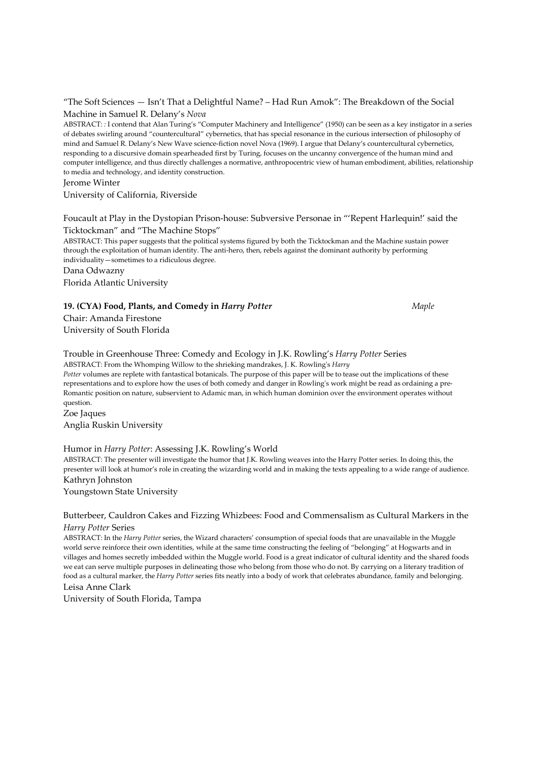| "The Soft Sciences — Isn't That a Delightful Name? – Had Run Amok": The Breakdown of the Social |  |
|-------------------------------------------------------------------------------------------------|--|
| Machine in Samuel R. Delany's Nova                                                              |  |

ABSTRACT: : I contend that Alan Turing's "Computer Machinery and Intelligence" (1950) can be seen as a key instigator in a series of debates swirling around "countercultural" cybernetics, that has special resonance in the curious intersection of philosophy of mind and Samuel R. Delany's New Wave science-fiction novel Nova (1969). I argue that Delany's countercultural cybernetics, responding to a discursive domain spearheaded first by Turing, focuses on the uncanny convergence of the human mind and computer intelligence, and thus directly challenges a normative, anthropocentric view of human embodiment, abilities, relationship to media and technology, and identity construction.

Jerome Winter

University of California, Riverside

### Foucault at Play in the Dystopian Prison-house: Subversive Personae in "'Repent Harlequin!' said the Ticktockman" and "The Machine Stops"

ABSTRACT: This paper suggests that the political systems figured by both the Ticktockman and the Machine sustain power through the exploitation of human identity. The anti-hero, then, rebels against the dominant authority by performing individuality—sometimes to a ridiculous degree.

Dana Odwazny

Florida Atlantic University

19. (CYA) Food, Plants, and Comedy in Harry Potter Maple Chair: Amanda Firestone University of South Florida

Trouble in Greenhouse Three: Comedy and Ecology in J.K. Rowling's Harry Potter Series ABSTRACT: From the Whomping Willow to the shrieking mandrakes, J. K. Rowling's Harry

Potter volumes are replete with fantastical botanicals. The purpose of this paper will be to tease out the implications of these representations and to explore how the uses of both comedy and danger in Rowling's work might be read as ordaining a pre-Romantic position on nature, subservient to Adamic man, in which human dominion over the environment operates without question.

Zoe Jaques Anglia Ruskin University

#### Humor in Harry Potter: Assessing J.K. Rowling's World

ABSTRACT: The presenter will investigate the humor that J.K. Rowling weaves into the Harry Potter series. In doing this, the presenter will look at humor's role in creating the wizarding world and in making the texts appealing to a wide range of audience. Kathryn Johnston

Youngstown State University

# Butterbeer, Cauldron Cakes and Fizzing Whizbees: Food and Commensalism as Cultural Markers in the Harry Potter Series

ABSTRACT: In the Harry Potter series, the Wizard characters' consumption of special foods that are unavailable in the Muggle world serve reinforce their own identities, while at the same time constructing the feeling of "belonging" at Hogwarts and in villages and homes secretly imbedded within the Muggle world. Food is a great indicator of cultural identity and the shared foods we eat can serve multiple purposes in delineating those who belong from those who do not. By carrying on a literary tradition of food as a cultural marker, the Harry Potter series fits neatly into a body of work that celebrates abundance, family and belonging. Leisa Anne Clark

University of South Florida, Tampa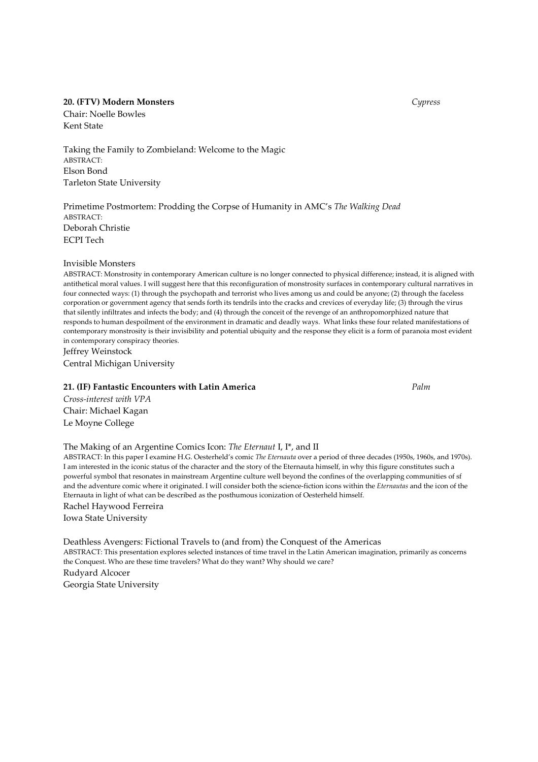# 20. (FTV) Modern Monsters **Cypress** Cypress Cypress Cypress Cypress Cypress Cypress Cypress Cypress Cypress Cypress Cypress Cypress Cypress Cypress Cypress Cypress Cypress Cypress Cypress Cypress Cypress Cypress Cypress Cy

Chair: Noelle Bowles Kent State

Taking the Family to Zombieland: Welcome to the Magic ABSTRACT: Elson Bond Tarleton State University

Primetime Postmortem: Prodding the Corpse of Humanity in AMC's The Walking Dead ABSTRACT: Deborah Christie ECPI Tech

#### Invisible Monsters

ABSTRACT: Monstrosity in contemporary American culture is no longer connected to physical difference; instead, it is aligned with antithetical moral values. I will suggest here that this reconfiguration of monstrosity surfaces in contemporary cultural narratives in four connected ways: (1) through the psychopath and terrorist who lives among us and could be anyone; (2) through the faceless corporation or government agency that sends forth its tendrils into the cracks and crevices of everyday life; (3) through the virus that silently infiltrates and infects the body; and (4) through the conceit of the revenge of an anthropomorphized nature that responds to human despoilment of the environment in dramatic and deadly ways. What links these four related manifestations of contemporary monstrosity is their invisibility and potential ubiquity and the response they elicit is a form of paranoia most evident in contemporary conspiracy theories.

Jeffrey Weinstock Central Michigan University

#### 21. (IF) Fantastic Encounters with Latin America **Palm** Palm

Cross-interest with VPA Chair: Michael Kagan Le Moyne College

# The Making of an Argentine Comics Icon: The Eternaut I, I\*, and II

ABSTRACT: In this paper I examine H.G. Oesterheld's comic The Eternauta over a period of three decades (1950s, 1960s, and 1970s). I am interested in the iconic status of the character and the story of the Eternauta himself, in why this figure constitutes such a powerful symbol that resonates in mainstream Argentine culture well beyond the confines of the overlapping communities of sf and the adventure comic where it originated. I will consider both the science-fiction icons within the Eternautas and the icon of the Eternauta in light of what can be described as the posthumous iconization of Oesterheld himself. Rachel Haywood Ferreira Iowa State University

Deathless Avengers: Fictional Travels to (and from) the Conquest of the Americas ABSTRACT: This presentation explores selected instances of time travel in the Latin American imagination, primarily as concerns the Conquest. Who are these time travelers? What do they want? Why should we care? Rudyard Alcocer Georgia State University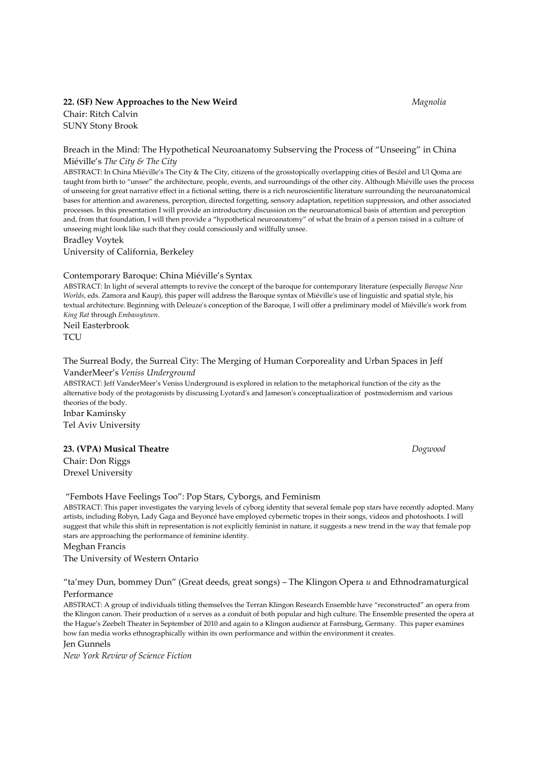# 22. (SF) New Approaches to the New Weird Magnolia Chair: Ritch Calvin SUNY Stony Brook

#### Breach in the Mind: The Hypothetical Neuroanatomy Subserving the Process of "Unseeing" in China Miéville's The City & The City

ABSTRACT: In China Miéville's The City & The City, citizens of the grosstopically overlapping cities of Besźel and Ul Qoma are taught from birth to "unsee" the architecture, people, events, and surroundings of the other city. Although Miéville uses the process of unseeing for great narrative effect in a fictional setting, there is a rich neuroscientific literature surrounding the neuroanatomical bases for attention and awareness, perception, directed forgetting, sensory adaptation, repetition suppression, and other associated processes. In this presentation I will provide an introductory discussion on the neuroanatomical basis of attention and perception and, from that foundation, I will then provide a "hypothetical neuroanatomy" of what the brain of a person raised in a culture of unseeing might look like such that they could consciously and willfully unsee.

Bradley Voytek

University of California, Berkeley

#### Contemporary Baroque: China Miéville's Syntax

ABSTRACT: In light of several attempts to revive the concept of the baroque for contemporary literature (especially Baroque New Worlds, eds. Zamora and Kaup), this paper will address the Baroque syntax of Miéville's use of linguistic and spatial style, his textual architecture. Beginning with Deleuze's conception of the Baroque, I will offer a preliminary model of Miéville's work from King Rat through Embassytown.

Neil Easterbrook **TCU** 

# The Surreal Body, the Surreal City: The Merging of Human Corporeality and Urban Spaces in Jeff VanderMeer's Veniss Underground

ABSTRACT: Jeff VanderMeer's Veniss Underground is explored in relation to the metaphorical function of the city as the alternative body of the protagonists by discussing Lyotard's and Jameson's conceptualization of postmodernism and various theories of the body.

Inbar Kaminsky Tel Aviv University

#### 23. (VPA) Musical Theatre **Dogwood**

Chair: Don Riggs Drexel University

#### "Fembots Have Feelings Too": Pop Stars, Cyborgs, and Feminism

ABSTRACT: This paper investigates the varying levels of cyborg identity that several female pop stars have recently adopted. Many artists, including Robyn, Lady Gaga and Beyoncé have employed cybernetic tropes in their songs, videos and photoshoots. I will suggest that while this shift in representation is not explicitly feminist in nature, it suggests a new trend in the way that female pop stars are approaching the performance of feminine identity.

#### Meghan Francis

The University of Western Ontario

#### "ta'mey Dun, bommey Dun" (Great deeds, great songs) – The Klingon Opera  $u$  and Ethnodramaturgical Performance

ABSTRACT: A group of individuals titling themselves the Terran Klingon Research Ensemble have "reconstructed" an opera from the Klingon canon. Their production of u serves as a conduit of both popular and high culture. The Ensemble presented the opera at the Hague's Zeebelt Theater in September of 2010 and again to a Klingon audience at Farnsburg, Germany. This paper examines how fan media works ethnographically within its own performance and within the environment it creates.

### Jen Gunnels

New York Review of Science Fiction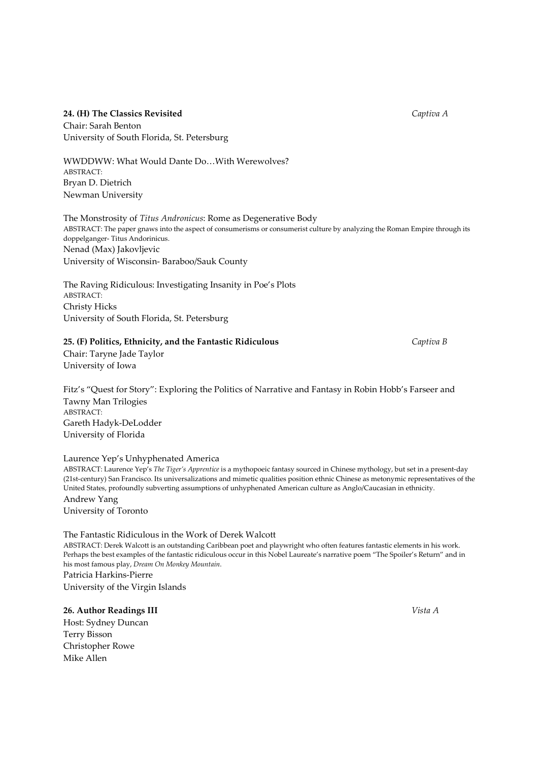# 24. (H) The Classics Revisited Captiva A

Chair: Sarah Benton University of South Florida, St. Petersburg

WWDDWW: What Would Dante Do…With Werewolves? ABSTRACT: Bryan D. Dietrich Newman University

The Monstrosity of Titus Andronicus: Rome as Degenerative Body ABSTRACT: The paper gnaws into the aspect of consumerisms or consumerist culture by analyzing the Roman Empire through its doppelganger- Titus Andorinicus. Nenad (Max) Jakovljevic University of Wisconsin- Baraboo/Sauk County

The Raving Ridiculous: Investigating Insanity in Poe's Plots ABSTRACT: Christy Hicks University of South Florida, St. Petersburg

#### 25. (F) Politics, Ethnicity, and the Fantastic Ridiculous Captiva B Captiva B

Chair: Taryne Jade Taylor University of Iowa

Fitz's "Quest for Story": Exploring the Politics of Narrative and Fantasy in Robin Hobb's Farseer and Tawny Man Trilogies ABSTRACT: Gareth Hadyk-DeLodder University of Florida

#### Laurence Yep's Unhyphenated America

ABSTRACT: Laurence Yep's The Tiger's Apprentice is a mythopoeic fantasy sourced in Chinese mythology, but set in a present-day (21st-century) San Francisco. Its universalizations and mimetic qualities position ethnic Chinese as metonymic representatives of the United States, profoundly subverting assumptions of unhyphenated American culture as Anglo/Caucasian in ethnicity. Andrew Yang

University of Toronto

#### The Fantastic Ridiculous in the Work of Derek Walcott

ABSTRACT: Derek Walcott is an outstanding Caribbean poet and playwright who often features fantastic elements in his work. Perhaps the best examples of the fantastic ridiculous occur in this Nobel Laureate's narrative poem "The Spoiler's Return" and in his most famous play, Dream On Monkey Mountain.

Patricia Harkins-Pierre University of the Virgin Islands

26. Author Readings III Vista A

Host: Sydney Duncan Terry Bisson Christopher Rowe Mike Allen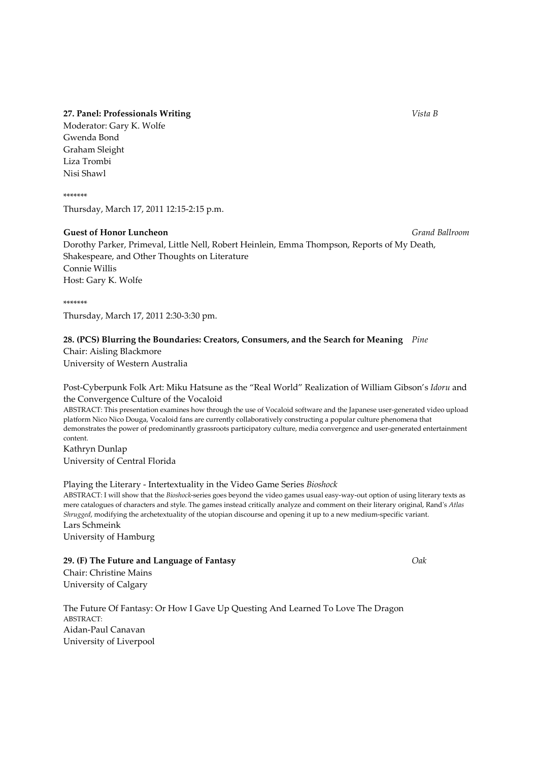#### 27. Panel: Professionals Writing Vista B

Moderator: Gary K. Wolfe Gwenda Bond Graham Sleight Liza Trombi Nisi Shawl

\*\*\*\*\*\*\* Thursday, March 17, 2011 12:15-2:15 p.m.

# Guest of Honor Luncheon Grand Ballroom Grand Ballroom

Dorothy Parker, Primeval, Little Nell, Robert Heinlein, Emma Thompson, Reports of My Death, Shakespeare, and Other Thoughts on Literature Connie Willis Host: Gary K. Wolfe

#### \*\*\*\*\*\*\*

Thursday, March 17, 2011 2:30-3:30 pm.

#### 28. (PCS) Blurring the Boundaries: Creators, Consumers, and the Search for Meaning Pine

Chair: Aisling Blackmore University of Western Australia

#### Post-Cyberpunk Folk Art: Miku Hatsune as the "Real World" Realization of William Gibson's Idoru and the Convergence Culture of the Vocaloid

ABSTRACT: This presentation examines how through the use of Vocaloid software and the Japanese user-generated video upload platform Nico Nico Douga, Vocaloid fans are currently collaboratively constructing a popular culture phenomena that demonstrates the power of predominantly grassroots participatory culture, media convergence and user-generated entertainment content.

Kathryn Dunlap University of Central Florida

#### Playing the Literary - Intertextuality in the Video Game Series Bioshock

ABSTRACT: I will show that the Bioshock-series goes beyond the video games usual easy-way-out option of using literary texts as mere catalogues of characters and style. The games instead critically analyze and comment on their literary original, Rand's Atlas Shrugged, modifying the archetextuality of the utopian discourse and opening it up to a new medium-specific variant. Lars Schmeink

University of Hamburg

### 29. (F) The Future and Language of Fantasy  $Oak$

Chair: Christine Mains University of Calgary

The Future Of Fantasy: Or How I Gave Up Questing And Learned To Love The Dragon ABSTRACT: Aidan-Paul Canavan University of Liverpool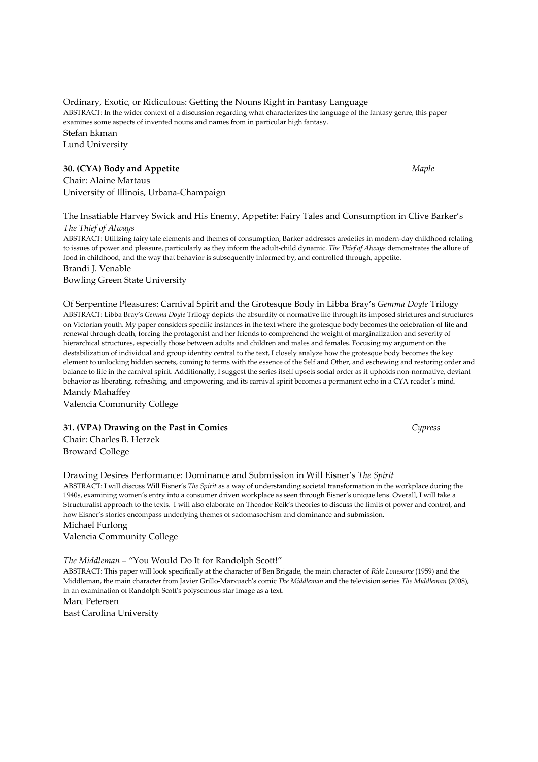Ordinary, Exotic, or Ridiculous: Getting the Nouns Right in Fantasy Language ABSTRACT: In the wider context of a discussion regarding what characterizes the language of the fantasy genre, this paper examines some aspects of invented nouns and names from in particular high fantasy. Stefan Ekman Lund University

#### 30. (CYA) Body and Appetite Maple Maple Maple Maple Maple

Chair: Alaine Martaus University of Illinois, Urbana-Champaign

The Insatiable Harvey Swick and His Enemy, Appetite: Fairy Tales and Consumption in Clive Barker's The Thief of Always

ABSTRACT: Utilizing fairy tale elements and themes of consumption, Barker addresses anxieties in modern-day childhood relating to issues of power and pleasure, particularly as they inform the adult-child dynamic. The Thief of Always demonstrates the allure of food in childhood, and the way that behavior is subsequently informed by, and controlled through, appetite. Brandi J. Venable

Bowling Green State University

Of Serpentine Pleasures: Carnival Spirit and the Grotesque Body in Libba Bray's Gemma Doyle Trilogy ABSTRACT: Libba Bray's Gemma Doyle Trilogy depicts the absurdity of normative life through its imposed strictures and structures on Victorian youth. My paper considers specific instances in the text where the grotesque body becomes the celebration of life and renewal through death, forcing the protagonist and her friends to comprehend the weight of marginalization and severity of hierarchical structures, especially those between adults and children and males and females. Focusing my argument on the destabilization of individual and group identity central to the text, I closely analyze how the grotesque body becomes the key element to unlocking hidden secrets, coming to terms with the essence of the Self and Other, and eschewing and restoring order and balance to life in the carnival spirit. Additionally, I suggest the series itself upsets social order as it upholds non-normative, deviant behavior as liberating, refreshing, and empowering, and its carnival spirit becomes a permanent echo in a CYA reader's mind. Mandy Mahaffey

Valencia Community College

#### 31. (VPA) Drawing on the Past in Comics Cypress

Chair: Charles B. Herzek Broward College

#### Drawing Desires Performance: Dominance and Submission in Will Eisner's The Spirit

ABSTRACT: I will discuss Will Eisner's The Spirit as a way of understanding societal transformation in the workplace during the 1940s, examining women's entry into a consumer driven workplace as seen through Eisner's unique lens. Overall, I will take a Structuralist approach to the texts. I will also elaborate on Theodor Reik's theories to discuss the limits of power and control, and how Eisner's stories encompass underlying themes of sadomasochism and dominance and submission.

#### Michael Furlong

Valencia Community College

The Middleman – "You Would Do It for Randolph Scott!"

ABSTRACT: This paper will look specifically at the character of Ben Brigade, the main character of Ride Lonesome (1959) and the Middleman, the main character from Javier Grillo-Marxuach's comic The Middleman and the television series The Middleman (2008), in an examination of Randolph Scott's polysemous star image as a text.

Marc Petersen

East Carolina University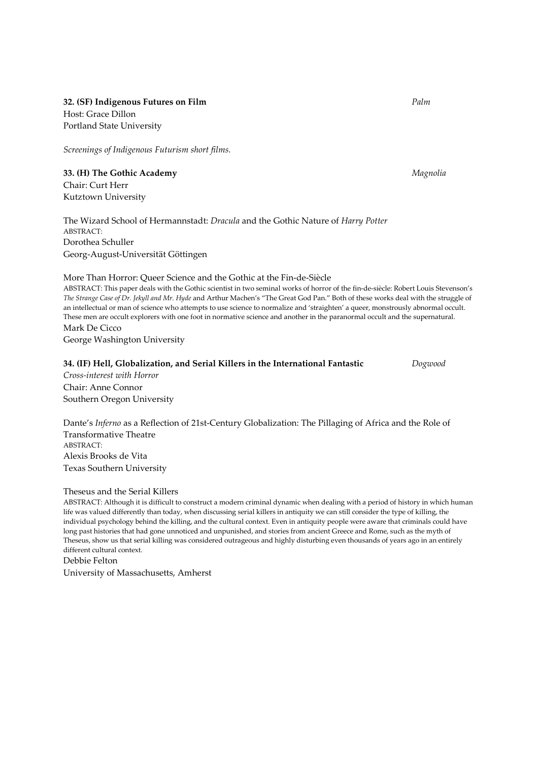32. (SF) Indigenous Futures on Film **Palm** Palm Palm Palm Palm Host: Grace Dillon Portland State University

Screenings of Indigenous Futurism short films.

33. (H) The Gothic Academy Magnolia Chair: Curt Herr Kutztown University

The Wizard School of Hermannstadt: Dracula and the Gothic Nature of Harry Potter ABSTRACT: Dorothea Schuller Georg-August-Universität Göttingen

#### More Than Horror: Queer Science and the Gothic at the Fin-de-Siècle

ABSTRACT: This paper deals with the Gothic scientist in two seminal works of horror of the fin-de-siècle: Robert Louis Stevenson's The Strange Case of Dr. Jekyll and Mr. Hyde and Arthur Machen's "The Great God Pan." Both of these works deal with the struggle of an intellectual or man of science who attempts to use science to normalize and 'straighten' a queer, monstrously abnormal occult. These men are occult explorers with one foot in normative science and another in the paranormal occult and the supernatural. Mark De Cicco George Washington University

#### 34. (IF) Hell, Globalization, and Serial Killers in the International Fantastic Dogwood

Cross-interest with Horror Chair: Anne Connor Southern Oregon University

Dante's Inferno as a Reflection of 21st-Century Globalization: The Pillaging of Africa and the Role of Transformative Theatre ABSTRACT: Alexis Brooks de Vita Texas Southern University

# Theseus and the Serial Killers

ABSTRACT: Although it is difficult to construct a modern criminal dynamic when dealing with a period of history in which human life was valued differently than today, when discussing serial killers in antiquity we can still consider the type of killing, the individual psychology behind the killing, and the cultural context. Even in antiquity people were aware that criminals could have long past histories that had gone unnoticed and unpunished, and stories from ancient Greece and Rome, such as the myth of Theseus, show us that serial killing was considered outrageous and highly disturbing even thousands of years ago in an entirely different cultural context.

Debbie Felton University of Massachusetts, Amherst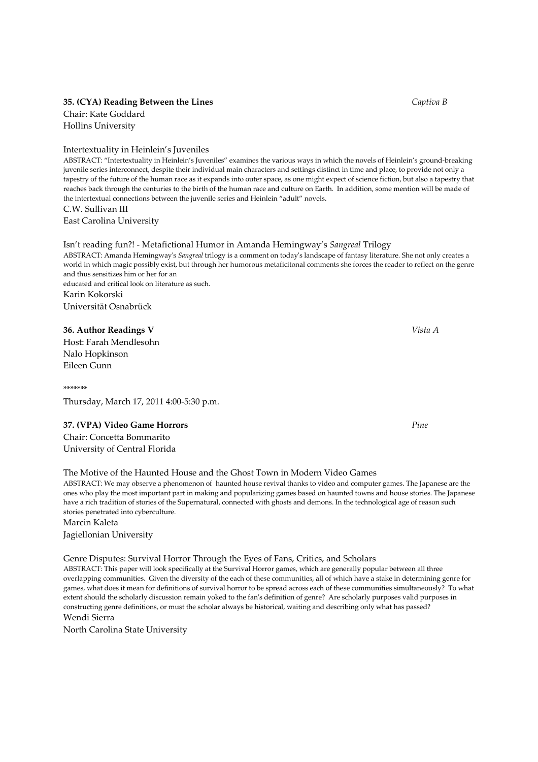#### 35. (CYA) Reading Between the Lines Captiva B

Chair: Kate Goddard Hollins University

Intertextuality in Heinlein's Juveniles

ABSTRACT: "Intertextuality in Heinlein's Juveniles" examines the various ways in which the novels of Heinlein's ground-breaking juvenile series interconnect, despite their individual main characters and settings distinct in time and place, to provide not only a tapestry of the future of the human race as it expands into outer space, as one might expect of science fiction, but also a tapestry that reaches back through the centuries to the birth of the human race and culture on Earth. In addition, some mention will be made of the intertextual connections between the juvenile series and Heinlein "adult" novels. C.W. Sullivan III

East Carolina University

#### Isn't reading fun?! - Metafictional Humor in Amanda Hemingway's Sangreal Trilogy

ABSTRACT: Amanda Hemingway's Sangreal trilogy is a comment on today's landscape of fantasy literature. She not only creates a world in which magic possibly exist, but through her humorous metaficitonal comments she forces the reader to reflect on the genre and thus sensitizes him or her for an educated and critical look on literature as such. Karin Kokorski

Universität Osnabrück

#### 36. Author Readings V Vista A

Host: Farah Mendlesohn Nalo Hopkinson Eileen Gunn

\*\*\*\*\*\*\* Thursday, March 17, 2011 4:00-5:30 p.m.

#### 37. (VPA) Video Game Horrors **Pine** *Pine*

Chair: Concetta Bommarito University of Central Florida

#### The Motive of the Haunted House and the Ghost Town in Modern Video Games

ABSTRACT: We may observe a phenomenon of haunted house revival thanks to video and computer games. The Japanese are the ones who play the most important part in making and popularizing games based on haunted towns and house stories. The Japanese have a rich tradition of stories of the Supernatural, connected with ghosts and demons. In the technological age of reason such stories penetrated into cyberculture.

## Marcin Kaleta

Jagiellonian University

#### Genre Disputes: Survival Horror Through the Eyes of Fans, Critics, and Scholars

ABSTRACT: This paper will look specifically at the Survival Horror games, which are generally popular between all three overlapping communities. Given the diversity of the each of these communities, all of which have a stake in determining genre for games, what does it mean for definitions of survival horror to be spread across each of these communities simultaneously? To what extent should the scholarly discussion remain yoked to the fan's definition of genre? Are scholarly purposes valid purposes in constructing genre definitions, or must the scholar always be historical, waiting and describing only what has passed?

# Wendi Sierra

North Carolina State University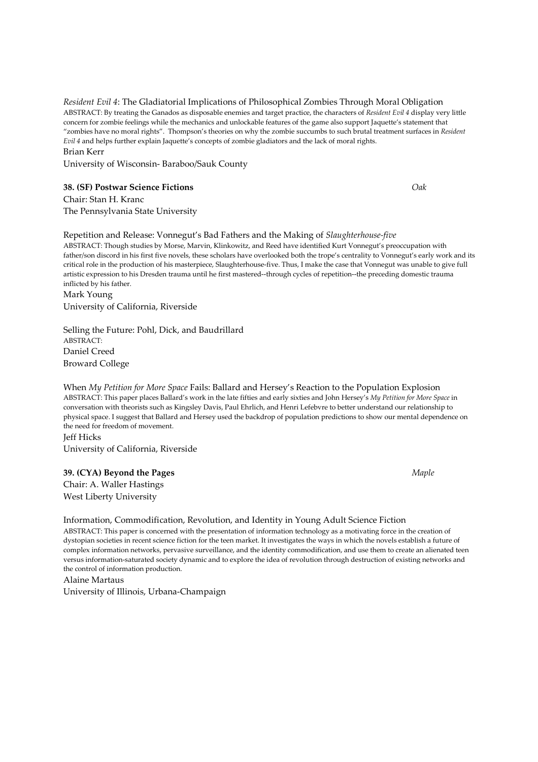Resident Evil 4: The Gladiatorial Implications of Philosophical Zombies Through Moral Obligation ABSTRACT: By treating the Ganados as disposable enemies and target practice, the characters of Resident Evil 4 display very little concern for zombie feelings while the mechanics and unlockable features of the game also support Jaquette's statement that "zombies have no moral rights". Thompson's theories on why the zombie succumbs to such brutal treatment surfaces in Resident Evil 4 and helps further explain Jaquette's concepts of zombie gladiators and the lack of moral rights. Brian Kerr

University of Wisconsin- Baraboo/Sauk County

#### 38. (SF) Postwar Science Fictions Oak

Chair: Stan H. Kranc The Pennsylvania State University

Repetition and Release: Vonnegut's Bad Fathers and the Making of Slaughterhouse-five ABSTRACT: Though studies by Morse, Marvin, Klinkowitz, and Reed have identified Kurt Vonnegut's preoccupation with father/son discord in his first five novels, these scholars have overlooked both the trope's centrality to Vonnegut's early work and its critical role in the production of his masterpiece, Slaughterhouse-five. Thus, I make the case that Vonnegut was unable to give full artistic expression to his Dresden trauma until he first mastered--through cycles of repetition--the preceding domestic trauma inflicted by his father. Mark Young

University of California, Riverside

Selling the Future: Pohl, Dick, and Baudrillard ABSTRACT: Daniel Creed Broward College

When My Petition for More Space Fails: Ballard and Hersey's Reaction to the Population Explosion ABSTRACT: This paper places Ballard's work in the late fifties and early sixties and John Hersey's My Petition for More Space in conversation with theorists such as Kingsley Davis, Paul Ehrlich, and Henri Lefebvre to better understand our relationship to physical space. I suggest that Ballard and Hersey used the backdrop of population predictions to show our mental dependence on the need for freedom of movement.

Jeff Hicks University of California, Riverside

#### 39. (CYA) Beyond the Pages Maple

Chair: A. Waller Hastings West Liberty University

#### Information, Commodification, Revolution, and Identity in Young Adult Science Fiction

ABSTRACT: This paper is concerned with the presentation of information technology as a motivating force in the creation of dystopian societies in recent science fiction for the teen market. It investigates the ways in which the novels establish a future of complex information networks, pervasive surveillance, and the identity commodification, and use them to create an alienated teen versus information-saturated society dynamic and to explore the idea of revolution through destruction of existing networks and the control of information production.

Alaine Martaus University of Illinois, Urbana-Champaign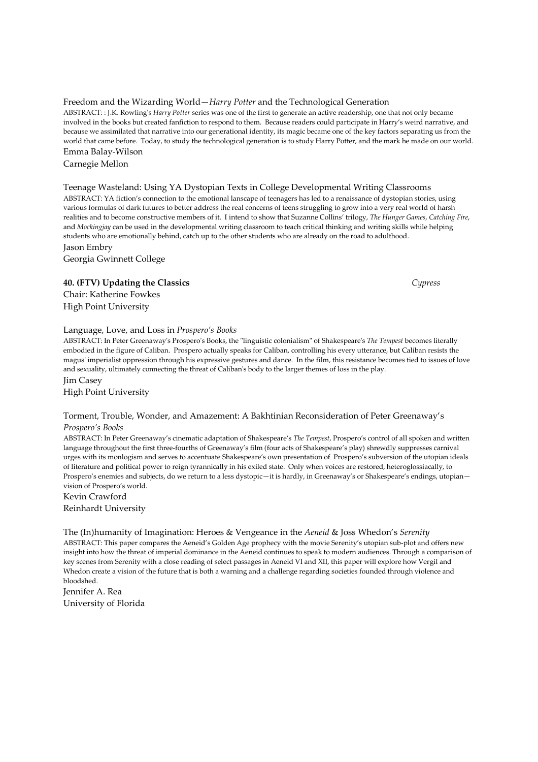# Freedom and the Wizarding World—Harry Potter and the Technological Generation

ABSTRACT: : J.K. Rowling's Harry Potter series was one of the first to generate an active readership, one that not only became involved in the books but created fanfiction to respond to them. Because readers could participate in Harry's weird narrative, and because we assimilated that narrative into our generational identity, its magic became one of the key factors separating us from the world that came before. Today, to study the technological generation is to study Harry Potter, and the mark he made on our world. Emma Balay-Wilson

Carnegie Mellon

# Teenage Wasteland: Using YA Dystopian Texts in College Developmental Writing Classrooms

ABSTRACT: YA fiction's connection to the emotional lanscape of teenagers has led to a renaissance of dystopian stories, using various formulas of dark futures to better address the real concerns of teens struggling to grow into a very real world of harsh realities and to become constructive members of it. I intend to show that Suzanne Collins' trilogy, The Hunger Games, Catching Fire, and Mockingjay can be used in the developmental writing classroom to teach critical thinking and writing skills while helping students who are emotionally behind, catch up to the other students who are already on the road to adulthood. Jason Embry

Georgia Gwinnett College

# 40. (FTV) Updating the Classics Cypress

Chair: Katherine Fowkes High Point University

# Language, Love, and Loss in Prospero's Books

ABSTRACT: In Peter Greenaway's Prospero's Books, the "linguistic colonialism" of Shakespeare's The Tempest becomes literally embodied in the figure of Caliban. Prospero actually speaks for Caliban, controlling his every utterance, but Caliban resists the magus' imperialist oppression through his expressive gestures and dance. In the film, this resistance becomes tied to issues of love and sexuality, ultimately connecting the threat of Caliban's body to the larger themes of loss in the play. Jim Casey

High Point University

#### Torment, Trouble, Wonder, and Amazement: A Bakhtinian Reconsideration of Peter Greenaway's Prospero's Books

ABSTRACT: In Peter Greenaway's cinematic adaptation of Shakespeare's The Tempest, Prospero's control of all spoken and written language throughout the first three-fourths of Greenaway's film (four acts of Shakespeare's play) shrewdly suppresses carnival urges with its monlogism and serves to accentuate Shakespeare's own presentation of Prospero's subversion of the utopian ideals of literature and political power to reign tyrannically in his exiled state. Only when voices are restored, heteroglossiacally, to Prospero's enemies and subjects, do we return to a less dystopic—it is hardly, in Greenaway's or Shakespeare's endings, utopian vision of Prospero's world.

Kevin Crawford Reinhardt University

The (In)humanity of Imagination: Heroes & Vengeance in the *Aeneid* & Joss Whedon's Serenity ABSTRACT: This paper compares the Aeneid's Golden Age prophecy with the movie Serenity's utopian sub-plot and offers new insight into how the threat of imperial dominance in the Aeneid continues to speak to modern audiences. Through a comparison of key scenes from Serenity with a close reading of select passages in Aeneid VI and XII, this paper will explore how Vergil and Whedon create a vision of the future that is both a warning and a challenge regarding societies founded through violence and bloodshed.

Jennifer A. Rea University of Florida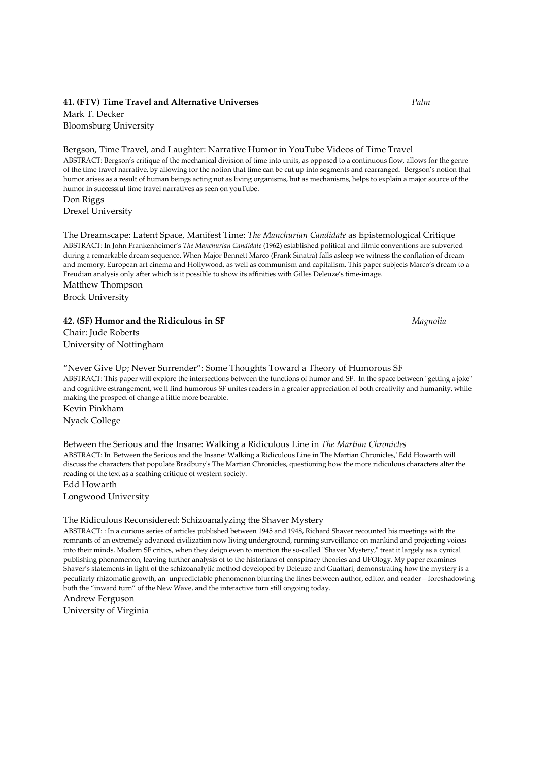#### 41. (FTV) Time Travel and Alternative Universes The Palm Palm

Mark T. Decker Bloomsburg University

Bergson, Time Travel, and Laughter: Narrative Humor in YouTube Videos of Time Travel ABSTRACT: Bergson's critique of the mechanical division of time into units, as opposed to a continuous flow, allows for the genre of the time travel narrative, by allowing for the notion that time can be cut up into segments and rearranged. Bergson's notion that humor arises as a result of human beings acting not as living organisms, but as mechanisms, helps to explain a major source of the humor in successful time travel narratives as seen on youTube. Don Riggs

Drexel University

The Dreamscape: Latent Space, Manifest Time: The Manchurian Candidate as Epistemological Critique ABSTRACT: In John Frankenheimer's The Manchurian Candidate (1962) established political and filmic conventions are subverted during a remarkable dream sequence. When Major Bennett Marco (Frank Sinatra) falls asleep we witness the conflation of dream and memory, European art cinema and Hollywood, as well as communism and capitalism. This paper subjects Marco's dream to a Freudian analysis only after which is it possible to show its affinities with Gilles Deleuze's time-image. Matthew Thompson

Brock University

#### 42. (SF) Humor and the Ridiculous in SF Magnolia

Chair: Jude Roberts University of Nottingham

"Never Give Up; Never Surrender": Some Thoughts Toward a Theory of Humorous SF ABSTRACT: This paper will explore the intersections between the functions of humor and SF. In the space between "getting a joke" and cognitive estrangement, we'll find humorous SF unites readers in a greater appreciation of both creativity and humanity, while making the prospect of change a little more bearable. Kevin Pinkham

Nyack College

Between the Serious and the Insane: Walking a Ridiculous Line in The Martian Chronicles ABSTRACT: In 'Between the Serious and the Insane: Walking a Ridiculous Line in The Martian Chronicles,' Edd Howarth will discuss the characters that populate Bradbury's The Martian Chronicles, questioning how the more ridiculous characters alter the reading of the text as a scathing critique of western society.

Edd Howarth Longwood University

#### The Ridiculous Reconsidered: Schizoanalyzing the Shaver Mystery

ABSTRACT: : In a curious series of articles published between 1945 and 1948, Richard Shaver recounted his meetings with the remnants of an extremely advanced civilization now living underground, running surveillance on mankind and projecting voices into their minds. Modern SF critics, when they deign even to mention the so-called "Shaver Mystery," treat it largely as a cynical publishing phenomenon, leaving further analysis of to the historians of conspiracy theories and UFOlogy. My paper examines Shaver's statements in light of the schizoanalytic method developed by Deleuze and Guattari, demonstrating how the mystery is a peculiarly rhizomatic growth, an unpredictable phenomenon blurring the lines between author, editor, and reader—foreshadowing both the "inward turn" of the New Wave, and the interactive turn still ongoing today.

Andrew Ferguson

University of Virginia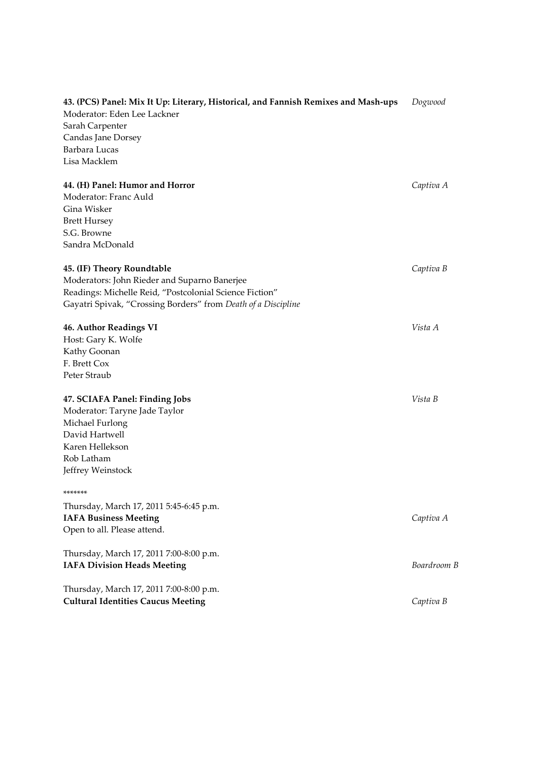| 43. (PCS) Panel: Mix It Up: Literary, Historical, and Fannish Remixes and Mash-ups | Dogwood     |
|------------------------------------------------------------------------------------|-------------|
| Moderator: Eden Lee Lackner                                                        |             |
| Sarah Carpenter                                                                    |             |
| Candas Jane Dorsey                                                                 |             |
| Barbara Lucas                                                                      |             |
| Lisa Macklem                                                                       |             |
| 44. (H) Panel: Humor and Horror                                                    | Captiva A   |
| Moderator: Franc Auld                                                              |             |
| Gina Wisker                                                                        |             |
| <b>Brett Hursey</b>                                                                |             |
| S.G. Browne                                                                        |             |
| Sandra McDonald                                                                    |             |
| <b>45. (IF) Theory Roundtable</b>                                                  | Captiva B   |
| Moderators: John Rieder and Suparno Banerjee                                       |             |
| Readings: Michelle Reid, "Postcolonial Science Fiction"                            |             |
| Gayatri Spivak, "Crossing Borders" from Death of a Discipline                      |             |
| <b>46. Author Readings VI</b>                                                      | Vista A     |
| Host: Gary K. Wolfe                                                                |             |
| Kathy Goonan                                                                       |             |
| F. Brett Cox                                                                       |             |
| Peter Straub                                                                       |             |
| 47. SCIAFA Panel: Finding Jobs                                                     | Vista B     |
| Moderator: Taryne Jade Taylor                                                      |             |
| Michael Furlong                                                                    |             |
| David Hartwell                                                                     |             |
| Karen Hellekson                                                                    |             |
| Rob Latham                                                                         |             |
| Jeffrey Weinstock                                                                  |             |
| *******                                                                            |             |
| Thursday, March 17, 2011 5:45-6:45 p.m.                                            |             |
| <b>IAFA Business Meeting</b>                                                       | Captiva A   |
| Open to all. Please attend.                                                        |             |
| Thursday, March 17, 2011 7:00-8:00 p.m.                                            |             |
| <b>IAFA Division Heads Meeting</b>                                                 | Boardroom B |
| Thursday, March 17, 2011 7:00-8:00 p.m.                                            |             |
| <b>Cultural Identities Caucus Meeting</b>                                          | Captiva B   |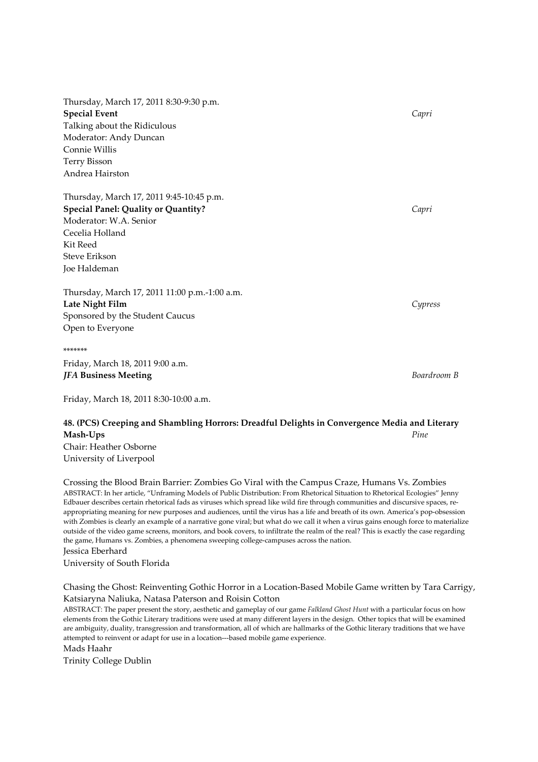Thursday, March 17, 2011 8:30-9:30 p.m. Special Event Capri Talking about the Ridiculous Moderator: Andy Duncan Connie Willis Terry Bisson Andrea Hairston

Thursday, March 17, 2011 9:45-10:45 p.m. Special Panel: Quality or Quantity? Capricate Special Panel: Quality or Quantity? Moderator: W.A. Senior Cecelia Holland Kit Reed Steve Erikson Joe Haldeman

Thursday, March 17, 2011 11:00 p.m.-1:00 a.m. Late Night Film Cypress Sponsored by the Student Caucus Open to Everyone

\*\*\*\*\*\*\* Friday, March 18, 2011 9:00 a.m. **IFA Business Meeting** Boardroom B

Friday, March 18, 2011 8:30-10:00 a.m.

# 48. (PCS) Creeping and Shambling Horrors: Dreadful Delights in Convergence Media and Literary  $\bf{Mash Ups}$  Pine  $\bf{P}$ Chair: Heather Osborne

University of Liverpool

Crossing the Blood Brain Barrier: Zombies Go Viral with the Campus Craze, Humans Vs. Zombies ABSTRACT: In her article, "Unframing Models of Public Distribution: From Rhetorical Situation to Rhetorical Ecologies" Jenny Edbauer describes certain rhetorical fads as viruses which spread like wild fire through communities and discursive spaces, reappropriating meaning for new purposes and audiences, until the virus has a life and breath of its own. America's pop-obsession with Zombies is clearly an example of a narrative gone viral; but what do we call it when a virus gains enough force to materialize outside of the video game screens, monitors, and book covers, to infiltrate the realm of the real? This is exactly the case regarding the game, Humans vs. Zombies, a phenomena sweeping college-campuses across the nation. Jessica Eberhard University of South Florida

Chasing the Ghost: Reinventing Gothic Horror in a Location-Based Mobile Game written by Tara Carrigy, Katsiaryna Naliuka, Natasa Paterson and Roisin Cotton

ABSTRACT: The paper present the story, aesthetic and gameplay of our game Falkland Ghost Hunt with a particular focus on how elements from the Gothic Literary traditions were used at many different layers in the design. Other topics that will be examined are ambiguity, duality, transgression and transformation, all of which are hallmarks of the Gothic literary traditions that we have attempted to reinvent or adapt for use in a location---based mobile game experience. Mads Haahr

Trinity College Dublin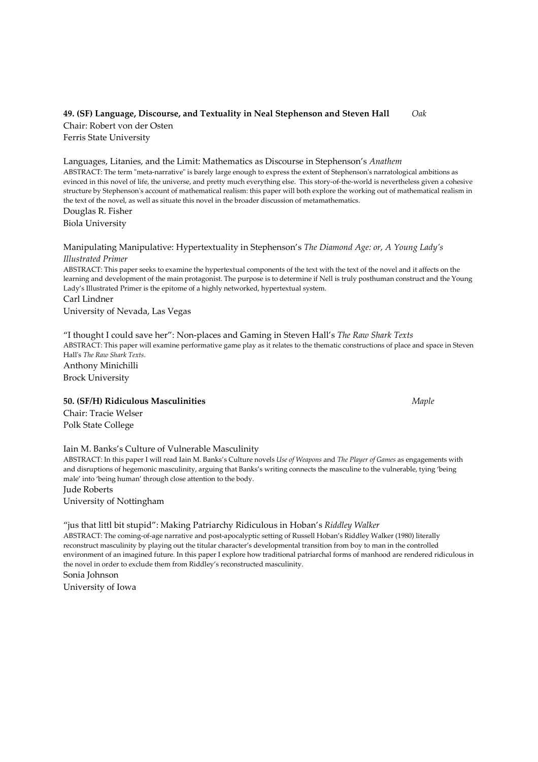# 49. (SF) Language, Discourse, and Textuality in Neal Stephenson and Steven Hall Oak

Chair: Robert von der Osten Ferris State University

Languages, Litanies, and the Limit: Mathematics as Discourse in Stephenson's Anathem ABSTRACT: The term "meta-narrative" is barely large enough to express the extent of Stephenson's narratological ambitions as evinced in this novel of life, the universe, and pretty much everything else. This story-of-the-world is nevertheless given a cohesive structure by Stephenson's account of mathematical realism: this paper will both explore the working out of mathematical realism in the text of the novel, as well as situate this novel in the broader discussion of metamathematics.

Douglas R. Fisher Biola University

Manipulating Manipulative: Hypertextuality in Stephenson's The Diamond Age: or, A Young Lady's Illustrated Primer ABSTRACT: This paper seeks to examine the hypertextual components of the text with the text of the novel and it affects on the learning and development of the main protagonist. The purpose is to determine if Nell is truly posthuman construct and the Young Lady's Illustrated Primer is the epitome of a highly networked, hypertextual system. Carl Lindner University of Nevada, Las Vegas

"I thought I could save her": Non-places and Gaming in Steven Hall's The Raw Shark Texts ABSTRACT: This paper will examine performative game play as it relates to the thematic constructions of place and space in Steven Hall's The Raw Shark Texts. Anthony Minichilli

Brock University

50. (SF/H) Ridiculous Masculinities Maple 2006 and the Maple 2006 Maple

Chair: Tracie Welser Polk State College

#### Iain M. Banks's Culture of Vulnerable Masculinity

ABSTRACT: In this paper I will read Iain M. Banks's Culture novels Use of Weapons and The Player of Games as engagements with and disruptions of hegemonic masculinity, arguing that Banks's writing connects the masculine to the vulnerable, tying 'being male' into 'being human' through close attention to the body.

Jude Roberts

University of Nottingham

#### "jus that littl bit stupid": Making Patriarchy Ridiculous in Hoban's Riddley Walker

ABSTRACT: The coming-of-age narrative and post-apocalyptic setting of Russell Hoban's Riddley Walker (1980) literally reconstruct masculinity by playing out the titular character's developmental transition from boy to man in the controlled environment of an imagined future. In this paper I explore how traditional patriarchal forms of manhood are rendered ridiculous in the novel in order to exclude them from Riddley's reconstructed masculinity. Sonia Johnson

University of Iowa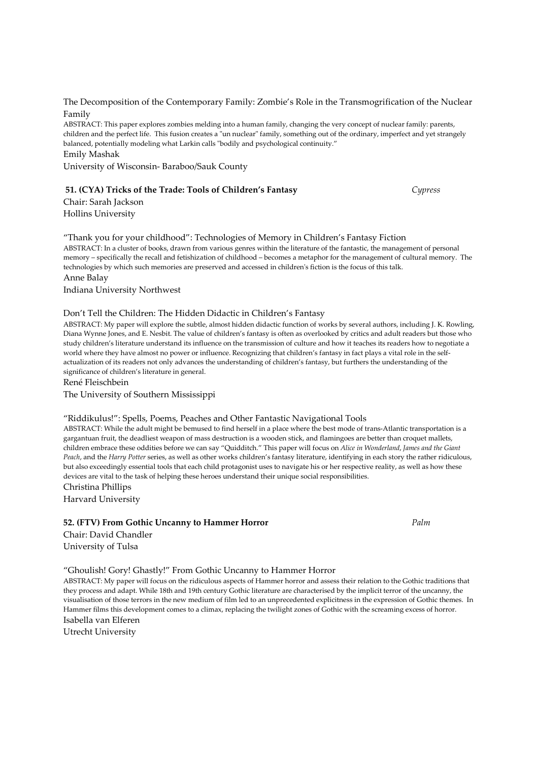The Decomposition of the Contemporary Family: Zombie's Role in the Transmogrification of the Nuclear Family

ABSTRACT: This paper explores zombies melding into a human family, changing the very concept of nuclear family: parents, children and the perfect life. This fusion creates a "un nuclear" family, something out of the ordinary, imperfect and yet strangely balanced, potentially modeling what Larkin calls "bodily and psychological continuity." Emily Mashak

University of Wisconsin- Baraboo/Sauk County

#### 51. (CYA) Tricks of the Trade: Tools of Children's Fantasy Cypress

Chair: Sarah Jackson Hollins University

"Thank you for your childhood": Technologies of Memory in Children's Fantasy Fiction ABSTRACT: In a cluster of books, drawn from various genres within the literature of the fantastic, the management of personal memory – specifically the recall and fetishization of childhood – becomes a metaphor for the management of cultural memory. The technologies by which such memories are preserved and accessed in children's fiction is the focus of this talk. Anne Balay

Indiana University Northwest

#### Don't Tell the Children: The Hidden Didactic in Children's Fantasy

ABSTRACT: My paper will explore the subtle, almost hidden didactic function of works by several authors, including J. K. Rowling, Diana Wynne Jones, and E. Nesbit. The value of children's fantasy is often as overlooked by critics and adult readers but those who study children's literature understand its influence on the transmission of culture and how it teaches its readers how to negotiate a world where they have almost no power or influence. Recognizing that children's fantasy in fact plays a vital role in the selfactualization of its readers not only advances the understanding of children's fantasy, but furthers the understanding of the significance of children's literature in general.

René Fleischbein

The University of Southern Mississippi

#### "Riddikulus!": Spells, Poems, Peaches and Other Fantastic Navigational Tools

ABSTRACT: While the adult might be bemused to find herself in a place where the best mode of trans-Atlantic transportation is a gargantuan fruit, the deadliest weapon of mass destruction is a wooden stick, and flamingoes are better than croquet mallets, children embrace these oddities before we can say "Quidditch." This paper will focus on Alice in Wonderland, James and the Giant Peach, and the Harry Potter series, as well as other works children's fantasy literature, identifying in each story the rather ridiculous, but also exceedingly essential tools that each child protagonist uses to navigate his or her respective reality, as well as how these devices are vital to the task of helping these heroes understand their unique social responsibilities.

Christina Phillips

Harvard University

#### 52. (FTV) From Gothic Uncanny to Hammer Horror Palm

Chair: David Chandler University of Tulsa

#### "Ghoulish! Gory! Ghastly!" From Gothic Uncanny to Hammer Horror

ABSTRACT: My paper will focus on the ridiculous aspects of Hammer horror and assess their relation to the Gothic traditions that they process and adapt. While 18th and 19th century Gothic literature are characterised by the implicit terror of the uncanny, the visualisation of those terrors in the new medium of film led to an unprecedented explicitness in the expression of Gothic themes. In Hammer films this development comes to a climax, replacing the twilight zones of Gothic with the screaming excess of horror. Isabella van Elferen

Utrecht University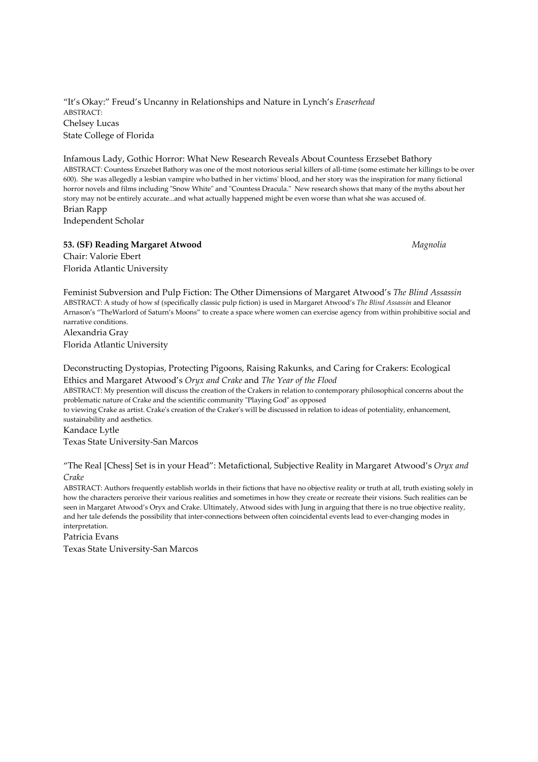"It's Okay:" Freud's Uncanny in Relationships and Nature in Lynch's Eraserhead ABSTRACT: Chelsey Lucas State College of Florida

Infamous Lady, Gothic Horror: What New Research Reveals About Countess Erzsebet Bathory ABSTRACT: Countess Erszebet Bathory was one of the most notorious serial killers of all-time (some estimate her killings to be over 600). She was allegedly a lesbian vampire who bathed in her victims' blood, and her story was the inspiration for many fictional horror novels and films including "Snow White" and "Countess Dracula." New research shows that many of the myths about her story may not be entirely accurate...and what actually happened might be even worse than what she was accused of. Brian Rapp

Independent Scholar

#### 53. (SF) Reading Margaret Atwood Magnolia and Security Magnolia

Chair: Valorie Ebert Florida Atlantic University

Feminist Subversion and Pulp Fiction: The Other Dimensions of Margaret Atwood's The Blind Assassin ABSTRACT: A study of how sf (specifically classic pulp fiction) is used in Margaret Atwood's The Blind Assassin and Eleanor Arnason's "TheWarlord of Saturn's Moons" to create a space where women can exercise agency from within prohibitive social and narrative conditions.

Alexandria Gray Florida Atlantic University

#### Deconstructing Dystopias, Protecting Pigoons, Raising Rakunks, and Caring for Crakers: Ecological Ethics and Margaret Atwood's Oryx and Crake and The Year of the Flood ABSTRACT: My presention will discuss the creation of the Crakers in relation to contemporary philosophical concerns about the problematic nature of Crake and the scientific community "Playing God" as opposed to viewing Crake as artist. Crake's creation of the Craker's will be discussed in relation to ideas of potentiality, enhancement, sustainability and aesthetics. Kandace Lytle

Texas State University-San Marcos

"The Real [Chess] Set is in your Head": Metafictional, Subjective Reality in Margaret Atwood's Oryx and Crake

ABSTRACT: Authors frequently establish worlds in their fictions that have no objective reality or truth at all, truth existing solely in how the characters perceive their various realities and sometimes in how they create or recreate their visions. Such realities can be seen in Margaret Atwood's Oryx and Crake. Ultimately, Atwood sides with Jung in arguing that there is no true objective reality, and her tale defends the possibility that inter-connections between often coincidental events lead to ever-changing modes in interpretation.

Patricia Evans

Texas State University-San Marcos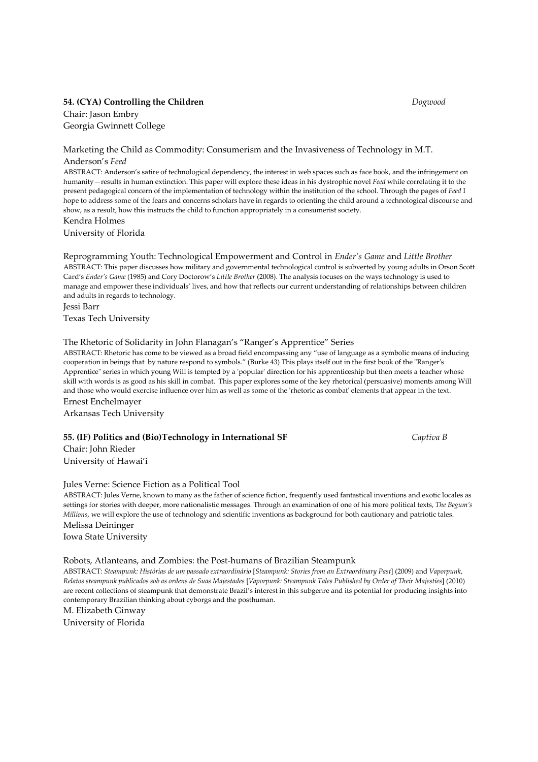# 54. (CYA) Controlling the Children Dogwood

Chair: Jason Embry Georgia Gwinnett College

#### Marketing the Child as Commodity: Consumerism and the Invasiveness of Technology in M.T. Anderson's Feed

ABSTRACT: Anderson's satire of technological dependency, the interest in web spaces such as face book, and the infringement on humanity—results in human extinction. This paper will explore these ideas in his dystrophic novel Feed while correlating it to the present pedagogical concern of the implementation of technology within the institution of the school. Through the pages of Feed I hope to address some of the fears and concerns scholars have in regards to orienting the child around a technological discourse and show, as a result, how this instructs the child to function appropriately in a consumerist society.

Kendra Holmes University of Florida

Reprogramming Youth: Technological Empowerment and Control in Ender's Game and Little Brother ABSTRACT: This paper discusses how military and governmental technological control is subverted by young adults in Orson Scott Card's Ender's Game (1985) and Cory Doctorow's Little Brother (2008). The analysis focuses on the ways technology is used to manage and empower these individuals' lives, and how that reflects our current understanding of relationships between children and adults in regards to technology.

Jessi Barr Texas Tech University

#### The Rhetoric of Solidarity in John Flanagan's "Ranger's Apprentice" Series

ABSTRACT: Rhetoric has come to be viewed as a broad field encompassing any "use of language as a symbolic means of inducing cooperation in beings that by nature respond to symbols." (Burke 43) This plays itself out in the first book of the "Ranger's Apprentice" series in which young Will is tempted by a 'popular' direction for his apprenticeship but then meets a teacher whose skill with words is as good as his skill in combat. This paper explores some of the key rhetorical (persuasive) moments among Will and those who would exercise influence over him as well as some of the 'rhetoric as combat' elements that appear in the text. Ernest Enchelmayer

Arkansas Tech University

#### 55. (IF) Politics and (Bio)Technology in International SF Captiva B

Chair: John Rieder University of Hawai'i

#### Jules Verne: Science Fiction as a Political Tool

ABSTRACT: Jules Verne, known to many as the father of science fiction, frequently used fantastical inventions and exotic locales as settings for stories with deeper, more nationalistic messages. Through an examination of one of his more political texts, The Begum's Millions, we will explore the use of technology and scientific inventions as background for both cautionary and patriotic tales. Melissa Deininger

Iowa State University

#### Robots, Atlanteans, and Zombies: the Post-humans of Brazilian Steampunk

ABSTRACT: Steampunk: Histórias de um passado extraordinário [Steampunk: Stories from an Extraordinary Past] (2009) and Vaporpunk, Relatos steampunk publicados sob as ordens de Suas Majestades [Vaporpunk: Steampunk Tales Published by Order of Their Majesties] (2010) are recent collections of steampunk that demonstrate Brazil's interest in this subgenre and its potential for producing insights into contemporary Brazilian thinking about cyborgs and the posthuman.

M. Elizabeth Ginway

University of Florida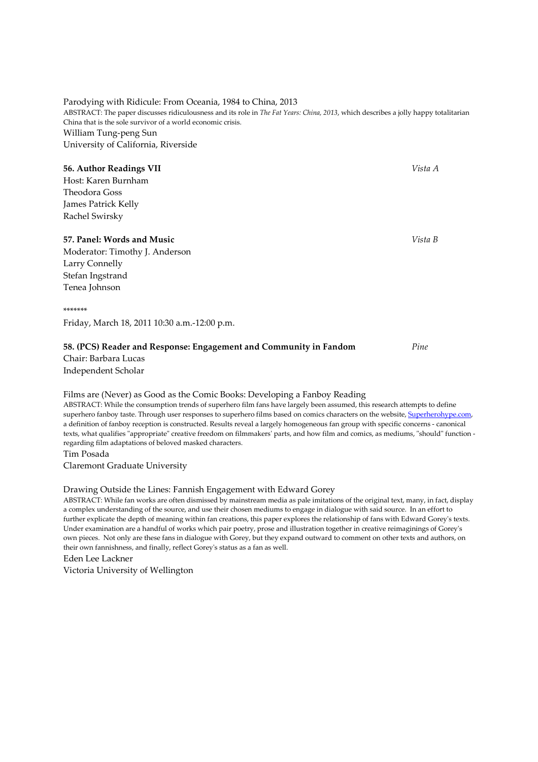# Parodying with Ridicule: From Oceania, 1984 to China, 2013

ABSTRACT: The paper discusses ridiculousness and its role in The Fat Years: China, 2013, which describes a jolly happy totalitarian China that is the sole survivor of a world economic crisis. William Tung-peng Sun University of California, Riverside

#### 56. Author Readings VII Vista A

Host: Karen Burnham Theodora Goss James Patrick Kelly Rachel Swirsky

#### 57. Panel: Words and Music Vista B and Service Structure of the Vista B vista B and Vista B vista B

Moderator: Timothy J. Anderson Larry Connelly Stefan Ingstrand Tenea Johnson

\*\*\*\*\*\*\*

Friday, March 18, 2011 10:30 a.m.-12:00 p.m.

#### 58. (PCS) Reader and Response: Engagement and Community in Fandom *Pine*

Chair: Barbara Lucas Independent Scholar

#### Films are (Never) as Good as the Comic Books: Developing a Fanboy Reading

ABSTRACT: While the consumption trends of superhero film fans have largely been assumed, this research attempts to define superhero fanboy taste. Through user responses to superhero films based on comics characters on the website, Superherohype.com, a definition of fanboy reception is constructed. Results reveal a largely homogeneous fan group with specific concerns - canonical texts, what qualifies "appropriate" creative freedom on filmmakers' parts, and how film and comics, as mediums, "should" function regarding film adaptations of beloved masked characters.

Tim Posada

Claremont Graduate University

#### Drawing Outside the Lines: Fannish Engagement with Edward Gorey

ABSTRACT: While fan works are often dismissed by mainstream media as pale imitations of the original text, many, in fact, display a complex understanding of the source, and use their chosen mediums to engage in dialogue with said source. In an effort to further explicate the depth of meaning within fan creations, this paper explores the relationship of fans with Edward Gorey's texts. Under examination are a handful of works which pair poetry, prose and illustration together in creative reimaginings of Gorey's own pieces. Not only are these fans in dialogue with Gorey, but they expand outward to comment on other texts and authors, on their own fannishness, and finally, reflect Gorey's status as a fan as well.

Eden Lee Lackner

Victoria University of Wellington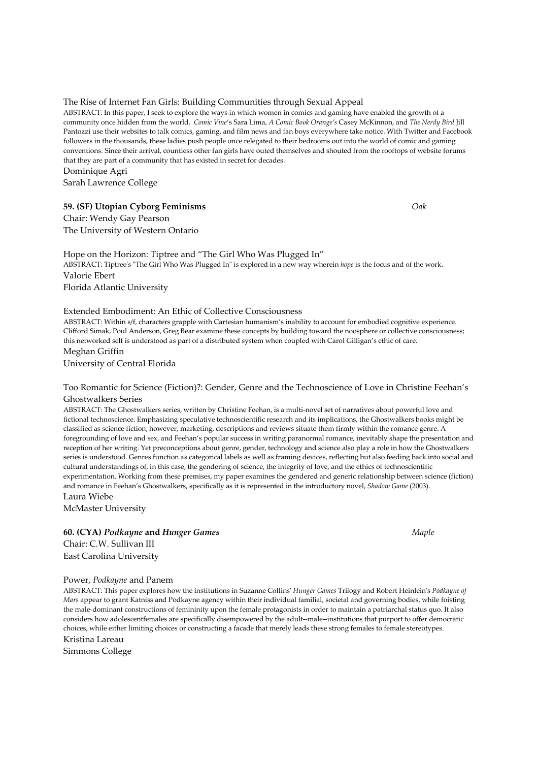#### The Rise of Internet Fan Girls: Building Communities through Sexual Appeal

ABSTRACT: In this paper, I seek to explore the ways in which women in comics and gaming have enabled the growth of a community once hidden from the world. Comic Vine's Sara Lima, A Comic Book Orange's Casey McKinnon, and The Nerdy Bird Jill Pantozzi use their websites to talk comics, gaming, and film news and fan boys everywhere take notice. With Twitter and Facebook followers in the thousands, these ladies push people once relegated to their bedrooms out into the world of comic and gaming conventions. Since their arrival, countless other fan girls have outed themselves and shouted from the rooftops of website forums that they are part of a community that has existed in secret for decades.

Dominique Agri

Sarah Lawrence College

#### 59. (SF) Utopian Cyborg Feminisms Oak

Chair: Wendy Gay Pearson The University of Western Ontario

Hope on the Horizon: Tiptree and "The Girl Who Was Plugged In" ABSTRACT: Tiptree's "The Girl Who Was Plugged In" is explored in a new way wherein hope is the focus and of the work. Valorie Ebert Florida Atlantic University

#### Extended Embodiment: An Ethic of Collective Consciousness

ABSTRACT: Within s/f, characters grapple with Cartesian humanism's inability to account for embodied cognitive experience. Clifford Simak, Poul Anderson, Greg Bear examine these concepts by building toward the noosphere or collective consciousness; this networked self is understood as part of a distributed system when coupled with Carol Gilligan's ethic of care. Meghan Griffin

University of Central Florida

#### Too Romantic for Science (Fiction)?: Gender, Genre and the Technoscience of Love in Christine Feehan's Ghostwalkers Series

ABSTRACT: The Ghostwalkers series, written by Christine Feehan, is a multi-novel set of narratives about powerful love and fictional technoscience. Emphasizing speculative technoscientific research and its implications, the Ghostwalkers books might be classified as science fiction; however, marketing, descriptions and reviews situate them firmly within the romance genre. A foregrounding of love and sex, and Feehan's popular success in writing paranormal romance, inevitably shape the presentation and reception of her writing. Yet preconceptions about genre, gender, technology and science also play a role in how the Ghostwalkers series is understood. Genres function as categorical labels as well as framing devices, reflecting but also feeding back into social and cultural understandings of, in this case, the gendering of science, the integrity of love, and the ethics of technoscientific experimentation. Working from these premises, my paper examines the gendered and generic relationship between science (fiction) and romance in Feehan's Ghostwalkers, specifically as it is represented in the introductory novel, Shadow Game (2003). Laura Wiebe

McMaster University

60. (CYA) Podkayne and Hunger Games Maple 30. (CYA) Maple Chair: C.W. Sullivan III East Carolina University

#### Power, Podkayne and Panem

ABSTRACT: This paper explores how the institutions in Suzanne Collins' Hunger Games Trilogy and Robert Heinlein's Podkayne of Mars appear to grant Katniss and Podkayne agency within their individual familial, societal and governing bodies, while foisting the male-dominant constructions of femininity upon the female protagonists in order to maintain a patriarchal status quo. It also considers how adolescentfemales are specifically disempowered by the adult--male--institutions that purport to offer democratic choices, while either limiting choices or constructing a facade that merely leads these strong females to female stereotypes.

Kristina Lareau

Simmons College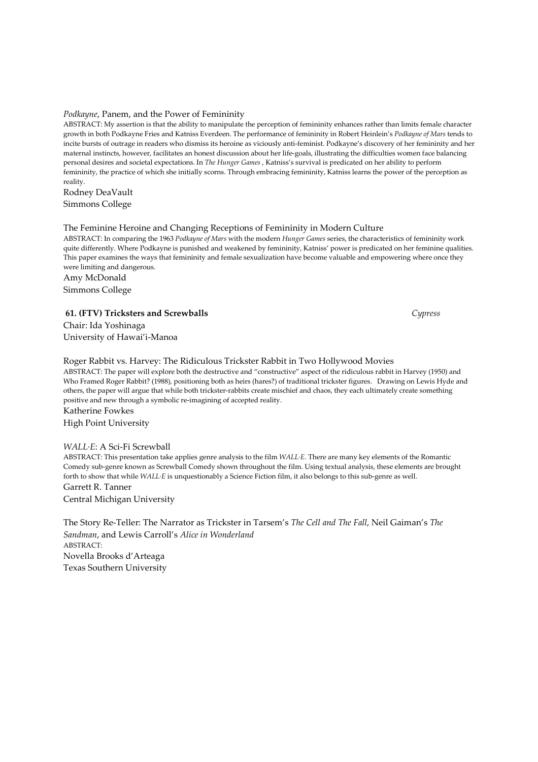#### Podkayne, Panem, and the Power of Femininity

ABSTRACT: My assertion is that the ability to manipulate the perception of femininity enhances rather than limits female character growth in both Podkayne Fries and Katniss Everdeen. The performance of femininity in Robert Heinlein's Podkayne of Mars tends to incite bursts of outrage in readers who dismiss its heroine as viciously anti-feminist. Podkayne's discovery of her femininity and her maternal instincts, however, facilitates an honest discussion about her life-goals, illustrating the difficulties women face balancing personal desires and societal expectations. In The Hunger Games , Katniss's survival is predicated on her ability to perform femininity, the practice of which she initially scorns. Through embracing femininity, Katniss learns the power of the perception as reality.

Rodney DeaVault Simmons College

#### The Feminine Heroine and Changing Receptions of Femininity in Modern Culture

ABSTRACT: In comparing the 1963 Podkayne of Mars with the modern Hunger Games series, the characteristics of femininity work quite differently. Where Podkayne is punished and weakened by femininity, Katniss' power is predicated on her feminine qualities. This paper examines the ways that femininity and female sexualization have become valuable and empowering where once they were limiting and dangerous.

Amy McDonald Simmons College

#### 61. (FTV) Tricksters and Screwballs Cypress

Chair: Ida Yoshinaga University of Hawai'i-Manoa

Roger Rabbit vs. Harvey: The Ridiculous Trickster Rabbit in Two Hollywood Movies ABSTRACT: The paper will explore both the destructive and "constructive" aspect of the ridiculous rabbit in Harvey (1950) and Who Framed Roger Rabbit? (1988), positioning both as heirs (hares?) of traditional trickster figures. Drawing on Lewis Hyde and others, the paper will argue that while both trickster-rabbits create mischief and chaos, they each ultimately create something positive and new through a symbolic re-imagining of accepted reality. Katherine Fowkes High Point University

#### WALL·E: A Sci-Fi Screwball

ABSTRACT: This presentation take applies genre analysis to the film WALL·E. There are many key elements of the Romantic Comedy sub-genre known as Screwball Comedy shown throughout the film. Using textual analysis, these elements are brought forth to show that while WALL·E is unquestionably a Science Fiction film, it also belongs to this sub-genre as well. Garrett R. Tanner

Central Michigan University

The Story Re-Teller: The Narrator as Trickster in Tarsem's The Cell and The Fall, Neil Gaiman's The Sandman, and Lewis Carroll's Alice in Wonderland ABSTRACT: Novella Brooks d'Arteaga Texas Southern University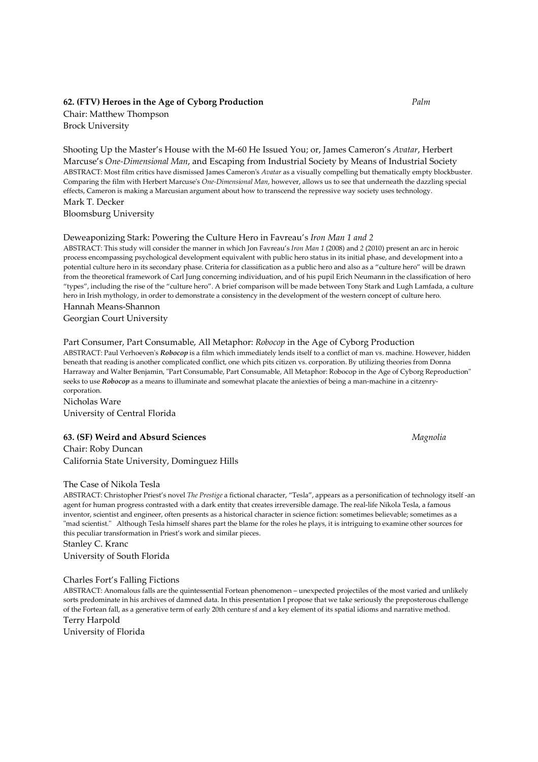#### 62. (FTV) Heroes in the Age of Cyborg Production *Palm*

Chair: Matthew Thompson Brock University

Shooting Up the Master's House with the M-60 He Issued You; or, James Cameron's Avatar, Herbert Marcuse's One-Dimensional Man, and Escaping from Industrial Society by Means of Industrial Society ABSTRACT: Most film critics have dismissed James Cameron's Avatar as a visually compelling but thematically empty blockbuster. Comparing the film with Herbert Marcuse's One-Dimensional Man, however, allows us to see that underneath the dazzling special effects, Cameron is making a Marcusian argument about how to transcend the repressive way society uses technology. Mark T. Decker

Bloomsburg University

#### Deweaponizing Stark: Powering the Culture Hero in Favreau's Iron Man 1 and 2

ABSTRACT: This study will consider the manner in which Jon Favreau's Iron Man 1 (2008) and 2 (2010) present an arc in heroic process encompassing psychological development equivalent with public hero status in its initial phase, and development into a potential culture hero in its secondary phase. Criteria for classification as a public hero and also as a "culture hero" will be drawn from the theoretical framework of Carl Jung concerning individuation, and of his pupil Erich Neumann in the classification of hero "types", including the rise of the "culture hero". A brief comparison will be made between Tony Stark and Lugh Lamfada, a culture hero in Irish mythology, in order to demonstrate a consistency in the development of the western concept of culture hero.

Hannah Means-Shannon Georgian Court University

#### Part Consumer, Part Consumable, All Metaphor: Robocop in the Age of Cyborg Production

ABSTRACT: Paul Verhoeven's Robocop is a film which immediately lends itself to a conflict of man vs. machine. However, hidden beneath that reading is another complicated conflict, one which pits citizen vs. corporation. By utilizing theories from Donna Harraway and Walter Benjamin, "Part Consumable, Part Consumable, All Metaphor: Robocop in the Age of Cyborg Reproduction" seeks to use Robocop as a means to illuminate and somewhat placate the aniexties of being a man-machine in a citzenrycorporation.

Nicholas Ware University of Central Florida

#### 63. (SF) Weird and Absurd Sciences Magnolia Magnolia

Chair: Roby Duncan California State University, Dominguez Hills

#### The Case of Nikola Tesla

ABSTRACT: Christopher Priest's novel The Prestige a fictional character, "Tesla", appears as a personification of technology itself -an agent for human progress contrasted with a dark entity that creates irreversible damage. The real-life Nikola Tesla, a famous inventor, scientist and engineer, often presents as a historical character in science fiction: sometimes believable; sometimes as a "mad scientist." Although Tesla himself shares part the blame for the roles he plays, it is intriguing to examine other sources for this peculiar transformation in Priest's work and similar pieces.

Stanley C. Kranc University of South Florida

#### Charles Fort's Falling Fictions

ABSTRACT: Anomalous falls are the quintessential Fortean phenomenon – unexpected projectiles of the most varied and unlikely sorts predominate in his archives of damned data. In this presentation I propose that we take seriously the preposterous challenge of the Fortean fall, as a generative term of early 20th centure sf and a key element of its spatial idioms and narrative method. Terry Harpold

University of Florida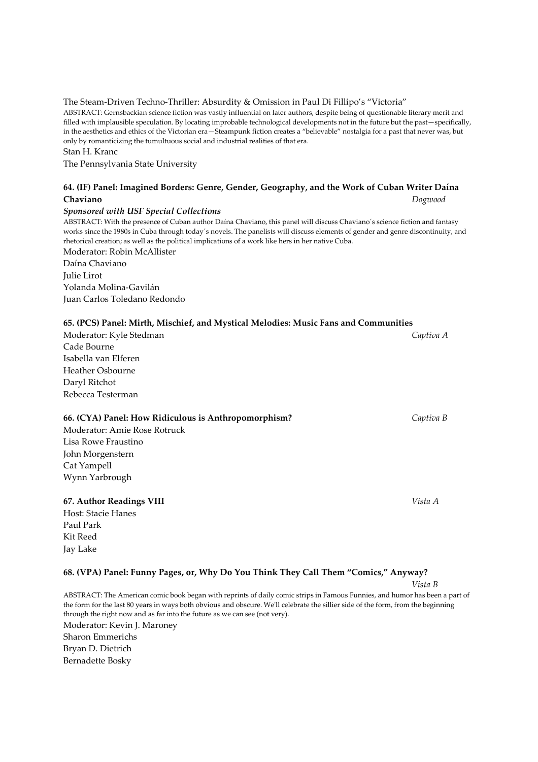# The Steam-Driven Techno-Thriller: Absurdity & Omission in Paul Di Fillipo's "Victoria"

ABSTRACT: Gernsbackian science fiction was vastly influential on later authors, despite being of questionable literary merit and filled with implausible speculation. By locating improbable technological developments not in the future but the past—specifically, in the aesthetics and ethics of the Victorian era—Steampunk fiction creates a "believable" nostalgia for a past that never was, but only by romanticizing the tumultuous social and industrial realities of that era.

Stan H. Kranc

The Pennsylvania State University

# 64. (IF) Panel: Imagined Borders: Genre, Gender, Geography, and the Work of Cuban Writer Daína Chaviano Dogwood

# Sponsored with USF Special Collections

ABSTRACT: With the presence of Cuban author Daína Chaviano, this panel will discuss Chaviano´s science fiction and fantasy works since the 1980s in Cuba through today´s novels. The panelists will discuss elements of gender and genre discontinuity, and rhetorical creation; as well as the political implications of a work like hers in her native Cuba. Moderator: Robin McAllister

Daína Chaviano Julie Lirot Yolanda Molina-Gavilán Juan Carlos Toledano Redondo

# 65. (PCS) Panel: Mirth, Mischief, and Mystical Melodies: Music Fans and Communities

Moderator: Kyle Stedman Captiva A Cade Bourne Isabella van Elferen Heather Osbourne Daryl Ritchot Rebecca Testerman

#### 66. (CYA) Panel: How Ridiculous is Anthropomorphism? Captiva B

Moderator: Amie Rose Rotruck Lisa Rowe Fraustino John Morgenstern Cat Yampell Wynn Yarbrough

#### 67. Author Readings VIII Vista A

Host: Stacie Hanes Paul Park Kit Reed Jay Lake

# 68. (VPA) Panel: Funny Pages, or, Why Do You Think They Call Them "Comics," Anyway?

Vista B

ABSTRACT: The American comic book began with reprints of daily comic strips in Famous Funnies, and humor has been a part of the form for the last 80 years in ways both obvious and obscure. We'll celebrate the sillier side of the form, from the beginning through the right now and as far into the future as we can see (not very). Moderator: Kevin J. Maroney Sharon Emmerichs Bryan D. Dietrich Bernadette Bosky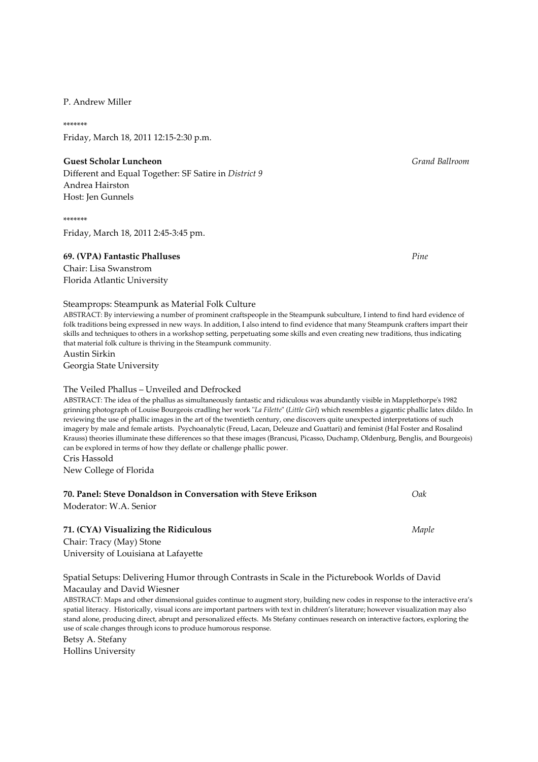#### P. Andrew Miller

\*\*\*\*\*\*\* Friday, March 18, 2011 12:15-2:30 p.m.

#### Guest Scholar Luncheon Grand Ballroom Grand Ballroom Grand Ballroom

Different and Equal Together: SF Satire in District 9 Andrea Hairston Host: Jen Gunnels

\*\*\*\*\*\*\* Friday, March 18, 2011 2:45-3:45 pm.

#### 69. (VPA) Fantastic Phalluses Pine

Chair: Lisa Swanstrom Florida Atlantic University

#### Steamprops: Steampunk as Material Folk Culture

ABSTRACT: By interviewing a number of prominent craftspeople in the Steampunk subculture, I intend to find hard evidence of folk traditions being expressed in new ways. In addition, I also intend to find evidence that many Steampunk crafters impart their skills and techniques to others in a workshop setting, perpetuating some skills and even creating new traditions, thus indicating that material folk culture is thriving in the Steampunk community.

Austin Sirkin

Georgia State University

#### The Veiled Phallus – Unveiled and Defrocked

ABSTRACT: The idea of the phallus as simultaneously fantastic and ridiculous was abundantly visible in Mapplethorpe's 1982 grinning photograph of Louise Bourgeois cradling her work "La Filette" (Little Girl) which resembles a gigantic phallic latex dildo. In reviewing the use of phallic images in the art of the twentieth century, one discovers quite unexpected interpretations of such imagery by male and female artists. Psychoanalytic (Freud, Lacan, Deleuze and Guattari) and feminist (Hal Foster and Rosalind Krauss) theories illuminate these differences so that these images (Brancusi, Picasso, Duchamp, Oldenburg, Benglis, and Bourgeois) can be explored in terms of how they deflate or challenge phallic power. Cris Hassold

New College of Florida

| 70. Panel: Steve Donaldson in Conversation with Steve Erikson | 0ak |
|---------------------------------------------------------------|-----|
| Moderator: W.A. Senior                                        |     |

#### 71. (CYA) Visualizing the Ridiculous and the Control of the Maple

Chair: Tracy (May) Stone University of Louisiana at Lafayette

### Spatial Setups: Delivering Humor through Contrasts in Scale in the Picturebook Worlds of David Macaulay and David Wiesner

ABSTRACT: Maps and other dimensional guides continue to augment story, building new codes in response to the interactive era's spatial literacy. Historically, visual icons are important partners with text in children's literature; however visualization may also stand alone, producing direct, abrupt and personalized effects. Ms Stefany continues research on interactive factors, exploring the use of scale changes through icons to produce humorous response.

Betsy A. Stefany

Hollins University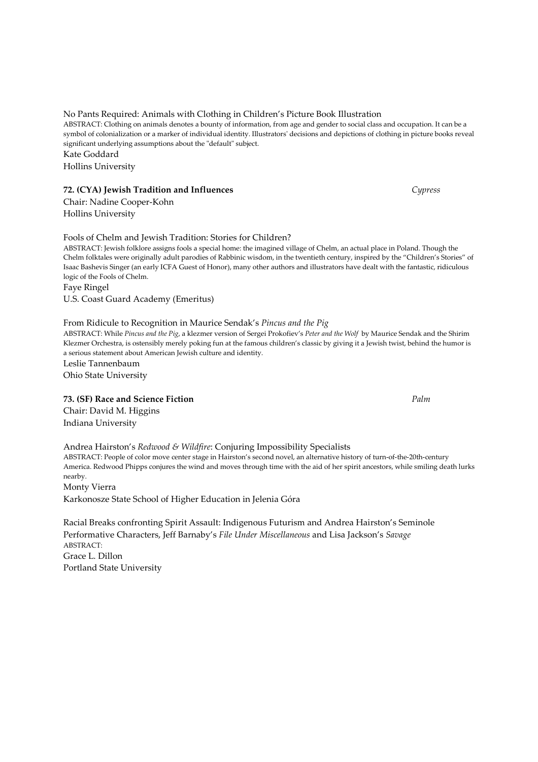No Pants Required: Animals with Clothing in Children's Picture Book Illustration ABSTRACT: Clothing on animals denotes a bounty of information, from age and gender to social class and occupation. It can be a symbol of colonialization or a marker of individual identity. Illustrators' decisions and depictions of clothing in picture books reveal significant underlying assumptions about the "default" subject. Kate Goddard Hollins University

# 72. (CYA) Jewish Tradition and Influences Cypress Cypress

Chair: Nadine Cooper-Kohn Hollins University

Fools of Chelm and Jewish Tradition: Stories for Children?

ABSTRACT: Jewish folklore assigns fools a special home: the imagined village of Chelm, an actual place in Poland. Though the Chelm folktales were originally adult parodies of Rabbinic wisdom, in the twentieth century, inspired by the "Children's Stories" of Isaac Bashevis Singer (an early ICFA Guest of Honor), many other authors and illustrators have dealt with the fantastic, ridiculous logic of the Fools of Chelm.

Faye Ringel U.S. Coast Guard Academy (Emeritus)

# From Ridicule to Recognition in Maurice Sendak's Pincus and the Pig

ABSTRACT: While Pincus and the Pig, a klezmer version of Sergei Prokofiev's Peter and the Wolf by Maurice Sendak and the Shirim Klezmer Orchestra, is ostensibly merely poking fun at the famous children's classic by giving it a Jewish twist, behind the humor is a serious statement about American Jewish culture and identity.

Leslie Tannenbaum Ohio State University

# 73. (SF) Race and Science Fiction **Palm** Palm **Palm** Palm **Palm**

Chair: David M. Higgins Indiana University

Andrea Hairston's Redwood & Wildfire: Conjuring Impossibility Specialists ABSTRACT: People of color move center stage in Hairston's second novel, an alternative history of turn-of-the-20th-century America. Redwood Phipps conjures the wind and moves through time with the aid of her spirit ancestors, while smiling death lurks nearby. Monty Vierra

Karkonosze State School of Higher Education in Jelenia Góra

Racial Breaks confronting Spirit Assault: Indigenous Futurism and Andrea Hairston's Seminole Performative Characters, Jeff Barnaby's File Under Miscellaneous and Lisa Jackson's Savage ABSTRACT: Grace L. Dillon Portland State University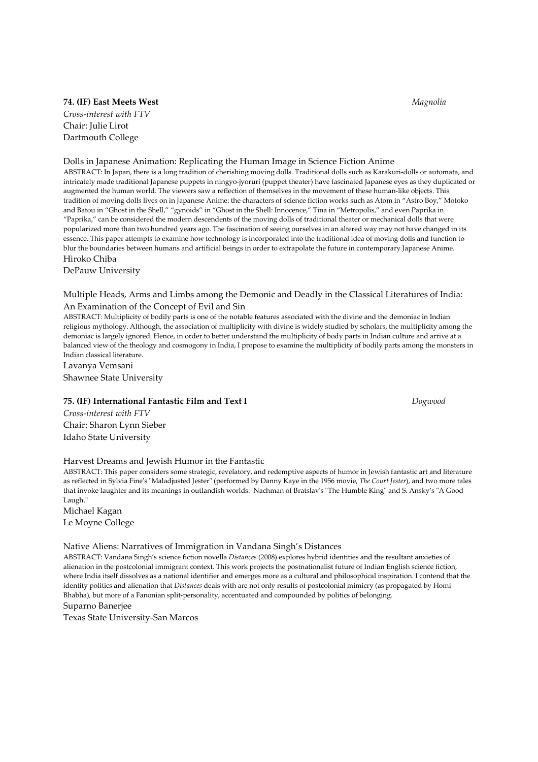#### 74. (IF) East Meets West Magnolia

Cross-interest with FTV Chair: Julie Lirot Dartmouth College

#### Dolls in Japanese Animation: Replicating the Human Image in Science Fiction Anime

ABSTRACT: In Japan, there is a long tradition of cherishing moving dolls. Traditional dolls such as Karakuri-dolls or automata, and intricately made traditional Japanese puppets in ningyo-jyoruri (puppet theater) have fascinated Japanese eyes as they duplicated or augmented the human world. The viewers saw a reflection of themselves in the movement of these human-like objects. This tradition of moving dolls lives on in Japanese Anime: the characters of science fiction works such as Atom in "Astro Boy," Motoko and Batou in "Ghost in the Shell," "gynoids" in "Ghost in the Shell: Innocence," Tina in "Metropolis," and even Paprika in "Paprika," can be considered the modern descendents of the moving dolls of traditional theater or mechanical dolls that were popularized more than two hundred years ago. The fascination of seeing ourselves in an altered way may not have changed in its essence. This paper attempts to examine how technology is incorporated into the traditional idea of moving dolls and function to blur the boundaries between humans and artificial beings in order to extrapolate the future in contemporary Japanese Anime. Hiroko Chiba

DePauw University

# Multiple Heads, Arms and Limbs among the Demonic and Deadly in the Classical Literatures of India: An Examination of the Concept of Evil and Sin

ABSTRACT: Multiplicity of bodily parts is one of the notable features associated with the divine and the demoniac in Indian religious mythology. Although, the association of multiplicity with divine is widely studied by scholars, the multiplicity among the demoniac is largely ignored. Hence, in order to better understand the multiplicity of body parts in Indian culture and arrive at a balanced view of the theology and cosmogony in India, I propose to examine the multiplicity of bodily parts among the monsters in Indian classical literature.

Lavanya Vemsani Shawnee State University

#### 75. (IF) International Fantastic Film and Text I Dogwood

Cross-interest with FTV Chair: Sharon Lynn Sieber Idaho State University

#### Harvest Dreams and Jewish Humor in the Fantastic

ABSTRACT: This paper considers some strategic, revelatory, and redemptive aspects of humor in Jewish fantastic art and literature as reflected in Sylvia Fine's "Maladjusted Jester" (performed by Danny Kaye in the 1956 movie, The Court Jester), and two more tales that invoke laughter and its meanings in outlandish worlds: Nachman of Bratslav's "The Humble King" and S. Ansky's "A Good Laugh."

Michael Kagan Le Moyne College

#### Native Aliens: Narratives of Immigration in Vandana Singh's Distances

ABSTRACT: Vandana Singh's science fiction novella Distances (2008) explores hybrid identities and the resultant anxieties of alienation in the postcolonial immigrant context. This work projects the postnationalist future of Indian English science fiction, where India itself dissolves as a national identifier and emerges more as a cultural and philosophical inspiration. I contend that the identity politics and alienation that Distances deals with are not only results of postcolonial mimicry (as propagated by Homi Bhabha), but more of a Fanonian split-personality, accentuated and compounded by politics of belonging. Suparno Banerjee

Texas State University-San Marcos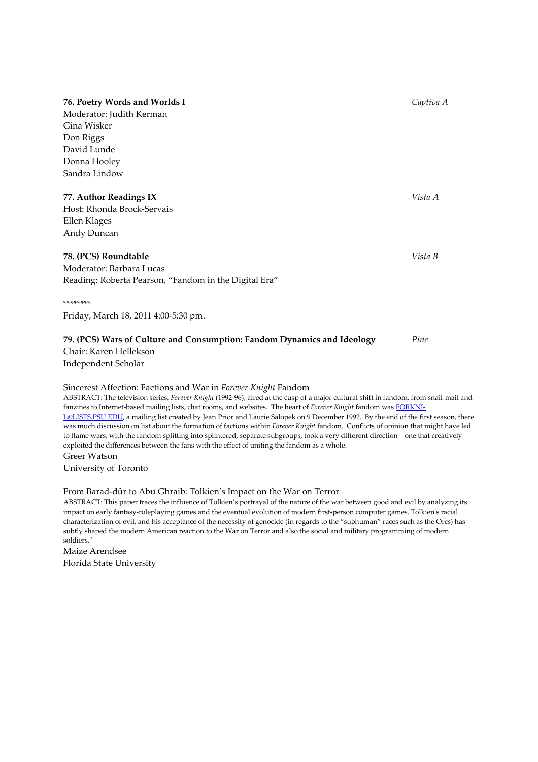# **76. Poetry Words and Worlds I Captiva A** Captiva A Captiva A Captiva A

Moderator: Judith Kerman Gina Wisker Don Riggs David Lunde Donna Hooley Sandra Lindow

#### 77. Author Readings IX Vista A

Host: Rhonda Brock-Servais Ellen Klages Andy Duncan

#### **78. (PCS) Roundtable** Vista B

Moderator: Barbara Lucas Reading: Roberta Pearson, "Fandom in the Digital Era"

#### \*\*\*\*\*\*\*\*

Friday, March 18, 2011 4:00-5:30 pm.

#### 79. (PCS) Wars of Culture and Consumption: Fandom Dynamics and Ideology *Pine*

Chair: Karen Hellekson Independent Scholar

#### Sincerest Affection: Factions and War in Forever Knight Fandom

ABSTRACT: The television series, Forever Knight (1992-96), aired at the cusp of a major cultural shift in fandom, from snail-mail and fanzines to Internet-based mailing lists, chat rooms, and websites. The heart of Forever Knight fandom was FORKNI-L@LISTS.PSU.EDU, a mailing list created by Jean Prior and Laurie Salopek on 9 December 1992. By the end of the first season, there was much discussion on list about the formation of factions within Forever Knight fandom. Conflicts of opinion that might have led to flame wars, with the fandom splitting into splintered, separate subgroups, took a very different direction—one that creatively exploited the differences between the fans with the effect of uniting the fandom as a whole.

#### Greer Watson

University of Toronto

#### From Barad-dûr to Abu Ghraib: Tolkien's Impact on the War on Terror

ABSTRACT: This paper traces the influence of Tolkien's portrayal of the nature of the war between good and evil by analyzing its impact on early fantasy-roleplaying games and the eventual evolution of modern first-person computer games. Tolkien's racial characterization of evil, and his acceptance of the necessity of genocide (in regards to the "subhuman" races such as the Orcs) has subtly shaped the modern American reaction to the War on Terror and also the social and military programming of modern soldiers."

Maize Arendsee Florida State University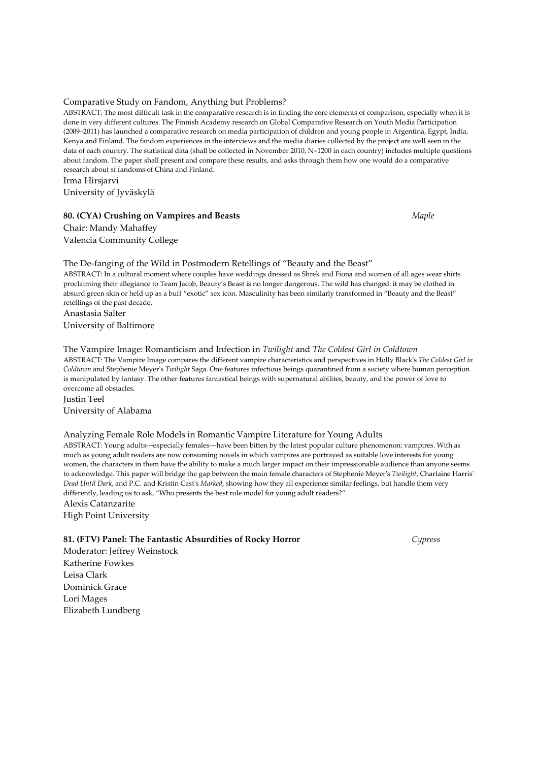#### Comparative Study on Fandom, Anything but Problems?

ABSTRACT: The most difficult task in the comparative research is in finding the core elements of comparison, especially when it is done in very different cultures. The Finnish Academy research on Global Comparative Research on Youth Media Participation (2009–2011) has launched a comparative research on media participation of children and young people in Argentina, Egypt, India, Kenya and Finland. The fandom experiences in the interviews and the media diaries collected by the project are well seen in the data of each country. The statistical data (shall be collected in November 2010, N=1200 in each country) includes multiple questions about fandom. The paper shall present and compare these results, and asks through them how one would do a comparative research about sf fandoms of China and Finland. Irma Hirsjarvi

University of Jyväskylä

#### 80. (CYA) Crushing on Vampires and Beasts Maple Maple

Chair: Mandy Mahaffey Valencia Community College

# The De-fanging of the Wild in Postmodern Retellings of "Beauty and the Beast" ABSTRACT: In a cultural moment where couples have weddings dressed as Shrek and Fiona and women of all ages wear shirts

proclaiming their allegiance to Team Jacob, Beauty's Beast is no longer dangerous. The wild has changed: it may be clothed in absurd green skin or held up as a buff "exotic" sex icon. Masculinity has been similarly transformed in "Beauty and the Beast" retellings of the past decade. Anastasia Salter

University of Baltimore

#### The Vampire Image: Romanticism and Infection in Twilight and The Coldest Girl in Coldtown

ABSTRACT: The Vampire Image compares the different vampire characteristics and perspectives in Holly Black's The Coldest Girl in Coldtown and Stephenie Meyer's Twilight Saga. One features infectious beings quarantined from a society where human perception is manipulated by fantasy. The other features fantastical beings with supernatural abilites, beauty, and the power of love to overcome all obstacles.

Justin Teel University of Alabama

#### Analyzing Female Role Models in Romantic Vampire Literature for Young Adults

ABSTRACT: Young adults---especially females---have been bitten by the latest popular culture phenomenon: vampires. With as much as young adult readers are now consuming novels in which vampires are portrayed as suitable love interests for young women, the characters in them have the ability to make a much larger impact on their impressionable audience than anyone seems to acknowledge. This paper will bridge the gap between the main female characters of Stephenie Meyer's Twilight, Charlaine Harris' Dead Until Dark, and P.C. and Kristin Cast's Marked, showing how they all experience similar feelings, but handle them very differently, leading us to ask, "Who presents the best role model for young adult readers?"

Alexis Catanzarite High Point University

#### 81. (FTV) Panel: The Fantastic Absurdities of Rocky Horror Cypress

Moderator: Jeffrey Weinstock Katherine Fowkes Leisa Clark Dominick Grace Lori Mages Elizabeth Lundberg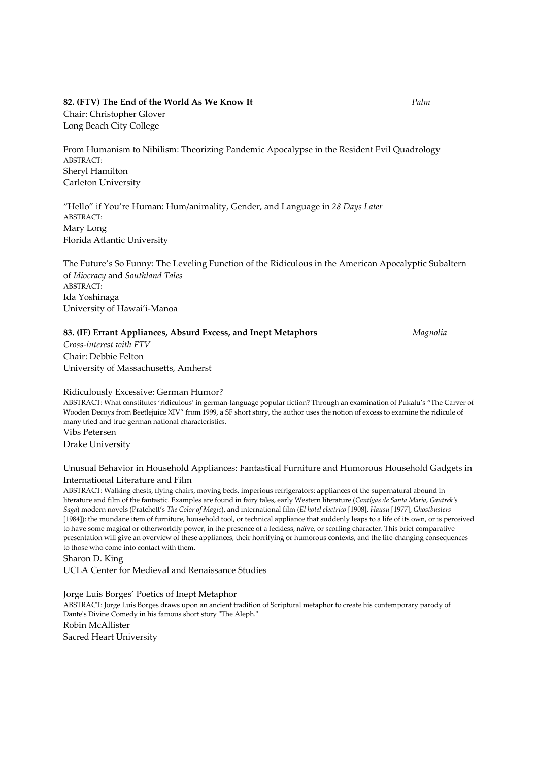#### 82. (FTV) The End of the World As We Know It Palm

Chair: Christopher Glover Long Beach City College

From Humanism to Nihilism: Theorizing Pandemic Apocalypse in the Resident Evil Quadrology ABSTRACT: Sheryl Hamilton Carleton University

"Hello" if You're Human: Hum/animality, Gender, and Language in 28 Days Later ABSTRACT: Mary Long Florida Atlantic University

The Future's So Funny: The Leveling Function of the Ridiculous in the American Apocalyptic Subaltern of Idiocracy and Southland Tales ABSTRACT: Ida Yoshinaga University of Hawai'i-Manoa

#### 83. (IF) Errant Appliances, Absurd Excess, and Inept Metaphors Magnolia

Cross-interest with FTV Chair: Debbie Felton University of Massachusetts, Amherst

#### Ridiculously Excessive: German Humor?

ABSTRACT: What constitutes 'ridiculous' in german-language popular fiction? Through an examination of Pukalu's "The Carver of Wooden Decoys from Beetlejuice XIV" from 1999, a SF short story, the author uses the notion of excess to examine the ridicule of many tried and true german national characteristics. Vibs Petersen

Drake University

# Unusual Behavior in Household Appliances: Fantastical Furniture and Humorous Household Gadgets in International Literature and Film

ABSTRACT: Walking chests, flying chairs, moving beds, imperious refrigerators: appliances of the supernatural abound in literature and film of the fantastic. Examples are found in fairy tales, early Western literature (Cantígas de Santa Maria, Gautrek's Saga) modern novels (Pratchett's The Color of Magic), and international film (El hotel electrico [1908], Hausu [1977], Ghostbusters [1984]): the mundane item of furniture, household tool, or technical appliance that suddenly leaps to a life of its own, or is perceived to have some magical or otherworldly power, in the presence of a feckless, naïve, or scoffing character. This brief comparative presentation will give an overview of these appliances, their horrifying or humorous contexts, and the life-changing consequences to those who come into contact with them.

Sharon D. King

UCLA Center for Medieval and Renaissance Studies

Jorge Luis Borges' Poetics of Inept Metaphor ABSTRACT: Jorge Luis Borges draws upon an ancient tradition of Scriptural metaphor to create his contemporary parody of Dante's Divine Comedy in his famous short story "The Aleph." Robin McAllister Sacred Heart University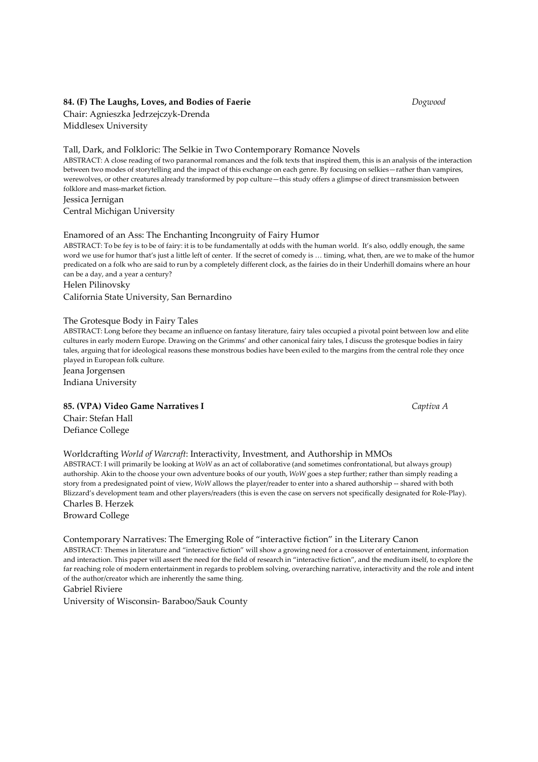#### 84. (F) The Laughs, Loves, and Bodies of Faerie Theorem 2008 and Bogwood

Chair: Agnieszka Jedrzejczyk-Drenda Middlesex University

### Tall, Dark, and Folkloric: The Selkie in Two Contemporary Romance Novels

ABSTRACT: A close reading of two paranormal romances and the folk texts that inspired them, this is an analysis of the interaction between two modes of storytelling and the impact of this exchange on each genre. By focusing on selkies—rather than vampires, werewolves, or other creatures already transformed by pop culture—this study offers a glimpse of direct transmission between folklore and mass-market fiction.

Jessica Jernigan Central Michigan University

#### Enamored of an Ass: The Enchanting Incongruity of Fairy Humor

ABSTRACT: To be fey is to be of fairy: it is to be fundamentally at odds with the human world. It's also, oddly enough, the same word we use for humor that's just a little left of center. If the secret of comedy is … timing, what, then, are we to make of the humor predicated on a folk who are said to run by a completely different clock, as the fairies do in their Underhill domains where an hour can be a day, and a year a century?

#### Helen Pilinovsky

California State University, San Bernardino

#### The Grotesque Body in Fairy Tales

ABSTRACT: Long before they became an influence on fantasy literature, fairy tales occupied a pivotal point between low and elite cultures in early modern Europe. Drawing on the Grimms' and other canonical fairy tales, I discuss the grotesque bodies in fairy tales, arguing that for ideological reasons these monstrous bodies have been exiled to the margins from the central role they once played in European folk culture.

Jeana Jorgensen Indiana University

#### 85. (VPA) Video Game Narratives I Captiva A

Chair: Stefan Hall Defiance College

#### Worldcrafting World of Warcraft: Interactivity, Investment, and Authorship in MMOs

ABSTRACT: I will primarily be looking at WoW as an act of collaborative (and sometimes confrontational, but always group) authorship. Akin to the choose your own adventure books of our youth, WoW goes a step further; rather than simply reading a story from a predesignated point of view, WoW allows the player/reader to enter into a shared authorship -- shared with both Blizzard's development team and other players/readers (this is even the case on servers not specifically designated for Role-Play).

Charles B. Herzek Broward College

#### Contemporary Narratives: The Emerging Role of "interactive fiction" in the Literary Canon

ABSTRACT: Themes in literature and "interactive fiction" will show a growing need for a crossover of entertainment, information and interaction. This paper will assert the need for the field of research in "interactive fiction", and the medium itself, to explore the far reaching role of modern entertainment in regards to problem solving, overarching narrative, interactivity and the role and intent of the author/creator which are inherently the same thing.

Gabriel Riviere

University of Wisconsin- Baraboo/Sauk County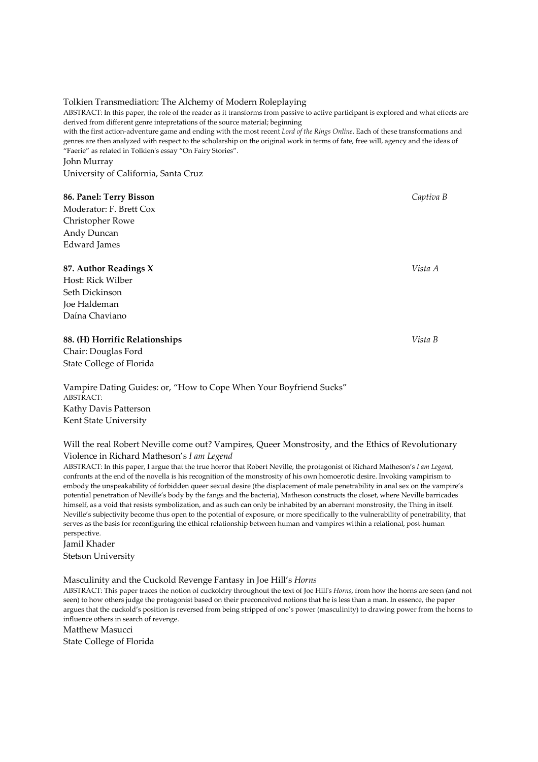# Tolkien Transmediation: The Alchemy of Modern Roleplaying

ABSTRACT: In this paper, the role of the reader as it transforms from passive to active participant is explored and what effects are derived from different genre intepretations of the source material; beginning

with the first action-adventure game and ending with the most recent Lord of the Rings Online. Each of these transformations and genres are then analyzed with respect to the scholarship on the original work in terms of fate, free will, agency and the ideas of "Faerie" as related in Tolkien's essay "On Fairy Stories".

John Murray

University of California, Santa Cruz

# 86. Panel: Terry Bisson Captiva B and Captiva B and Captiva B and Captiva B and Captiva B

Moderator: F. Brett Cox Christopher Rowe Andy Duncan Edward James

# 87. Author Readings X Vista A

Host: Rick Wilber Seth Dickinson Joe Haldeman Daína Chaviano

# 88. (H) Horrific Relationships Vista B

Chair: Douglas Ford State College of Florida

Vampire Dating Guides: or, "How to Cope When Your Boyfriend Sucks" ABSTRACT: Kathy Davis Patterson Kent State University

Will the real Robert Neville come out? Vampires, Queer Monstrosity, and the Ethics of Revolutionary Violence in Richard Matheson's I am Legend

ABSTRACT: In this paper, I argue that the true horror that Robert Neville, the protagonist of Richard Matheson's I am Legend, confronts at the end of the novella is his recognition of the monstrosity of his own homoerotic desire. Invoking vampirism to embody the unspeakability of forbidden queer sexual desire (the displacement of male penetrability in anal sex on the vampire's potential penetration of Neville's body by the fangs and the bacteria), Matheson constructs the closet, where Neville barricades himself, as a void that resists symbolization, and as such can only be inhabited by an aberrant monstrosity, the Thing in itself. Neville's subjectivity become thus open to the potential of exposure, or more specifically to the vulnerability of penetrability, that serves as the basis for reconfiguring the ethical relationship between human and vampires within a relational, post-human perspective.

Jamil Khader Stetson University

Masculinity and the Cuckold Revenge Fantasy in Joe Hill's Horns

ABSTRACT: This paper traces the notion of cuckoldry throughout the text of Joe Hill's Horns, from how the horns are seen (and not seen) to how others judge the protagonist based on their preconceived notions that he is less than a man. In essence, the paper argues that the cuckold's position is reversed from being stripped of one's power (masculinity) to drawing power from the horns to influence others in search of revenge.

Matthew Masucci

State College of Florida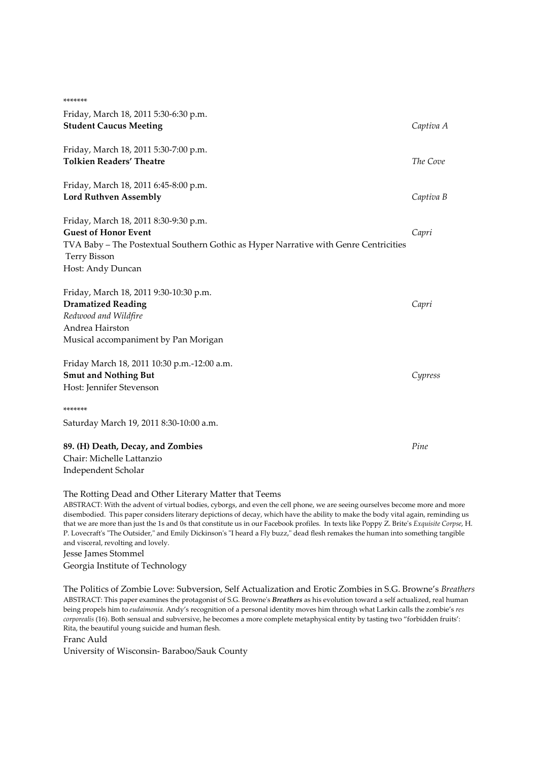| *******                                                                              |           |
|--------------------------------------------------------------------------------------|-----------|
| Friday, March 18, 2011 5:30-6:30 p.m.                                                |           |
| <b>Student Caucus Meeting</b>                                                        | Captiva A |
| Friday, March 18, 2011 5:30-7:00 p.m.                                                |           |
| <b>Tolkien Readers' Theatre</b>                                                      | The Cove  |
| Friday, March 18, 2011 6:45-8:00 p.m.                                                |           |
| <b>Lord Ruthven Assembly</b>                                                         | Captiva B |
| Friday, March 18, 2011 8:30-9:30 p.m.                                                |           |
| <b>Guest of Honor Event</b>                                                          | Capri     |
| TVA Baby - The Postextual Southern Gothic as Hyper Narrative with Genre Centricities |           |
| <b>Terry Bisson</b><br>Host: Andy Duncan                                             |           |
| Friday, March 18, 2011 9:30-10:30 p.m.                                               |           |
| <b>Dramatized Reading</b>                                                            | Capri     |
| Redwood and Wildfire                                                                 |           |
| Andrea Hairston                                                                      |           |
| Musical accompaniment by Pan Morigan                                                 |           |
| Friday March 18, 2011 10:30 p.m.-12:00 a.m.                                          |           |
| <b>Smut and Nothing But</b>                                                          | Cypress   |
| Host: Jennifer Stevenson                                                             |           |
| *******                                                                              |           |
| Saturday March 19, 2011 8:30-10:00 a.m.                                              |           |
| 89. (H) Death, Decay, and Zombies                                                    | Pine      |
| Chair: Michelle Lattanzio                                                            |           |
| Independent Scholar                                                                  |           |

The Rotting Dead and Other Literary Matter that Teems

ABSTRACT: With the advent of virtual bodies, cyborgs, and even the cell phone, we are seeing ourselves become more and more disembodied. This paper considers literary depictions of decay, which have the ability to make the body vital again, reminding us that we are more than just the 1s and 0s that constitute us in our Facebook profiles. In texts like Poppy Z. Brite's Exquisite Corpse, H. P. Lovecraft's "The Outsider," and Emily Dickinson's "I heard a Fly buzz," dead flesh remakes the human into something tangible and visceral, revolting and lovely.

Jesse James Stommel

Georgia Institute of Technology

The Politics of Zombie Love: Subversion, Self Actualization and Erotic Zombies in S.G. Browne's Breathers ABSTRACT: This paper examines the protagonist of S.G. Browne's *Breathers* as his evolution toward a self actualized, real human being propels him to eudaimonia. Andy's recognition of a personal identity moves him through what Larkin calls the zombie's res corporealis (16). Both sensual and subversive, he becomes a more complete metaphysical entity by tasting two "forbidden fruits': Rita, the beautiful young suicide and human flesh.

Franc Auld

University of Wisconsin- Baraboo/Sauk County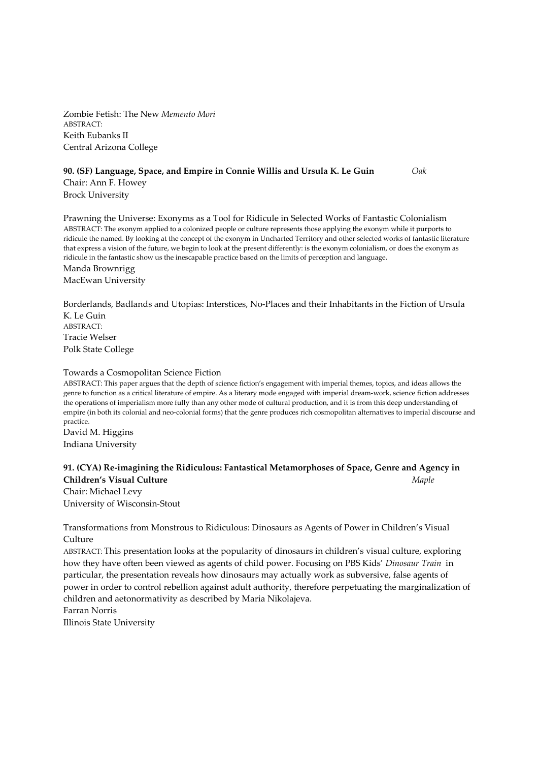Zombie Fetish: The New Memento Mori ABSTRACT: Keith Eubanks II Central Arizona College

# 90. (SF) Language, Space, and Empire in Connie Willis and Ursula K. Le Guin Oak Chair: Ann F. Howey

Brock University

Prawning the Universe: Exonyms as a Tool for Ridicule in Selected Works of Fantastic Colonialism ABSTRACT: The exonym applied to a colonized people or culture represents those applying the exonym while it purports to ridicule the named. By looking at the concept of the exonym in Uncharted Territory and other selected works of fantastic literature that express a vision of the future, we begin to look at the present differently: is the exonym colonialism, or does the exonym as ridicule in the fantastic show us the inescapable practice based on the limits of perception and language. Manda Brownrigg

MacEwan University

Borderlands, Badlands and Utopias: Interstices, No-Places and their Inhabitants in the Fiction of Ursula  $K$  Le Guin ABSTRACT:

Tracie Welser Polk State College

#### Towards a Cosmopolitan Science Fiction

ABSTRACT: This paper argues that the depth of science fiction's engagement with imperial themes, topics, and ideas allows the genre to function as a critical literature of empire. As a literary mode engaged with imperial dream-work, science fiction addresses the operations of imperialism more fully than any other mode of cultural production, and it is from this deep understanding of empire (in both its colonial and neo-colonial forms) that the genre produces rich cosmopolitan alternatives to imperial discourse and practice.

David M. Higgins Indiana University

# 91. (CYA) Re-imagining the Ridiculous: Fantastical Metamorphoses of Space, Genre and Agency in Children's Visual Culture  $Map$

Chair: Michael Levy University of Wisconsin-Stout

Transformations from Monstrous to Ridiculous: Dinosaurs as Agents of Power in Children's Visual Culture

ABSTRACT: This presentation looks at the popularity of dinosaurs in children's visual culture, exploring how they have often been viewed as agents of child power. Focusing on PBS Kids' Dinosaur Train in particular, the presentation reveals how dinosaurs may actually work as subversive, false agents of power in order to control rebellion against adult authority, therefore perpetuating the marginalization of children and aetonormativity as described by Maria Nikolajeva. Farran Norris

Illinois State University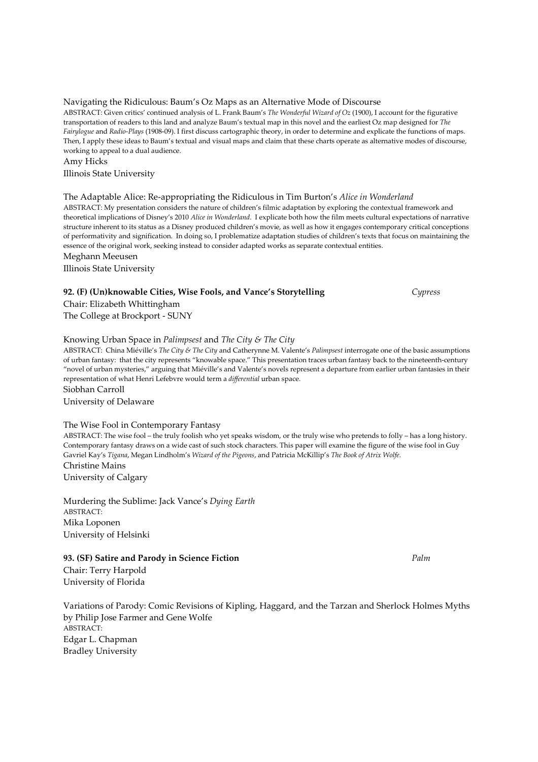# Navigating the Ridiculous: Baum's Oz Maps as an Alternative Mode of Discourse

ABSTRACT: Given critics' continued analysis of L. Frank Baum's The Wonderful Wizard of Oz (1900), I account for the figurative transportation of readers to this land and analyze Baum's textual map in this novel and the earliest Oz map designed for The Fairylogue and Radio-Plays (1908-09). I first discuss cartographic theory, in order to determine and explicate the functions of maps. Then, I apply these ideas to Baum's textual and visual maps and claim that these charts operate as alternative modes of discourse, working to appeal to a dual audience.

Amy Hicks

Illinois State University

# The Adaptable Alice: Re-appropriating the Ridiculous in Tim Burton's Alice in Wonderland

ABSTRACT: My presentation considers the nature of children's filmic adaptation by exploring the contextual framework and theoretical implications of Disney's 2010 Alice in Wonderland. I explicate both how the film meets cultural expectations of narrative structure inherent to its status as a Disney produced children's movie, as well as how it engages contemporary critical conceptions of performativity and signification. In doing so, I problematize adaptation studies of children's texts that focus on maintaining the essence of the original work, seeking instead to consider adapted works as separate contextual entities.

# Meghann Meeusen

Illinois State University

# 92. (F) (Un)knowable Cities, Wise Fools, and Vance's Storytelling Cypress

Chair: Elizabeth Whittingham

The College at Brockport - SUNY

# Knowing Urban Space in Palimpsest and The City & The City

ABSTRACT: China Miéville's The City & The City and Catherynne M. Valente's Palimpsest interrogate one of the basic assumptions of urban fantasy: that the city represents "knowable space." This presentation traces urban fantasy back to the nineteenth-century "novel of urban mysteries," arguing that Miéville's and Valente's novels represent a departure from earlier urban fantasies in their representation of what Henri Lefebvre would term a differential urban space.

Siobhan Carroll University of Delaware

# The Wise Fool in Contemporary Fantasy

ABSTRACT: The wise fool – the truly foolish who yet speaks wisdom, or the truly wise who pretends to folly – has a long history. Contemporary fantasy draws on a wide cast of such stock characters. This paper will examine the figure of the wise fool in Guy Gavriel Kay's Tigana, Megan Lindholm's Wizard of the Pigeons, and Patricia McKillip's The Book of Atrix Wolfe. Christine Mains

University of Calgary

Murdering the Sublime: Jack Vance's Dying Earth ABSTRACT: Mika Loponen University of Helsinki

# 93. (SF) Satire and Parody in Science Fiction Palm Palm Palm

Chair: Terry Harpold University of Florida

Variations of Parody: Comic Revisions of Kipling, Haggard, and the Tarzan and Sherlock Holmes Myths by Philip Jose Farmer and Gene Wolfe ABSTRACT: Edgar L. Chapman Bradley University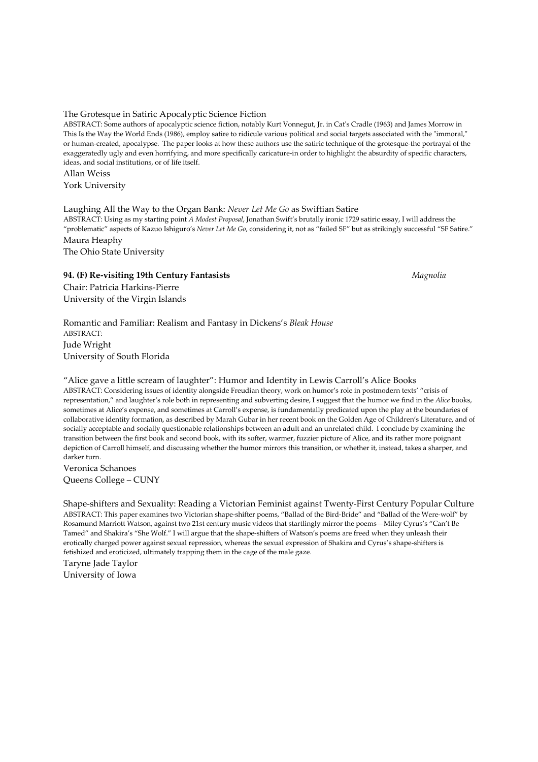#### The Grotesque in Satiric Apocalyptic Science Fiction

ABSTRACT: Some authors of apocalyptic science fiction, notably Kurt Vonnegut, Jr. in Cat's Cradle (1963) and James Morrow in This Is the Way the World Ends (1986), employ satire to ridicule various political and social targets associated with the "immoral," or human-created, apocalypse. The paper looks at how these authors use the satiric technique of the grotesque-the portrayal of the exaggeratedly ugly and even horrifying, and more specifically caricature-in order to highlight the absurdity of specific characters, ideas, and social institutions, or of life itself.

Allan Weiss York University

#### Laughing All the Way to the Organ Bank: Never Let Me Go as Swiftian Satire

ABSTRACT: Using as my starting point A Modest Proposal, Jonathan Swift's brutally ironic 1729 satiric essay, I will address the "problematic" aspects of Kazuo Ishiguro's Never Let Me Go, considering it, not as "failed SF" but as strikingly successful "SF Satire." Maura Heaphy The Ohio State University

94. (F) Re-visiting 19th Century Fantasists Magnolia

Chair: Patricia Harkins-Pierre University of the Virgin Islands

Romantic and Familiar: Realism and Fantasy in Dickens's Bleak House ABSTRACT: Jude Wright University of South Florida

"Alice gave a little scream of laughter": Humor and Identity in Lewis Carroll's Alice Books ABSTRACT: Considering issues of identity alongside Freudian theory, work on humor's role in postmodern texts' "crisis of representation," and laughter's role both in representing and subverting desire, I suggest that the humor we find in the Alice books, sometimes at Alice's expense, and sometimes at Carroll's expense, is fundamentally predicated upon the play at the boundaries of collaborative identity formation, as described by Marah Gubar in her recent book on the Golden Age of Children's Literature, and of socially acceptable and socially questionable relationships between an adult and an unrelated child. I conclude by examining the transition between the first book and second book, with its softer, warmer, fuzzier picture of Alice, and its rather more poignant depiction of Carroll himself, and discussing whether the humor mirrors this transition, or whether it, instead, takes a sharper, and darker turn.

Veronica Schanoes Queens College – CUNY

Shape-shifters and Sexuality: Reading a Victorian Feminist against Twenty-First Century Popular Culture ABSTRACT: This paper examines two Victorian shape-shifter poems, "Ballad of the Bird-Bride" and "Ballad of the Were-wolf" by Rosamund Marriott Watson, against two 21st century music videos that startlingly mirror the poems—Miley Cyrus's "Can't Be Tamed" and Shakira's "She Wolf." I will argue that the shape-shifters of Watson's poems are freed when they unleash their erotically charged power against sexual repression, whereas the sexual expression of Shakira and Cyrus's shape-shifters is fetishized and eroticized, ultimately trapping them in the cage of the male gaze.

Taryne Jade Taylor University of Iowa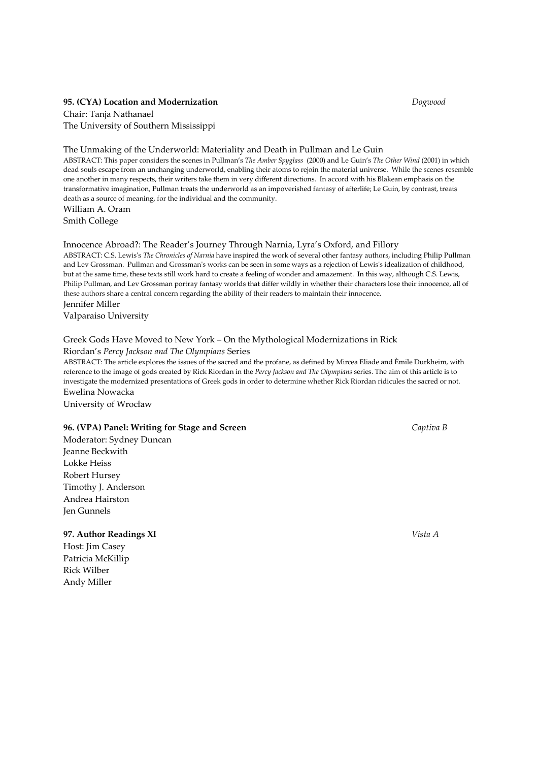#### 95. (CYA) Location and Modernization **Dogwood** Dogwood

Chair: Tanja Nathanael The University of Southern Mississippi

#### The Unmaking of the Underworld: Materiality and Death in Pullman and Le Guin

ABSTRACT: This paper considers the scenes in Pullman's The Amber Spyglass (2000) and Le Guin's The Other Wind (2001) in which dead souls escape from an unchanging underworld, enabling their atoms to rejoin the material universe. While the scenes resemble one another in many respects, their writers take them in very different directions. In accord with his Blakean emphasis on the transformative imagination, Pullman treats the underworld as an impoverished fantasy of afterlife; Le Guin, by contrast, treats death as a source of meaning, for the individual and the community.

William A. Oram Smith College

#### Innocence Abroad?: The Reader's Journey Through Narnia, Lyra's Oxford, and Fillory

ABSTRACT: C.S. Lewis's The Chronicles of Narnia have inspired the work of several other fantasy authors, including Philip Pullman and Lev Grossman. Pullman and Grossman's works can be seen in some ways as a rejection of Lewis's idealization of childhood, but at the same time, these texts still work hard to create a feeling of wonder and amazement. In this way, although C.S. Lewis, Philip Pullman, and Lev Grossman portray fantasy worlds that differ wildly in whether their characters lose their innocence, all of these authors share a central concern regarding the ability of their readers to maintain their innocence. Jennifer Miller

Valparaiso University

#### Greek Gods Have Moved to New York – On the Mythological Modernizations in Rick

#### Riordan's Percy Jackson and The Olympians Series

ABSTRACT: The article explores the issues of the sacred and the profane, as defined by Mircea Eliade and Èmile Durkheim, with reference to the image of gods created by Rick Riordan in the Percy Jackson and The Olympians series. The aim of this article is to investigate the modernized presentations of Greek gods in order to determine whether Rick Riordan ridicules the sacred or not. Ewelina Nowacka

University of Wrocław

#### 96. (VPA) Panel: Writing for Stage and Screen Captiva B

Moderator: Sydney Duncan Jeanne Beckwith Lokke Heiss Robert Hursey Timothy J. Anderson Andrea Hairston Jen Gunnels

97. Author Readings XI Vista A

Host: Jim Casey Patricia McKillip Rick Wilber Andy Miller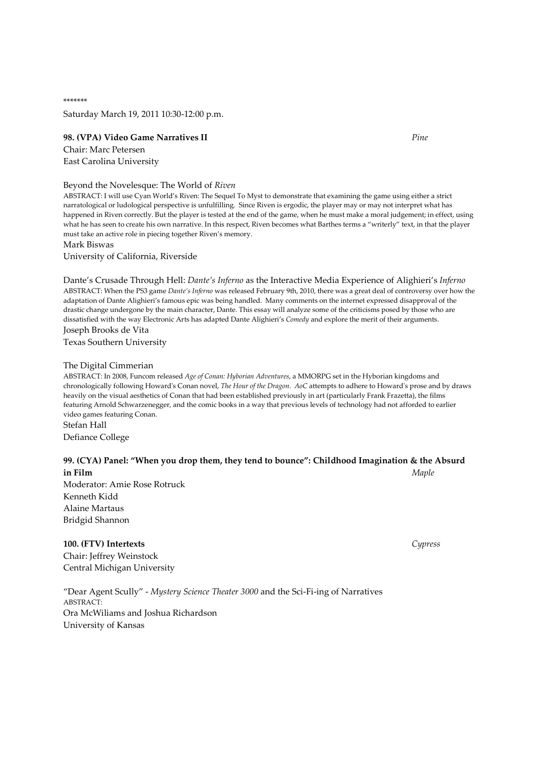\*\*\*\*\*\*\* Saturday March 19, 2011 10:30-12:00 p.m.

#### 98. (VPA) Video Game Narratives II Pine

Chair: Marc Petersen East Carolina University

#### Beyond the Novelesque: The World of Riven

ABSTRACT: I will use Cyan World's Riven: The Sequel To Myst to demonstrate that examining the game using either a strict narratological or ludological perspective is unfulfilling. Since Riven is ergodic, the player may or may not interpret what has happened in Riven correctly. But the player is tested at the end of the game, when he must make a moral judgement; in effect, using what he has seen to create his own narrative. In this respect, Riven becomes what Barthes terms a "writerly" text, in that the player must take an active role in piecing together Riven's memory.

Mark Biswas

University of California, Riverside

Dante's Crusade Through Hell: Dante's Inferno as the Interactive Media Experience of Alighieri's Inferno ABSTRACT: When the PS3 game Dante's Inferno was released February 9th, 2010, there was a great deal of controversy over how the adaptation of Dante Alighieri's famous epic was being handled. Many comments on the internet expressed disapproval of the drastic change undergone by the main character, Dante. This essay will analyze some of the criticisms posed by those who are dissatisfied with the way Electronic Arts has adapted Dante Alighieri's Comedy and explore the merit of their arguments. Joseph Brooks de Vita

Texas Southern University

#### The Digital Cimmerian

ABSTRACT: In 2008, Funcom released Age of Conan: Hyborian Adventures, a MMORPG set in the Hyborian kingdoms and chronologically following Howard's Conan novel, The Hour of the Dragon. AoC attempts to adhere to Howard's prose and by draws heavily on the visual aesthetics of Conan that had been established previously in art (particularly Frank Frazetta), the films featuring Arnold Schwarzenegger, and the comic books in a way that previous levels of technology had not afforded to earlier video games featuring Conan.

Stefan Hall Defiance College

# 99. (CYA) Panel: "When you drop them, they tend to bounce": Childhood Imagination & the Absurd **in Film** Maple

Moderator: Amie Rose Rotruck Kenneth Kidd Alaine Martaus Bridgid Shannon

# 100. (FTV) Intertexts Cypress

Chair: Jeffrey Weinstock Central Michigan University

"Dear Agent Scully" - Mystery Science Theater 3000 and the Sci-Fi-ing of Narratives ABSTRACT: Ora McWiliams and Joshua Richardson University of Kansas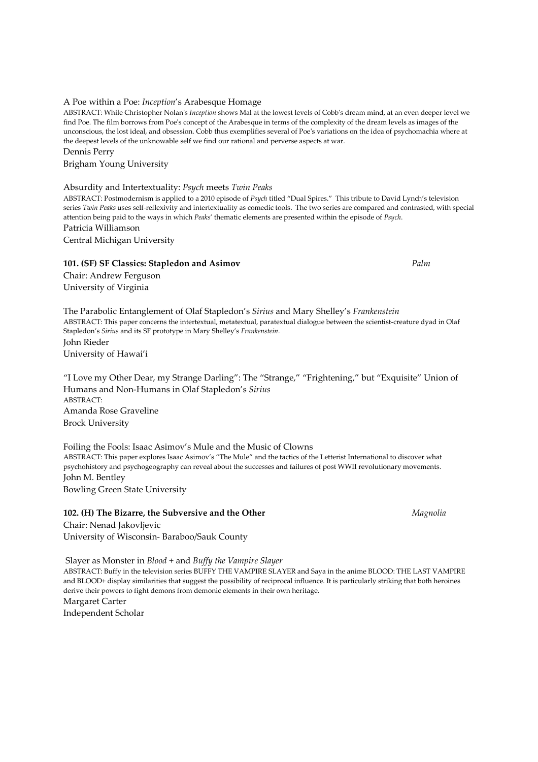#### ABSTRACT: While Christopher Nolan's Inception shows Mal at the lowest levels of Cobb's dream mind, at an even deeper level we find Poe. The film borrows from Poe's concept of the Arabesque in terms of the complexity of the dream levels as images of the unconscious, the lost ideal, and obsession. Cobb thus exemplifies several of Poe's variations on the idea of psychomachia where at

the deepest levels of the unknowable self we find our rational and perverse aspects at war.

Brigham Young University

Dennis Perry

# Absurdity and Intertextuality: Psych meets Twin Peaks

A Poe within a Poe: Inception's Arabesque Homage

ABSTRACT: Postmodernism is applied to a 2010 episode of Psych titled "Dual Spires." This tribute to David Lynch's television series Twin Peaks uses self-reflexivity and intertextuality as comedic tools. The two series are compared and contrasted, with special attention being paid to the ways in which Peaks' thematic elements are presented within the episode of Psych. Patricia Williamson

Central Michigan University

# 101. (SF) SF Classics: Stapledon and Asimov Palm Palm

Chair: Andrew Ferguson University of Virginia

The Parabolic Entanglement of Olaf Stapledon's Sirius and Mary Shelley's Frankenstein ABSTRACT: This paper concerns the intertextual, metatextual, paratextual dialogue between the scientist-creature dyad in Olaf Stapledon's Sirius and its SF prototype in Mary Shelley's Frankenstein. John Rieder University of Hawai'i

"I Love my Other Dear, my Strange Darling": The "Strange," "Frightening," but "Exquisite" Union of Humans and Non-Humans in Olaf Stapledon's Sirius ABSTRACT: Amanda Rose Graveline

Brock University

Foiling the Fools: Isaac Asimov's Mule and the Music of Clowns ABSTRACT: This paper explores Isaac Asimov's "The Mule" and the tactics of the Letterist International to discover what psychohistory and psychogeography can reveal about the successes and failures of post WWII revolutionary movements. John M. Bentley Bowling Green State University

102. (H) The Bizarre, the Subversive and the Other Magnolia Chair: Nenad Jakovljevic

University of Wisconsin- Baraboo/Sauk County

 Slayer as Monster in Blood + and Buffy the Vampire Slayer ABSTRACT: Buffy in the television series BUFFY THE VAMPIRE SLAYER and Saya in the anime BLOOD: THE LAST VAMPIRE and BLOOD+ display similarities that suggest the possibility of reciprocal influence. It is particularly striking that both heroines derive their powers to fight demons from demonic elements in their own heritage. Margaret Carter Independent Scholar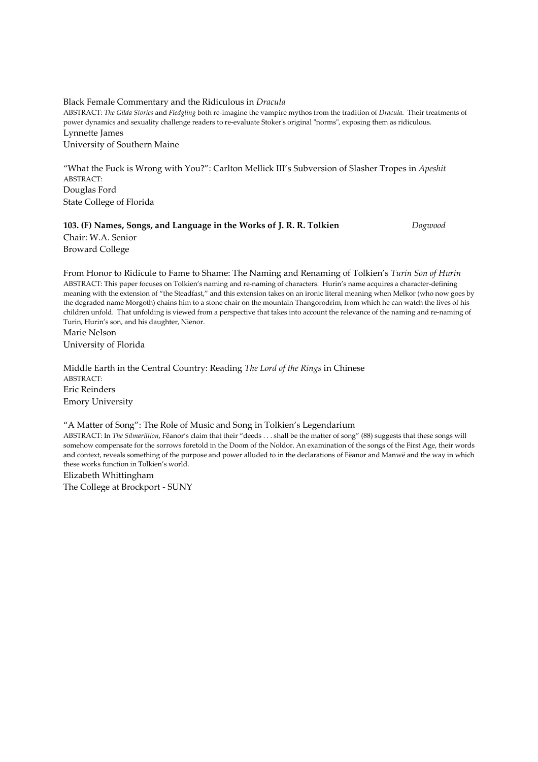Black Female Commentary and the Ridiculous in Dracula ABSTRACT: The Gilda Stories and Fledgling both re-imagine the vampire mythos from the tradition of Dracula. Their treatments of power dynamics and sexuality challenge readers to re-evaluate Stoker's original "norms", exposing them as ridiculous. Lynnette James University of Southern Maine

"What the Fuck is Wrong with You?": Carlton Mellick III's Subversion of Slasher Tropes in Apeshit ABSTRACT: Douglas Ford State College of Florida

# 103. (F) Names, Songs, and Language in the Works of J. R. R. Tolkien Dogwood Chair: W.A. Senior Broward College

From Honor to Ridicule to Fame to Shame: The Naming and Renaming of Tolkien's Turin Son of Hurin ABSTRACT: This paper focuses on Tolkien's naming and re-naming of characters. Hurin's name acquires a character-defining meaning with the extension of "the Steadfast," and this extension takes on an ironic literal meaning when Melkor (who now goes by the degraded name Morgoth) chains him to a stone chair on the mountain Thangorodrim, from which he can watch the lives of his children unfold. That unfolding is viewed from a perspective that takes into account the relevance of the naming and re-naming of Turin, Hurin's son, and his daughter, Nienor. Marie Nelson

University of Florida

Middle Earth in the Central Country: Reading The Lord of the Rings in Chinese ABSTRACT: Eric Reinders Emory University

#### "A Matter of Song": The Role of Music and Song in Tolkien's Legendarium

ABSTRACT: In The Silmarillion, Fëanor's claim that their "deeds . . . shall be the matter of song" (88) suggests that these songs will somehow compensate for the sorrows foretold in the Doom of the Noldor. An examination of the songs of the First Age, their words and context, reveals something of the purpose and power alluded to in the declarations of Fëanor and Manwë and the way in which these works function in Tolkien's world.

Elizabeth Whittingham The College at Brockport - SUNY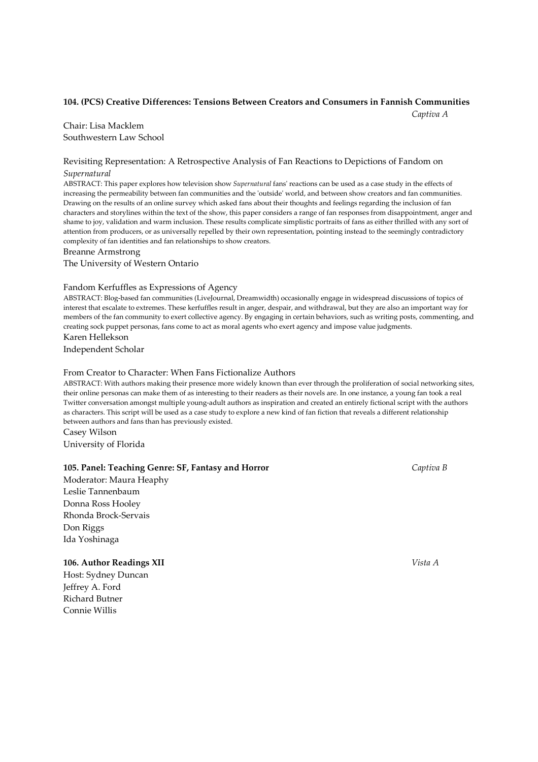#### 104. (PCS) Creative Differences: Tensions Between Creators and Consumers in Fannish Communities

**Captiva A** Captiva A

Chair: Lisa Macklem Southwestern Law School

# Revisiting Representation: A Retrospective Analysis of Fan Reactions to Depictions of Fandom on Supernatural

ABSTRACT: This paper explores how television show Supernatural fans' reactions can be used as a case study in the effects of increasing the permeability between fan communities and the 'outside' world, and between show creators and fan communities. Drawing on the results of an online survey which asked fans about their thoughts and feelings regarding the inclusion of fan characters and storylines within the text of the show, this paper considers a range of fan responses from disappointment, anger and shame to joy, validation and warm inclusion. These results complicate simplistic portraits of fans as either thrilled with any sort of attention from producers, or as universally repelled by their own representation, pointing instead to the seemingly contradictory complexity of fan identities and fan relationships to show creators.

Breanne Armstrong

The University of Western Ontario

#### Fandom Kerfuffles as Expressions of Agency

ABSTRACT: Blog-based fan communities (LiveJournal, Dreamwidth) occasionally engage in widespread discussions of topics of interest that escalate to extremes. These kerfuffles result in anger, despair, and withdrawal, but they are also an important way for members of the fan community to exert collective agency. By engaging in certain behaviors, such as writing posts, commenting, and creating sock puppet personas, fans come to act as moral agents who exert agency and impose value judgments. Karen Hellekson

Independent Scholar

#### From Creator to Character: When Fans Fictionalize Authors

ABSTRACT: With authors making their presence more widely known than ever through the proliferation of social networking sites, their online personas can make them of as interesting to their readers as their novels are. In one instance, a young fan took a real Twitter conversation amongst multiple young-adult authors as inspiration and created an entirely fictional script with the authors as characters. This script will be used as a case study to explore a new kind of fan fiction that reveals a different relationship between authors and fans than has previously existed.

Casey Wilson University of Florida

### 105. Panel: Teaching Genre: SF, Fantasy and Horror Captiva B

Moderator: Maura Heaphy Leslie Tannenbaum Donna Ross Hooley Rhonda Brock-Servais Don Riggs Ida Yoshinaga

#### 106. Author Readings XII Vista A

Host: Sydney Duncan Jeffrey A. Ford Richard Butner Connie Willis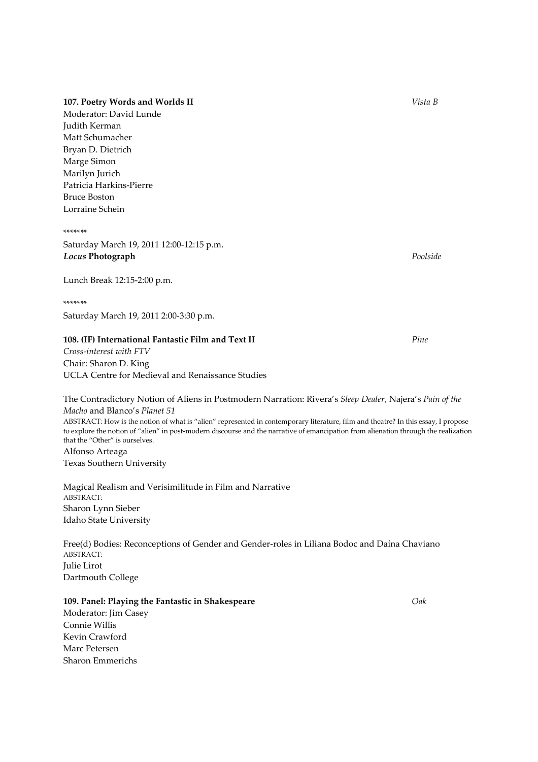# 107. Poetry Words and Worlds II Vista B

Moderator: David Lunde Judith Kerman Matt Schumacher Bryan D. Dietrich Marge Simon Marilyn Jurich Patricia Harkins-Pierre Bruce Boston Lorraine Schein

\*\*\*\*\*\*\*

Saturday March 19, 2011 12:00-12:15 p.m. **Locus Photograph** Poolside

Lunch Break 12:15-2:00 p.m.

#### \*\*\*\*\*\*\*

Saturday March 19, 2011 2:00-3:30 p.m.

#### 108. (IF) International Fantastic Film and Text II Pine

Cross-interest with FTV Chair: Sharon D. King UCLA Centre for Medieval and Renaissance Studies

The Contradictory Notion of Aliens in Postmodern Narration: Rivera's Sleep Dealer, Najera's Pain of the Macho and Blanco's Planet 51 ABSTRACT: How is the notion of what is "alien" represented in contemporary literature, film and theatre? In this essay, I propose to explore the notion of "alien" in post-modern discourse and the narrative of emancipation from alienation through the realization that the "Other" is ourselves. Alfonso Arteaga Texas Southern University

Magical Realism and Verisimilitude in Film and Narrative ABSTRACT: Sharon Lynn Sieber Idaho State University

Free(d) Bodies: Reconceptions of Gender and Gender-roles in Liliana Bodoc and Daína Chaviano ABSTRACT: Julie Lirot Dartmouth College

#### 109. Panel: Playing the Fantastic in Shakespeare **Data Communist Communist Communist Communist Communist Communist Communist Communist Communist Communist Communist Communist Communist Communist Communist Communist Communi**

Moderator: Jim Casey Connie Willis Kevin Crawford Marc Petersen Sharon Emmerichs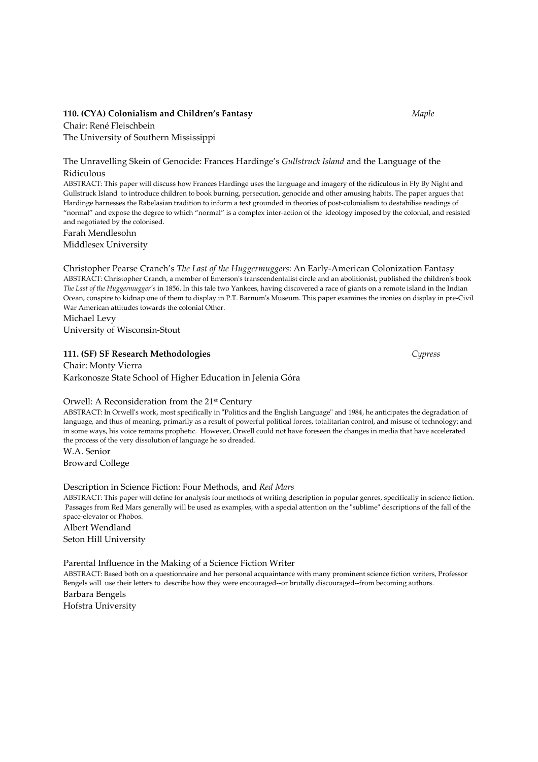## 110. (CYA) Colonialism and Children's Fantasy Maple

Chair: René Fleischbein The University of Southern Mississippi

The Unravelling Skein of Genocide: Frances Hardinge's Gullstruck Island and the Language of the Ridiculous

ABSTRACT: This paper will discuss how Frances Hardinge uses the language and imagery of the ridiculous in Fly By Night and Gullstruck Island to introduce children to book burning, persecution, genocide and other amusing habits. The paper argues that Hardinge harnesses the Rabelasian tradition to inform a text grounded in theories of post-colonialism to destabilise readings of "normal" and expose the degree to which "normal" is a complex inter-action of the ideology imposed by the colonial, and resisted and negotiated by the colonised. Farah Mendlesohn

Middlesex University

Christopher Pearse Cranch's The Last of the Huggermuggers: An Early-American Colonization Fantasy ABSTRACT: Christopher Cranch, a member of Emerson's transcendentalist circle and an abolitionist, published the children's book The Last of the Huggermugger's in 1856. In this tale two Yankees, having discovered a race of giants on a remote island in the Indian Ocean, conspire to kidnap one of them to display in P.T. Barnum's Museum. This paper examines the ironies on display in pre-Civil War American attitudes towards the colonial Other.

Michael Levy University of Wisconsin-Stout

#### 111. (SF) SF Research Methodologies Cypress

Chair: Monty Vierra Karkonosze State School of Higher Education in Jelenia Góra

#### Orwell: A Reconsideration from the 21st Century

ABSTRACT: In Orwell's work, most specifically in "Politics and the English Language" and 1984, he anticipates the degradation of language, and thus of meaning, primarily as a result of powerful political forces, totalitarian control, and misuse of technology; and in some ways, his voice remains prophetic. However, Orwell could not have foreseen the changes in media that have accelerated the process of the very dissolution of language he so dreaded.

W.A. Senior Broward College

Description in Science Fiction: Four Methods, and Red Mars

ABSTRACT: This paper will define for analysis four methods of writing description in popular genres, specifically in science fiction. Passages from Red Mars generally will be used as examples, with a special attention on the "sublime" descriptions of the fall of the space-elevator or Phobos.

Albert Wendland Seton Hill University

Parental Influence in the Making of a Science Fiction Writer

ABSTRACT: Based both on a questionnaire and her personal acquaintance with many prominent science fiction writers, Professor Bengels will use their letters to describe how they were encouraged--or brutally discouraged--from becoming authors. Barbara Bengels

Hofstra University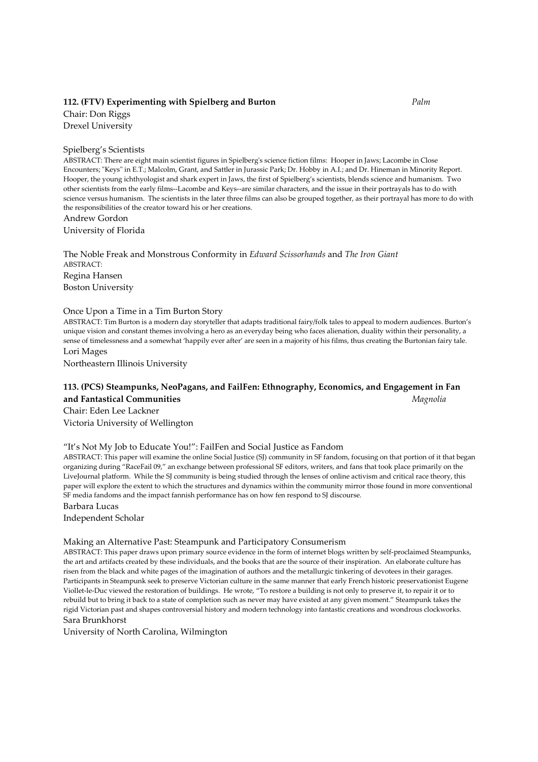## 112. (FTV) Experimenting with Spielberg and Burton Palm Palm

Chair: Don Riggs Drexel University

#### Spielberg's Scientists

ABSTRACT: There are eight main scientist figures in Spielberg's science fiction films: Hooper in Jaws; Lacombe in Close Encounters; "Keys" in E.T.; Malcolm, Grant, and Sattler in Jurassic Park; Dr. Hobby in A.I.; and Dr. Hineman in Minority Report. Hooper, the young ichthyologist and shark expert in Jaws, the first of Spielberg's scientists, blends science and humanism. Two other scientists from the early films--Lacombe and Keys--are similar characters, and the issue in their portrayals has to do with science versus humanism. The scientists in the later three films can also be grouped together, as their portrayal has more to do with the responsibilities of the creator toward his or her creations.

Andrew Gordon

University of Florida

The Noble Freak and Monstrous Conformity in Edward Scissorhands and The Iron Giant ABSTRACT: Regina Hansen Boston University

#### Once Upon a Time in a Tim Burton Story

ABSTRACT: Tim Burton is a modern day storyteller that adapts traditional fairy/folk tales to appeal to modern audiences. Burton's unique vision and constant themes involving a hero as an everyday being who faces alienation, duality within their personality, a sense of timelessness and a somewhat 'happily ever after' are seen in a majority of his films, thus creating the Burtonian fairy tale. Lori Mages

Northeastern Illinois University

# 113. (PCS) Steampunks, NeoPagans, and FailFen: Ethnography, Economics, and Engagement in Fan and Fantastical Communities and Fantastical Communities and Fantastical Communities and Fantastical Communities

Chair: Eden Lee Lackner Victoria University of Wellington

#### "It's Not My Job to Educate You!": FailFen and Social Justice as Fandom

ABSTRACT: This paper will examine the online Social Justice (SJ) community in SF fandom, focusing on that portion of it that began organizing during "RaceFail 09," an exchange between professional SF editors, writers, and fans that took place primarily on the LiveJournal platform. While the SJ community is being studied through the lenses of online activism and critical race theory, this paper will explore the extent to which the structures and dynamics within the community mirror those found in more conventional SF media fandoms and the impact fannish performance has on how fen respond to SJ discourse. Barbara Lucas

Independent Scholar

#### Making an Alternative Past: Steampunk and Participatory Consumerism

ABSTRACT: This paper draws upon primary source evidence in the form of internet blogs written by self-proclaimed Steampunks, the art and artifacts created by these individuals, and the books that are the source of their inspiration. An elaborate culture has risen from the black and white pages of the imagination of authors and the metallurgic tinkering of devotees in their garages. Participants in Steampunk seek to preserve Victorian culture in the same manner that early French historic preservationist Eugene Viollet-le-Duc viewed the restoration of buildings. He wrote, "To restore a building is not only to preserve it, to repair it or to rebuild but to bring it back to a state of completion such as never may have existed at any given moment." Steampunk takes the rigid Victorian past and shapes controversial history and modern technology into fantastic creations and wondrous clockworks. Sara Brunkhorst

University of North Carolina, Wilmington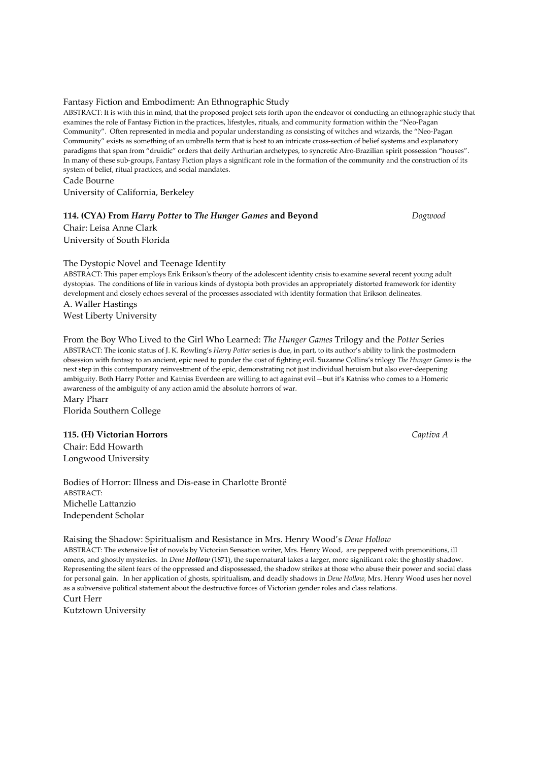#### Fantasy Fiction and Embodiment: An Ethnographic Study

ABSTRACT: It is with this in mind, that the proposed project sets forth upon the endeavor of conducting an ethnographic study that examines the role of Fantasy Fiction in the practices, lifestyles, rituals, and community formation within the "Neo-Pagan Community". Often represented in media and popular understanding as consisting of witches and wizards, the "Neo-Pagan Community" exists as something of an umbrella term that is host to an intricate cross-section of belief systems and explanatory paradigms that span from "druidic" orders that deify Arthurian archetypes, to syncretic Afro-Brazilian spirit possession "houses". In many of these sub-groups, Fantasy Fiction plays a significant role in the formation of the community and the construction of its system of belief, ritual practices, and social mandates. Cade Bourne

University of California, Berkeley

#### 114. (CYA) From Harry Potter to The Hunger Games and Beyond Dogwood

Chair: Leisa Anne Clark University of South Florida

The Dystopic Novel and Teenage Identity

ABSTRACT: This paper employs Erik Erikson's theory of the adolescent identity crisis to examine several recent young adult dystopias. The conditions of life in various kinds of dystopia both provides an appropriately distorted framework for identity development and closely echoes several of the processes associated with identity formation that Erikson delineates. A. Waller Hastings

West Liberty University

From the Boy Who Lived to the Girl Who Learned: The Hunger Games Trilogy and the Potter Series ABSTRACT: The iconic status of J. K. Rowling's Harry Potter series is due, in part, to its author's ability to link the postmodern obsession with fantasy to an ancient, epic need to ponder the cost of fighting evil. Suzanne Collins's trilogy The Hunger Games is the next step in this contemporary reinvestment of the epic, demonstrating not just individual heroism but also ever-deepening ambiguity. Both Harry Potter and Katniss Everdeen are willing to act against evil—but it's Katniss who comes to a Homeric awareness of the ambiguity of any action amid the absolute horrors of war.

Mary Pharr Florida Southern College

#### 115. (H) Victorian Horrors Captiva A

Chair: Edd Howarth Longwood University

Bodies of Horror: Illness and Dis-ease in Charlotte Brontë ABSTRACT: Michelle Lattanzio Independent Scholar

Raising the Shadow: Spiritualism and Resistance in Mrs. Henry Wood's Dene Hollow ABSTRACT: The extensive list of novels by Victorian Sensation writer, Mrs. Henry Wood, are peppered with premonitions, ill

omens, and ghostly mysteries. In Dene Hollow (1871), the supernatural takes a larger, more significant role: the ghostly shadow. Representing the silent fears of the oppressed and dispossessed, the shadow strikes at those who abuse their power and social class for personal gain. In her application of ghosts, spiritualism, and deadly shadows in Dene Hollow, Mrs. Henry Wood uses her novel as a subversive political statement about the destructive forces of Victorian gender roles and class relations.

Curt Herr Kutztown University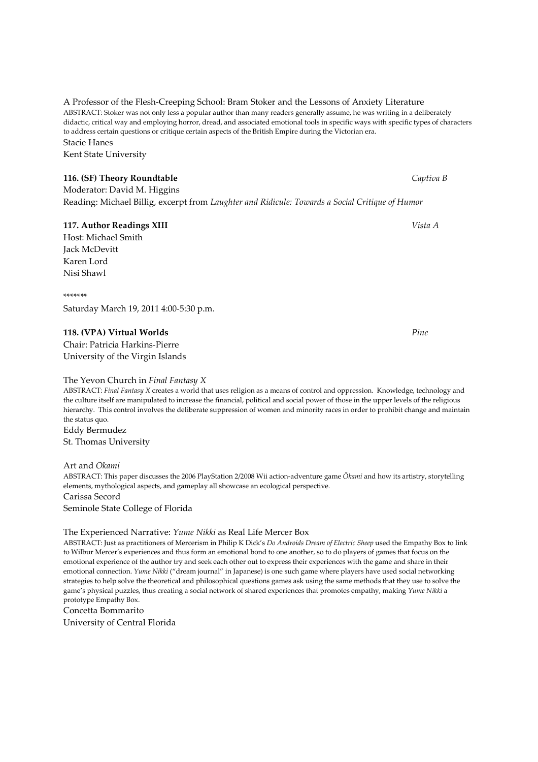A Professor of the Flesh-Creeping School: Bram Stoker and the Lessons of Anxiety Literature ABSTRACT: Stoker was not only less a popular author than many readers generally assume, he was writing in a deliberately didactic, critical way and employing horror, dread, and associated emotional tools in specific ways with specific types of characters to address certain questions or critique certain aspects of the British Empire during the Victorian era. Stacie Hanes

Kent State University

**116. (SF) Theory Roundtable Captiva B Captiva B** Captiva B Moderator: David M. Higgins Reading: Michael Billig, excerpt from Laughter and Ridicule: Towards a Social Critique of Humor

# 117. Author Readings XIII Vista A

Host: Michael Smith Jack McDevitt Karen Lord Nisi Shawl

\*\*\*\*\*\*\* Saturday March 19, 2011 4:00-5:30 p.m.

# 118. (VPA) Virtual Worlds Pine

Chair: Patricia Harkins-Pierre University of the Virgin Islands

## The Yevon Church in Final Fantasy X

ABSTRACT: Final Fantasy X creates a world that uses religion as a means of control and oppression. Knowledge, technology and the culture itself are manipulated to increase the financial, political and social power of those in the upper levels of the religious hierarchy. This control involves the deliberate suppression of women and minority races in order to prohibit change and maintain the status quo.

Eddy Bermudez

St. Thomas University

Art and Ōkami ABSTRACT: This paper discusses the 2006 PlayStation 2/2008 Wii action-adventure game Ōkami and how its artistry, storytelling elements, mythological aspects, and gameplay all showcase an ecological perspective. Carissa Secord Seminole State College of Florida

#### The Experienced Narrative: Yume Nikki as Real Life Mercer Box

ABSTRACT: Just as practitioners of Mercerism in Philip K Dick's Do Androids Dream of Electric Sheep used the Empathy Box to link to Wilbur Mercer's experiences and thus form an emotional bond to one another, so to do players of games that focus on the emotional experience of the author try and seek each other out to express their experiences with the game and share in their emotional connection. Yume Nikki ("dream journal" in Japanese) is one such game where players have used social networking strategies to help solve the theoretical and philosophical questions games ask using the same methods that they use to solve the game's physical puzzles, thus creating a social network of shared experiences that promotes empathy, making Yume Nikki a prototype Empathy Box.

# Concetta Bommarito

University of Central Florida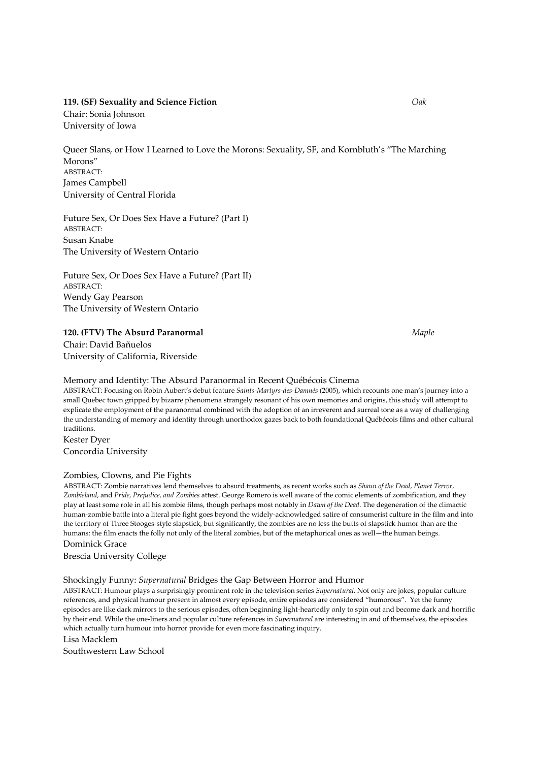#### 119. (SF) Sexuality and Science Fiction Oak

Chair: Sonia Johnson University of Iowa

Queer Slans, or How I Learned to Love the Morons: Sexuality, SF, and Kornbluth's "The Marching Morons" ABSTRACT: James Campbell University of Central Florida

Future Sex, Or Does Sex Have a Future? (Part I) ABSTRACT: Susan Knabe The University of Western Ontario

Future Sex, Or Does Sex Have a Future? (Part II) ABSTRACT: Wendy Gay Pearson The University of Western Ontario

#### 120. (FTV) The Absurd Paranormal Maple

Chair: David Bañuelos University of California, Riverside

#### Memory and Identity: The Absurd Paranormal in Recent Québécois Cinema

ABSTRACT: Focusing on Robin Aubert's debut feature Saints-Martyrs-des-Damnés (2005), which recounts one man's journey into a small Quebec town gripped by bizarre phenomena strangely resonant of his own memories and origins, this study will attempt to explicate the employment of the paranormal combined with the adoption of an irreverent and surreal tone as a way of challenging the understanding of memory and identity through unorthodox gazes back to both foundational Québécois films and other cultural traditions.

Kester Dyer Concordia University

#### Zombies, Clowns, and Pie Fights

ABSTRACT: Zombie narratives lend themselves to absurd treatments, as recent works such as Shaun of the Dead, Planet Terror, Zombieland, and Pride, Prejudice, and Zombies attest. George Romero is well aware of the comic elements of zombification, and they play at least some role in all his zombie films, though perhaps most notably in Dawn of the Dead. The degeneration of the climactic human-zombie battle into a literal pie fight goes beyond the widely-acknowledged satire of consumerist culture in the film and into the territory of Three Stooges-style slapstick, but significantly, the zombies are no less the butts of slapstick humor than are the humans: the film enacts the folly not only of the literal zombies, but of the metaphorical ones as well—the human beings. Dominick Grace

Brescia University College

#### Shockingly Funny: Supernatural Bridges the Gap Between Horror and Humor

ABSTRACT: Humour plays a surprisingly prominent role in the television series Supernatural. Not only are jokes, popular culture references, and physical humour present in almost every episode, entire episodes are considered "humorous". Yet the funny episodes are like dark mirrors to the serious episodes, often beginning light-heartedly only to spin out and become dark and horrific by their end. While the one-liners and popular culture references in Supernatural are interesting in and of themselves, the episodes which actually turn humour into horror provide for even more fascinating inquiry.

Lisa Macklem

Southwestern Law School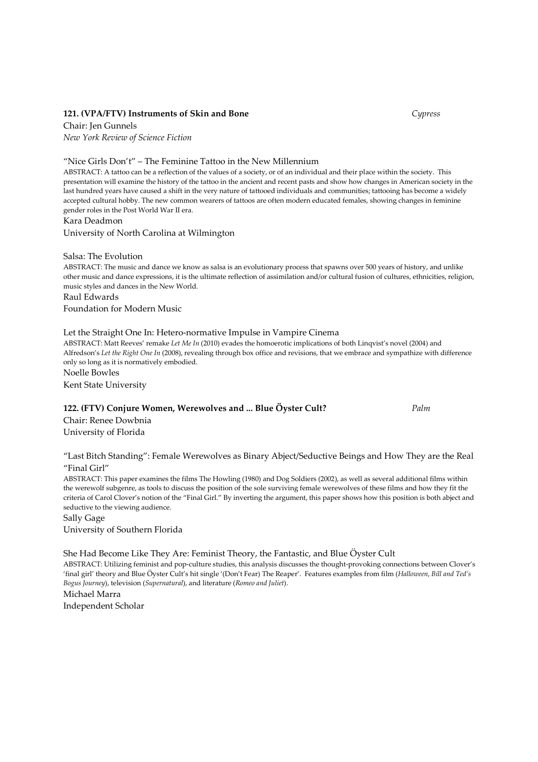# 121. (VPA/FTV) Instruments of Skin and Bone Cypress

Chair: Jen Gunnels New York Review of Science Fiction

"Nice Girls Don't" – The Feminine Tattoo in the New Millennium

ABSTRACT: A tattoo can be a reflection of the values of a society, or of an individual and their place within the society. This presentation will examine the history of the tattoo in the ancient and recent pasts and show how changes in American society in the last hundred years have caused a shift in the very nature of tattooed individuals and communities; tattooing has become a widely accepted cultural hobby. The new common wearers of tattoos are often modern educated females, showing changes in feminine gender roles in the Post World War II era.

Kara Deadmon

University of North Carolina at Wilmington

Salsa: The Evolution

ABSTRACT: The music and dance we know as salsa is an evolutionary process that spawns over 500 years of history, and unlike other music and dance expressions, it is the ultimate reflection of assimilation and/or cultural fusion of cultures, ethnicities, religion, music styles and dances in the New World.

Raul Edwards

Foundation for Modern Music

# Let the Straight One In: Hetero-normative Impulse in Vampire Cinema

ABSTRACT: Matt Reeves' remake Let Me In (2010) evades the homoerotic implications of both Linqvist's novel (2004) and Alfredson's Let the Right One In (2008), revealing through box office and revisions, that we embrace and sympathize with difference only so long as it is normatively embodied. Noelle Bowles

Kent State University

#### 122. (FTV) Conjure Women, Werewolves and ... Blue Öyster Cult? Palm

Chair: Renee Dowbnia University of Florida

"Last Bitch Standing": Female Werewolves as Binary Abject/Seductive Beings and How They are the Real "Final Girl"

ABSTRACT: This paper examines the films The Howling (1980) and Dog Soldiers (2002), as well as several additional films within the werewolf subgenre, as tools to discuss the position of the sole surviving female werewolves of these films and how they fit the criteria of Carol Clover's notion of the "Final Girl." By inverting the argument, this paper shows how this position is both abject and seductive to the viewing audience.

Sally Gage

University of Southern Florida

She Had Become Like They Are: Feminist Theory, the Fantastic, and Blue Öyster Cult ABSTRACT: Utilizing feminist and pop-culture studies, this analysis discusses the thought-provoking connections between Clover's 'final girl' theory and Blue Öyster Cult's hit single '(Don't Fear) The Reaper'. Features examples from film (Halloween, Bill and Ted's Bogus Journey), television (Supernatural), and literature (Romeo and Juliet).

Michael Marra Independent Scholar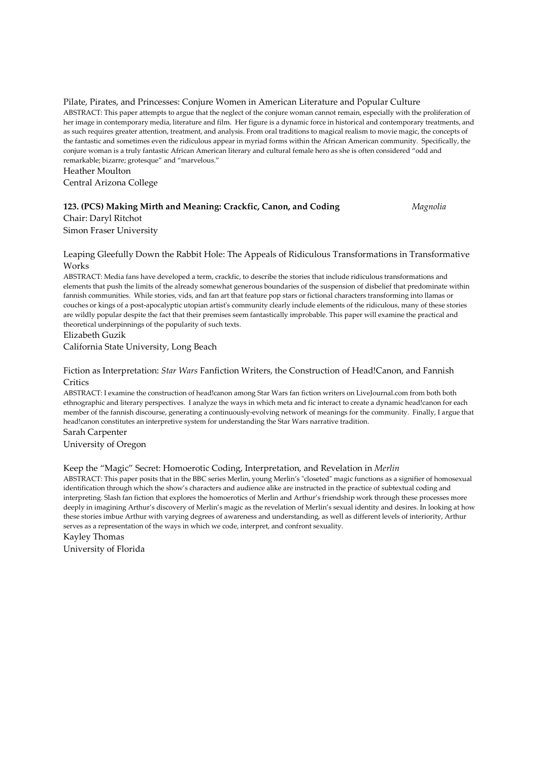Pilate, Pirates, and Princesses: Conjure Women in American Literature and Popular Culture ABSTRACT: This paper attempts to argue that the neglect of the conjure woman cannot remain, especially with the proliferation of her image in contemporary media, literature and film. Her figure is a dynamic force in historical and contemporary treatments, and as such requires greater attention, treatment, and analysis. From oral traditions to magical realism to movie magic, the concepts of the fantastic and sometimes even the ridiculous appear in myriad forms within the African American community. Specifically, the conjure woman is a truly fantastic African American literary and cultural female hero as she is often considered "odd and remarkable; bizarre; grotesque" and "marvelous."

Heather Moulton

Central Arizona College

# 123. (PCS) Making Mirth and Meaning: Crackfic, Canon, and Coding Magnolia

Chair: Daryl Ritchot Simon Fraser University

#### Leaping Gleefully Down the Rabbit Hole: The Appeals of Ridiculous Transformations in Transformative Works

ABSTRACT: Media fans have developed a term, crackfic, to describe the stories that include ridiculous transformations and elements that push the limits of the already somewhat generous boundaries of the suspension of disbelief that predominate within fannish communities. While stories, vids, and fan art that feature pop stars or fictional characters transforming into llamas or couches or kings of a post-apocalyptic utopian artist's community clearly include elements of the ridiculous, many of these stories are wildly popular despite the fact that their premises seem fantastically improbable. This paper will examine the practical and theoretical underpinnings of the popularity of such texts.

Elizabeth Guzik

California State University, Long Beach

## Fiction as Interpretation: Star Wars Fanfiction Writers, the Construction of Head!Canon, and Fannish **Critics**

ABSTRACT: I examine the construction of head!canon among Star Wars fan fiction writers on LiveJournal.com from both both ethnographic and literary perspectives. I analyze the ways in which meta and fic interact to create a dynamic head!canon for each member of the fannish discourse, generating a continuously-evolving network of meanings for the community. Finally, I argue that head!canon constitutes an interpretive system for understanding the Star Wars narrative tradition.

Sarah Carpenter University of Oregon

# Keep the "Magic" Secret: Homoerotic Coding, Interpretation, and Revelation in Merlin

ABSTRACT: This paper posits that in the BBC series Merlin, young Merlin's "closeted" magic functions as a signifier of homosexual identification through which the show's characters and audience alike are instructed in the practice of subtextual coding and interpreting. Slash fan fiction that explores the homoerotics of Merlin and Arthur's friendship work through these processes more deeply in imagining Arthur's discovery of Merlin's magic as the revelation of Merlin's sexual identity and desires. In looking at how these stories imbue Arthur with varying degrees of awareness and understanding, as well as different levels of interiority, Arthur serves as a representation of the ways in which we code, interpret, and confront sexuality.

Kayley Thomas University of Florida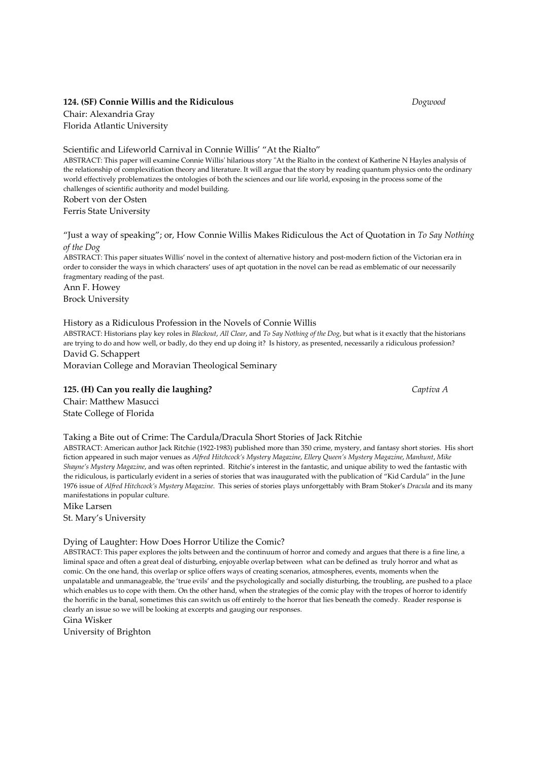#### 124. (SF) Connie Willis and the Ridiculous Dogwood

Chair: Alexandria Gray Florida Atlantic University

Scientific and Lifeworld Carnival in Connie Willis' "At the Rialto"

ABSTRACT: This paper will examine Connie Willis' hilarious story "At the Rialto in the context of Katherine N Hayles analysis of the relationship of complexification theory and literature. It will argue that the story by reading quantum physics onto the ordinary world effectively problematizes the ontologies of both the sciences and our life world, exposing in the process some of the challenges of scientific authority and model building. Robert von der Osten

Ferris State University

"Just a way of speaking"; or, How Connie Willis Makes Ridiculous the Act of Quotation in To Say Nothing of the Dog

ABSTRACT: This paper situates Willis' novel in the context of alternative history and post-modern fiction of the Victorian era in order to consider the ways in which characters' uses of apt quotation in the novel can be read as emblematic of our necessarily fragmentary reading of the past.

Ann F. Howey Brock University

#### History as a Ridiculous Profession in the Novels of Connie Willis

ABSTRACT: Historians play key roles in Blackout, All Clear, and To Say Nothing of the Dog, but what is it exactly that the historians are trying to do and how well, or badly, do they end up doing it? Is history, as presented, necessarily a ridiculous profession? David G. Schappert

Moravian College and Moravian Theological Seminary

#### 125. (H) Can you really die laughing? Captiva A

Chair: Matthew Masucci State College of Florida

#### Taking a Bite out of Crime: The Cardula/Dracula Short Stories of Jack Ritchie

ABSTRACT: American author Jack Ritchie (1922-1983) published more than 350 crime, mystery, and fantasy short stories. His short fiction appeared in such major venues as Alfred Hitchcock's Mystery Magazine, Ellery Queen's Mystery Magazine, Manhunt, Mike Shayne's Mystery Magazine, and was often reprinted. Ritchie's interest in the fantastic, and unique ability to wed the fantastic with the ridiculous, is particularly evident in a series of stories that was inaugurated with the publication of "Kid Cardula" in the June 1976 issue of Alfred Hitchcock's Mystery Magazine. This series of stories plays unforgettably with Bram Stoker's Dracula and its many manifestations in popular culture.

Mike Larsen

St. Mary's University

#### Dying of Laughter: How Does Horror Utilize the Comic?

ABSTRACT: This paper explores the jolts between and the continuum of horror and comedy and argues that there is a fine line, a liminal space and often a great deal of disturbing, enjoyable overlap between what can be defined as truly horror and what as comic. On the one hand, this overlap or splice offers ways of creating scenarios, atmospheres, events, moments when the unpalatable and unmanageable, the 'true evils' and the psychologically and socially disturbing, the troubling, are pushed to a place which enables us to cope with them. On the other hand, when the strategies of the comic play with the tropes of horror to identify the horrific in the banal, sometimes this can switch us off entirely to the horror that lies beneath the comedy. Reader response is clearly an issue so we will be looking at excerpts and gauging our responses.

Gina Wisker

University of Brighton